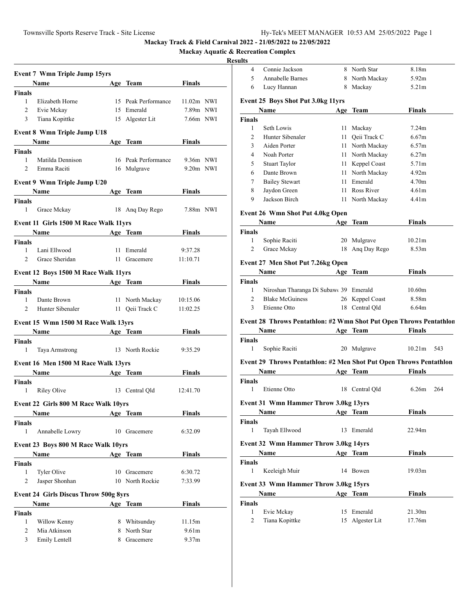4 Connie Jackson 8 North Star 8.18m

**Mackay Track & Field Carnival 2022 - 21/05/2022 to 22/05/2022**

**Mackay Aquatic & Recreation Complex**

|                | <b>Event 7 Wmn Triple Jump 15yrs</b>                                                                                                                                                                                                |    |                     |                   |  |
|----------------|-------------------------------------------------------------------------------------------------------------------------------------------------------------------------------------------------------------------------------------|----|---------------------|-------------------|--|
|                | Name                                                                                                                                                                                                                                |    | Age Team            | Finals            |  |
| <b>Finals</b>  |                                                                                                                                                                                                                                     |    |                     |                   |  |
| 1              | Elizabeth Horne                                                                                                                                                                                                                     |    | 15 Peak Performance | 11.02m NWI        |  |
| 2              | Evie Mckay                                                                                                                                                                                                                          |    | 15 Emerald          | 7.89m NWI         |  |
| 3              | Tiana Kopittke                                                                                                                                                                                                                      |    | 15 Algester Lit     | 7.66m NWI         |  |
|                | <b>Event 8 Wmn Triple Jump U18</b>                                                                                                                                                                                                  |    |                     |                   |  |
|                | Name                                                                                                                                                                                                                                |    | Age Team            | Finals            |  |
| Finals         |                                                                                                                                                                                                                                     |    |                     |                   |  |
| 1              | Matilda Dennison                                                                                                                                                                                                                    |    | 16 Peak Performance | 9.36m NWI         |  |
| 2              | Emma Raciti                                                                                                                                                                                                                         |    | 16 Mulgrave         | 9.20m NWI         |  |
|                |                                                                                                                                                                                                                                     |    |                     |                   |  |
|                | Event 9 Wmn Triple Jump U20                                                                                                                                                                                                         |    |                     | Finals            |  |
| <b>Finals</b>  | <b>Name</b>                                                                                                                                                                                                                         |    | Age Team            |                   |  |
| 1              | Grace Mckay                                                                                                                                                                                                                         |    | 18 Ang Day Rego     | 7.88m NWI         |  |
|                |                                                                                                                                                                                                                                     |    |                     |                   |  |
|                | Event 11 Girls 1500 M Race Walk 11yrs                                                                                                                                                                                               |    |                     |                   |  |
|                | <b>Name</b>                                                                                                                                                                                                                         |    | Age Team            | Finals            |  |
| Finals         |                                                                                                                                                                                                                                     |    |                     |                   |  |
| 1              | Lani Ellwood                                                                                                                                                                                                                        | 11 | Emerald             | 9:37.28           |  |
| 2              | Grace Sheridan                                                                                                                                                                                                                      |    | 11 Gracemere        | 11:10.71          |  |
|                | Event 12 Boys 1500 M Race Walk 11yrs                                                                                                                                                                                                |    |                     |                   |  |
|                | <b>Name</b> and the same of the same of the same of the same of the same of the same of the same of the same of the same of the same of the same of the same of the same of the same of the same of the same of the same of the sam |    | Age Team            | Finals            |  |
| <b>Finals</b>  |                                                                                                                                                                                                                                     |    |                     |                   |  |
| 1              | Dante Brown                                                                                                                                                                                                                         |    | 11 North Mackay     | 10:15.06          |  |
| $\overline{c}$ | Hunter Sibenaler                                                                                                                                                                                                                    |    | 11 Qeii Track C     | 11:02.25          |  |
|                | Event 15 Wmn 1500 M Race Walk 13yrs                                                                                                                                                                                                 |    |                     |                   |  |
|                | Name<br><b>Example 2</b> Age Team                                                                                                                                                                                                   |    |                     | Finals            |  |
| Finals         |                                                                                                                                                                                                                                     |    |                     |                   |  |
| 1              | Taya Armstrong                                                                                                                                                                                                                      |    | 13 North Rockie     | 9:35.29           |  |
|                |                                                                                                                                                                                                                                     |    |                     |                   |  |
|                | Event 16 Men 1500 M Race Walk 13yrs                                                                                                                                                                                                 |    |                     |                   |  |
|                | Name and the same state of the state of the state of the state of the state of the state of the state of the state of the state of the state of the state of the state of the state of the state of the state of the state of       |    | Age Team            | Finals            |  |
| Finals         |                                                                                                                                                                                                                                     |    |                     |                   |  |
| 1              | <b>Riley Olive</b>                                                                                                                                                                                                                  |    | 13 Central Qld      | 12:41.70          |  |
|                | <b>Event 22 Girls 800 M Race Walk 10vrs</b>                                                                                                                                                                                         |    |                     |                   |  |
|                | Name                                                                                                                                                                                                                                |    | Age Team            | Finals            |  |
| Finals         |                                                                                                                                                                                                                                     |    |                     |                   |  |
| 1              | Annabelle Lowry                                                                                                                                                                                                                     |    | 10 Gracemere        | 6:32.09           |  |
|                | Event 23 Boys 800 M Race Walk 10yrs                                                                                                                                                                                                 |    |                     |                   |  |
|                | Name                                                                                                                                                                                                                                |    | Age Team            | <b>Finals</b>     |  |
| Finals         |                                                                                                                                                                                                                                     |    |                     |                   |  |
| 1              | Tyler Olive                                                                                                                                                                                                                         |    | 10 Gracemere        | 6:30.72           |  |
| 2              | Jasper Shonhan                                                                                                                                                                                                                      |    | 10 North Rockie     | 7:33.99           |  |
|                |                                                                                                                                                                                                                                     |    |                     |                   |  |
|                | <b>Event 24 Girls Discus Throw 500g 8yrs</b>                                                                                                                                                                                        |    |                     |                   |  |
|                | Name                                                                                                                                                                                                                                |    | Age Team            | <b>Finals</b>     |  |
| <b>Finals</b>  |                                                                                                                                                                                                                                     |    |                     |                   |  |
| 1              | Willow Kenny                                                                                                                                                                                                                        |    | 8 Whitsunday        | 11.15m            |  |
| 2              | Mia Atkinson                                                                                                                                                                                                                        |    | 8 North Star        | 9.61 <sub>m</sub> |  |
| 3              | Emily Lentell                                                                                                                                                                                                                       |    | 8 Gracemere         | 9.37m             |  |

| 5             | Annabelle Barnes                                                   |     | 8 North Mackay                | 5.92m              |     |
|---------------|--------------------------------------------------------------------|-----|-------------------------------|--------------------|-----|
| 6             | Lucy Hannan                                                        | 8   | Mackay                        | 5.21m              |     |
|               |                                                                    |     |                               |                    |     |
|               | Event 25 Boys Shot Put 3.0kg 11yrs                                 |     |                               |                    |     |
|               | Name                                                               |     | Age Team                      | Finals             |     |
| Finals        |                                                                    |     |                               |                    |     |
| 1             | Seth Lowis                                                         | 11  | Mackay                        | 7.24m              |     |
| 2             | Hunter Sibenaler                                                   | 11  | Qeii Track C                  | 6.67m              |     |
| 3             | Aiden Porter                                                       |     | 11 North Mackay               | 6.57m              |     |
| 4             | Noah Porter                                                        |     | 11 North Mackay               | 6.27m              |     |
| 5             | <b>Stuart Taylor</b>                                               |     | 11 Keppel Coast               | 5.71m              |     |
| 6             | Dante Brown                                                        |     | 11 North Mackay               | 4.92m              |     |
| 7             | <b>Bailey Stewart</b>                                              |     | 11 Emerald                    | 4.70m              |     |
| 8             | Jaydon Green                                                       |     | 11 Ross River                 | 4.61 <sub>m</sub>  |     |
| 9             | Jackson Birch                                                      |     | 11 North Mackay               | 4.41 <sub>m</sub>  |     |
|               | <b>Event 26 Wmn Shot Put 4.0kg Open</b>                            |     |                               |                    |     |
|               | <b>Name</b>                                                        |     | Age Team                      | Finals             |     |
| Finals        |                                                                    |     |                               |                    |     |
| 1             | Sophie Raciti                                                      | 20  | Mulgrave                      | 10.21m             |     |
| 2             | Grace Mckay                                                        | 18  | Ang Day Rego                  | 8.53 <sub>m</sub>  |     |
|               |                                                                    |     |                               |                    |     |
|               | Event 27 Men Shot Put 7.26kg Open                                  |     |                               |                    |     |
|               | <b>Name</b>                                                        | Age | <b>Team</b>                   | Finals             |     |
| Finals        |                                                                    |     |                               |                    |     |
| 1             | Niroshan Tharanga Di Subaw 39 Emerald                              |     |                               | 10.60m             |     |
| 2             | <b>Blake McGuiness</b>                                             |     | 26 Keppel Coast               | 8.58m              |     |
| 3             | Etienne Otto                                                       | 18  | Central Qld                   | 6.64m              |     |
|               | Event 28 Throws Pentathlon: #2 Wmn Shot Put Open Throws Pentathlon |     |                               |                    |     |
|               | Name                                                               |     | Age Team                      | Finals             |     |
| <b>Finals</b> |                                                                    |     |                               |                    |     |
| 1             |                                                                    |     |                               | 10.21 <sub>m</sub> | 543 |
|               | Sophie Raciti                                                      |     | 20 Mulgrave                   |                    |     |
|               | Event 29 Throws Pentathlon: #2 Men Shot Put Open Throws Pentathlon |     |                               |                    |     |
|               | Name                                                               |     | Age Team                      | <b>Finals</b>      |     |
| Finals        |                                                                    |     |                               |                    |     |
| $\mathbf{1}$  | Etienne Otto                                                       |     | 18 Central Qld                | 6.26m              | 264 |
|               |                                                                    |     |                               |                    |     |
|               | <b>Event 31 Wmn Hammer Throw 3.0kg 13yrs</b>                       |     |                               |                    |     |
|               | Name                                                               |     | Age Team                      | Finals             |     |
| <b>Finals</b> |                                                                    |     |                               | 22.94m             |     |
| 1             | Tayah Ellwood                                                      |     | 13 Emerald                    |                    |     |
|               | <b>Event 32 Wmn Hammer Throw 3.0kg 14yrs</b>                       |     |                               |                    |     |
|               | Name                                                               |     | Age Team                      | Finals             |     |
| Finals        |                                                                    |     |                               |                    |     |
| 1             | Keeleigh Muir                                                      |     | 14 Bowen                      | 19.03m             |     |
|               |                                                                    |     |                               |                    |     |
|               | Event 33 Wmn Hammer Throw 3.0kg 15yrs                              |     |                               |                    |     |
|               | Name                                                               |     | Age Team                      | <b>Finals</b>      |     |
| Finals        |                                                                    |     |                               |                    |     |
|               |                                                                    |     |                               |                    |     |
| 1<br>2        | Evie Mckay<br>Tiana Kopittke                                       |     | 15 Emerald<br>15 Algester Lit | 21.30m<br>17.76m   |     |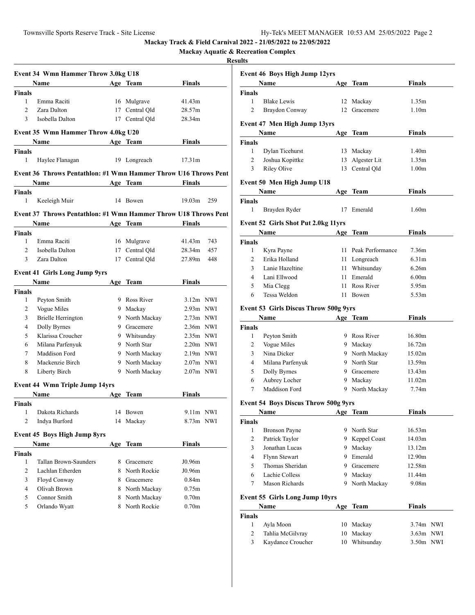**Mackay Aquatic & Recreation Complex**

| Name            |                                                                                                                                                                                                                                                                                                             |                                                                                                                           | <b>Finals</b>                                                                                                                                                                                                                                                                                                                                                                                                                                                                                                                                                                                  |                                                                                                                                                                                                                                                                                                                                                                                                                                                                                                                             |
|-----------------|-------------------------------------------------------------------------------------------------------------------------------------------------------------------------------------------------------------------------------------------------------------------------------------------------------------|---------------------------------------------------------------------------------------------------------------------------|------------------------------------------------------------------------------------------------------------------------------------------------------------------------------------------------------------------------------------------------------------------------------------------------------------------------------------------------------------------------------------------------------------------------------------------------------------------------------------------------------------------------------------------------------------------------------------------------|-----------------------------------------------------------------------------------------------------------------------------------------------------------------------------------------------------------------------------------------------------------------------------------------------------------------------------------------------------------------------------------------------------------------------------------------------------------------------------------------------------------------------------|
| <b>Finals</b>   |                                                                                                                                                                                                                                                                                                             |                                                                                                                           |                                                                                                                                                                                                                                                                                                                                                                                                                                                                                                                                                                                                |                                                                                                                                                                                                                                                                                                                                                                                                                                                                                                                             |
| Emma Raciti     |                                                                                                                                                                                                                                                                                                             |                                                                                                                           | 41.43m                                                                                                                                                                                                                                                                                                                                                                                                                                                                                                                                                                                         |                                                                                                                                                                                                                                                                                                                                                                                                                                                                                                                             |
| Zara Dalton     |                                                                                                                                                                                                                                                                                                             |                                                                                                                           |                                                                                                                                                                                                                                                                                                                                                                                                                                                                                                                                                                                                |                                                                                                                                                                                                                                                                                                                                                                                                                                                                                                                             |
| Isobella Dalton |                                                                                                                                                                                                                                                                                                             |                                                                                                                           | 28.34m                                                                                                                                                                                                                                                                                                                                                                                                                                                                                                                                                                                         |                                                                                                                                                                                                                                                                                                                                                                                                                                                                                                                             |
|                 |                                                                                                                                                                                                                                                                                                             |                                                                                                                           |                                                                                                                                                                                                                                                                                                                                                                                                                                                                                                                                                                                                |                                                                                                                                                                                                                                                                                                                                                                                                                                                                                                                             |
|                 |                                                                                                                                                                                                                                                                                                             |                                                                                                                           | <b>Finals</b>                                                                                                                                                                                                                                                                                                                                                                                                                                                                                                                                                                                  |                                                                                                                                                                                                                                                                                                                                                                                                                                                                                                                             |
| <b>Finals</b>   |                                                                                                                                                                                                                                                                                                             |                                                                                                                           |                                                                                                                                                                                                                                                                                                                                                                                                                                                                                                                                                                                                |                                                                                                                                                                                                                                                                                                                                                                                                                                                                                                                             |
| Haylee Flanagan |                                                                                                                                                                                                                                                                                                             |                                                                                                                           | 17.31m                                                                                                                                                                                                                                                                                                                                                                                                                                                                                                                                                                                         |                                                                                                                                                                                                                                                                                                                                                                                                                                                                                                                             |
|                 |                                                                                                                                                                                                                                                                                                             |                                                                                                                           |                                                                                                                                                                                                                                                                                                                                                                                                                                                                                                                                                                                                |                                                                                                                                                                                                                                                                                                                                                                                                                                                                                                                             |
|                 |                                                                                                                                                                                                                                                                                                             |                                                                                                                           | <b>Finals</b>                                                                                                                                                                                                                                                                                                                                                                                                                                                                                                                                                                                  |                                                                                                                                                                                                                                                                                                                                                                                                                                                                                                                             |
|                 |                                                                                                                                                                                                                                                                                                             |                                                                                                                           |                                                                                                                                                                                                                                                                                                                                                                                                                                                                                                                                                                                                |                                                                                                                                                                                                                                                                                                                                                                                                                                                                                                                             |
| Keeleigh Muir   |                                                                                                                                                                                                                                                                                                             |                                                                                                                           | 19.03 <sub>m</sub>                                                                                                                                                                                                                                                                                                                                                                                                                                                                                                                                                                             | 259                                                                                                                                                                                                                                                                                                                                                                                                                                                                                                                         |
|                 |                                                                                                                                                                                                                                                                                                             |                                                                                                                           |                                                                                                                                                                                                                                                                                                                                                                                                                                                                                                                                                                                                |                                                                                                                                                                                                                                                                                                                                                                                                                                                                                                                             |
| Name            |                                                                                                                                                                                                                                                                                                             |                                                                                                                           |                                                                                                                                                                                                                                                                                                                                                                                                                                                                                                                                                                                                |                                                                                                                                                                                                                                                                                                                                                                                                                                                                                                                             |
| <b>Finals</b>   |                                                                                                                                                                                                                                                                                                             |                                                                                                                           |                                                                                                                                                                                                                                                                                                                                                                                                                                                                                                                                                                                                |                                                                                                                                                                                                                                                                                                                                                                                                                                                                                                                             |
| Emma Raciti     |                                                                                                                                                                                                                                                                                                             |                                                                                                                           |                                                                                                                                                                                                                                                                                                                                                                                                                                                                                                                                                                                                | 743                                                                                                                                                                                                                                                                                                                                                                                                                                                                                                                         |
| Isobella Dalton |                                                                                                                                                                                                                                                                                                             |                                                                                                                           |                                                                                                                                                                                                                                                                                                                                                                                                                                                                                                                                                                                                | 457                                                                                                                                                                                                                                                                                                                                                                                                                                                                                                                         |
| Zara Dalton     |                                                                                                                                                                                                                                                                                                             |                                                                                                                           |                                                                                                                                                                                                                                                                                                                                                                                                                                                                                                                                                                                                | 448                                                                                                                                                                                                                                                                                                                                                                                                                                                                                                                         |
|                 |                                                                                                                                                                                                                                                                                                             |                                                                                                                           |                                                                                                                                                                                                                                                                                                                                                                                                                                                                                                                                                                                                |                                                                                                                                                                                                                                                                                                                                                                                                                                                                                                                             |
|                 |                                                                                                                                                                                                                                                                                                             |                                                                                                                           |                                                                                                                                                                                                                                                                                                                                                                                                                                                                                                                                                                                                |                                                                                                                                                                                                                                                                                                                                                                                                                                                                                                                             |
| <b>Finals</b>   |                                                                                                                                                                                                                                                                                                             |                                                                                                                           |                                                                                                                                                                                                                                                                                                                                                                                                                                                                                                                                                                                                |                                                                                                                                                                                                                                                                                                                                                                                                                                                                                                                             |
|                 |                                                                                                                                                                                                                                                                                                             |                                                                                                                           |                                                                                                                                                                                                                                                                                                                                                                                                                                                                                                                                                                                                |                                                                                                                                                                                                                                                                                                                                                                                                                                                                                                                             |
|                 |                                                                                                                                                                                                                                                                                                             |                                                                                                                           |                                                                                                                                                                                                                                                                                                                                                                                                                                                                                                                                                                                                |                                                                                                                                                                                                                                                                                                                                                                                                                                                                                                                             |
|                 |                                                                                                                                                                                                                                                                                                             |                                                                                                                           |                                                                                                                                                                                                                                                                                                                                                                                                                                                                                                                                                                                                |                                                                                                                                                                                                                                                                                                                                                                                                                                                                                                                             |
|                 |                                                                                                                                                                                                                                                                                                             |                                                                                                                           |                                                                                                                                                                                                                                                                                                                                                                                                                                                                                                                                                                                                |                                                                                                                                                                                                                                                                                                                                                                                                                                                                                                                             |
|                 |                                                                                                                                                                                                                                                                                                             |                                                                                                                           |                                                                                                                                                                                                                                                                                                                                                                                                                                                                                                                                                                                                |                                                                                                                                                                                                                                                                                                                                                                                                                                                                                                                             |
|                 |                                                                                                                                                                                                                                                                                                             |                                                                                                                           |                                                                                                                                                                                                                                                                                                                                                                                                                                                                                                                                                                                                |                                                                                                                                                                                                                                                                                                                                                                                                                                                                                                                             |
|                 |                                                                                                                                                                                                                                                                                                             |                                                                                                                           |                                                                                                                                                                                                                                                                                                                                                                                                                                                                                                                                                                                                |                                                                                                                                                                                                                                                                                                                                                                                                                                                                                                                             |
|                 |                                                                                                                                                                                                                                                                                                             |                                                                                                                           |                                                                                                                                                                                                                                                                                                                                                                                                                                                                                                                                                                                                |                                                                                                                                                                                                                                                                                                                                                                                                                                                                                                                             |
|                 |                                                                                                                                                                                                                                                                                                             |                                                                                                                           |                                                                                                                                                                                                                                                                                                                                                                                                                                                                                                                                                                                                |                                                                                                                                                                                                                                                                                                                                                                                                                                                                                                                             |
|                 |                                                                                                                                                                                                                                                                                                             |                                                                                                                           |                                                                                                                                                                                                                                                                                                                                                                                                                                                                                                                                                                                                |                                                                                                                                                                                                                                                                                                                                                                                                                                                                                                                             |
|                 |                                                                                                                                                                                                                                                                                                             |                                                                                                                           |                                                                                                                                                                                                                                                                                                                                                                                                                                                                                                                                                                                                |                                                                                                                                                                                                                                                                                                                                                                                                                                                                                                                             |
| Finals          |                                                                                                                                                                                                                                                                                                             |                                                                                                                           |                                                                                                                                                                                                                                                                                                                                                                                                                                                                                                                                                                                                |                                                                                                                                                                                                                                                                                                                                                                                                                                                                                                                             |
| Dakota Richards |                                                                                                                                                                                                                                                                                                             |                                                                                                                           |                                                                                                                                                                                                                                                                                                                                                                                                                                                                                                                                                                                                |                                                                                                                                                                                                                                                                                                                                                                                                                                                                                                                             |
| Indya Burford   |                                                                                                                                                                                                                                                                                                             |                                                                                                                           |                                                                                                                                                                                                                                                                                                                                                                                                                                                                                                                                                                                                |                                                                                                                                                                                                                                                                                                                                                                                                                                                                                                                             |
|                 |                                                                                                                                                                                                                                                                                                             |                                                                                                                           |                                                                                                                                                                                                                                                                                                                                                                                                                                                                                                                                                                                                |                                                                                                                                                                                                                                                                                                                                                                                                                                                                                                                             |
|                 |                                                                                                                                                                                                                                                                                                             |                                                                                                                           | <b>Finals</b>                                                                                                                                                                                                                                                                                                                                                                                                                                                                                                                                                                                  |                                                                                                                                                                                                                                                                                                                                                                                                                                                                                                                             |
|                 |                                                                                                                                                                                                                                                                                                             |                                                                                                                           |                                                                                                                                                                                                                                                                                                                                                                                                                                                                                                                                                                                                |                                                                                                                                                                                                                                                                                                                                                                                                                                                                                                                             |
|                 | 8.                                                                                                                                                                                                                                                                                                          |                                                                                                                           |                                                                                                                                                                                                                                                                                                                                                                                                                                                                                                                                                                                                |                                                                                                                                                                                                                                                                                                                                                                                                                                                                                                                             |
|                 |                                                                                                                                                                                                                                                                                                             |                                                                                                                           |                                                                                                                                                                                                                                                                                                                                                                                                                                                                                                                                                                                                |                                                                                                                                                                                                                                                                                                                                                                                                                                                                                                                             |
|                 |                                                                                                                                                                                                                                                                                                             |                                                                                                                           |                                                                                                                                                                                                                                                                                                                                                                                                                                                                                                                                                                                                |                                                                                                                                                                                                                                                                                                                                                                                                                                                                                                                             |
|                 |                                                                                                                                                                                                                                                                                                             |                                                                                                                           |                                                                                                                                                                                                                                                                                                                                                                                                                                                                                                                                                                                                |                                                                                                                                                                                                                                                                                                                                                                                                                                                                                                                             |
|                 |                                                                                                                                                                                                                                                                                                             |                                                                                                                           |                                                                                                                                                                                                                                                                                                                                                                                                                                                                                                                                                                                                |                                                                                                                                                                                                                                                                                                                                                                                                                                                                                                                             |
|                 |                                                                                                                                                                                                                                                                                                             |                                                                                                                           |                                                                                                                                                                                                                                                                                                                                                                                                                                                                                                                                                                                                |                                                                                                                                                                                                                                                                                                                                                                                                                                                                                                                             |
|                 |                                                                                                                                                                                                                                                                                                             |                                                                                                                           |                                                                                                                                                                                                                                                                                                                                                                                                                                                                                                                                                                                                |                                                                                                                                                                                                                                                                                                                                                                                                                                                                                                                             |
| Finals          | <b>Name</b><br>Peyton Smith<br>Vogue Miles<br><b>Brielle Herrington</b><br>Dolly Byrnes<br>Klarissa Croucher<br>Milana Parfenyuk<br>Maddison Ford<br>Mackenzie Birch<br>Liberty Birch<br>Name<br>Tallan Brown-Saunders<br>Lachlan Etherden<br>Floyd Conway<br>Olivah Brown<br>Connor Smith<br>Orlando Wyatt | <b>Event 41 Girls Long Jump 9yrs</b><br><b>Event 44 Wmn Triple Jump 14yrs</b><br><b>Event 45 Boys High Jump 8yrs</b><br>8 | Event 34 Wmn Hammer Throw 3.0kg U18<br><b>Example 21 Age Team</b><br>16 Mulgrave<br>17 Central Qld<br>17 Central Qld<br>Event 35 Wmn Hammer Throw 4.0kg U20<br>Name Age Team<br>19 Longreach<br>14 Bowen<br>16 Mulgrave<br>17 Central Qld<br>17 Central Qld<br>Age Team<br>9 Ross River<br>9 Mackay<br>9 North Mackay<br>9 Gracemere<br>9 Whitsunday<br>9 North Star<br>9 North Mackay<br>9 North Mackay<br>9 North Mackay<br>Name Age Team<br>14 Bowen<br>14 Mackay<br>Age Team<br>Gracemere<br>North Rockie<br>8<br>8<br>Gracemere<br>North Mackay<br>8<br>North Mackay<br>North Rockie<br>8 | 28.57m<br>Event 36 Throws Pentathlon: #1 Wmn Hammer Throw U16 Throws Pent<br>Age Team<br>Event 37 Throws Pentathlon: #1 Wmn Hammer Throw U18 Throws Pent<br><b>Finals</b><br><b>Example 2</b> Age Team<br>41.43m<br>28.34m<br>27.89m<br><b>Finals</b><br>$3.12m$ NWI<br>$2.93m$ NWI<br>$2.73m$ NWI<br>$2.36m$ NWI<br>$2.35m$ NWI<br>$2.20m$ NWI<br>2.19m NWI<br>$2.07m$ NWI<br>$2.07m$ NWI<br>Finals<br>$9.11m$ NWI<br>8.73m NWI<br>J0.96m<br>J0.96m<br>0.84 <sub>m</sub><br>0.75m<br>$0.70\mathrm{m}$<br>0.70 <sub>m</sub> |

|                | <b>Event 46 Boys High Jump 12yrs</b>         |            |                     |                   |  |
|----------------|----------------------------------------------|------------|---------------------|-------------------|--|
|                | Name                                         |            | Age Team            | Finals            |  |
| <b>Finals</b>  |                                              |            |                     |                   |  |
| 1              | <b>Blake Lewis</b>                           | 12         | Mackay              | 1.35m             |  |
| $\overline{c}$ | Braydon Conway                               | 12         | Gracemere           | 1.10 <sub>m</sub> |  |
|                | Event 47 Men High Jump 13yrs                 |            |                     |                   |  |
|                | Name                                         |            | Age Team            | <b>Finals</b>     |  |
| <b>Finals</b>  |                                              |            |                     |                   |  |
| 1              | Dylan Ticehurst                              |            | 13 Mackay           | 1.40 <sub>m</sub> |  |
| 2              | Joshua Kopittke                              |            | 13 Algester Lit     | 1.35m             |  |
| 3              | <b>Riley Olive</b>                           |            | 13 Central Qld      | 1.00 <sub>m</sub> |  |
|                |                                              |            |                     |                   |  |
|                | <b>Event 50 Men High Jump U18</b>            |            |                     |                   |  |
|                | Name                                         |            | Age Team            | Finals            |  |
| Finals         |                                              |            |                     |                   |  |
| 1              | Brayden Ryder                                | 17         | Emerald             | 1.60m             |  |
|                | <b>Event 52 Girls Shot Put 2.0kg 11yrs</b>   |            |                     |                   |  |
|                | Name                                         |            | Age Team            | <b>Finals</b>     |  |
| <b>Finals</b>  |                                              |            |                     |                   |  |
| 1              | Kyra Payne                                   |            | 11 Peak Performance | 7.36m             |  |
| $\overline{2}$ | Erika Holland                                |            | 11 Longreach        | 6.31 <sub>m</sub> |  |
| 3              | Lanie Hazeltine                              |            | 11 Whitsunday       | 6.26m             |  |
| 4              | Lani Ellwood                                 |            | 11 Emerald          | 6.00 <sub>m</sub> |  |
| 5              | Mia Clegg                                    |            | 11 Ross River       | 5.95m             |  |
| 6              | Tessa Weldon                                 | 11         | Bowen               | 5.53m             |  |
|                | <b>Event 53 Girls Discus Throw 500g 9yrs</b> |            |                     |                   |  |
|                | Name                                         |            | Age Team            | <b>Finals</b>     |  |
| <b>Finals</b>  |                                              |            |                     |                   |  |
| 1              | Peyton Smith                                 |            | 9 Ross River        | 16.80m            |  |
| 2              | Vogue Miles                                  |            | 9 Mackay            | 16.72m            |  |
| 3              | Nina Dicker                                  |            | 9 North Mackay      | 15.02m            |  |
| 4              | Milana Parfenyuk                             |            | 9 North Star        | 13.59m            |  |
| 5              | Dolly Byrnes                                 |            | 9 Gracemere         | 13.43m            |  |
| 6              | Aubrey Locher                                |            | 9 Mackay            | 11.02m            |  |
| 7              | Maddison Ford                                | 9          | North Mackay        | 7.74m             |  |
|                |                                              |            |                     |                   |  |
|                | <b>Event 54 Boys Discus Throw 500g 9yrs</b>  |            |                     |                   |  |
|                | <b>Name</b>                                  | <b>Age</b> | <b>Team</b>         | <b>Finals</b>     |  |
| <b>Finals</b>  |                                              |            |                     |                   |  |
| 1              | <b>Bronson Payne</b>                         |            | 9 North Star        | 16.53m            |  |
| 2              | Patrick Taylor                               |            | 9 Keppel Coast      | 14.03m            |  |
| 3              | Jonathan Lucas                               |            | 9 Mackay            | 13.12m            |  |
| 4              | Flynn Stewart                                |            | 9 Emerald           | 12.90m            |  |
| 5              | Thomas Sheridan                              |            | 9 Gracemere         | 12.58m            |  |
| 6              | Lachie Colless                               | 9.         | Mackay              | 11.44m            |  |
| 7              | Mason Richards                               | 9.         | North Mackay        | 9.08m             |  |
|                | Event 55 Girls Long Jump 10yrs               |            |                     |                   |  |
|                | Name                                         |            | Age Team            | Finals            |  |
| <b>Finals</b>  |                                              |            |                     |                   |  |
| 1              | Ayla Moon                                    |            | 10 Mackay           | 3.74m NWI         |  |
| 2              | Tahlia McGilvray                             |            | 10 Mackay           | $3.63m$ NWI       |  |
| 3              | Kaydance Croucher                            |            | 10 Whitsunday       | 3.50m NWI         |  |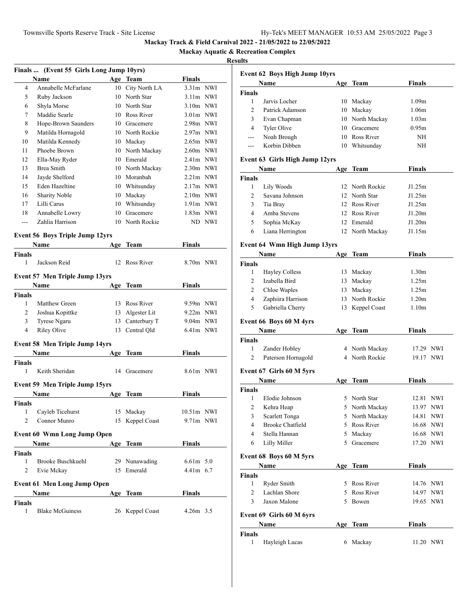# **Mackay Aquatic & Recreation Complex**

|                    | Finals  (Event 55 Girls Long Jump 10yrs)                                                                                                                                                    |     |                 |               |        |
|--------------------|---------------------------------------------------------------------------------------------------------------------------------------------------------------------------------------------|-----|-----------------|---------------|--------|
|                    | <b>Name</b>                                                                                                                                                                                 |     | Age Team        | Finals        |        |
| 4                  | Annabelle McFarlane                                                                                                                                                                         | 10  | City North LA   | $3.31m$ NWI   |        |
| 5                  | Ruby Jackson                                                                                                                                                                                |     | 10 North Star   | $3.11m$ NWI   |        |
| 6                  | Shyla Morse                                                                                                                                                                                 |     | 10 North Star   | $3.10m$ NWI   |        |
| 7                  | Maddie Searle                                                                                                                                                                               |     | 10 Ross River   | $3.01m$ NWI   |        |
| 8                  | Hope-Brown Saunders                                                                                                                                                                         |     | 10 Gracemere    | 2.98m NWI     |        |
| 9                  | Matilda Hornagold                                                                                                                                                                           |     | 10 North Rockie | $2.97m$ NWI   |        |
| 10                 | Matilda Kennedy                                                                                                                                                                             |     | 10 Mackay       | $2.65m$ NWI   |        |
| 11                 | Phoebe Brown                                                                                                                                                                                |     | 10 North Mackay | $2.60m$ NWI   |        |
| 12                 | Ella-May Ryder                                                                                                                                                                              |     | 10 Emerald      | $2.41m$ NWI   |        |
| 13                 | <b>Brea Smith</b>                                                                                                                                                                           |     | 10 North Mackay | $2.30m$ NWI   |        |
| 14                 | Jayde Shelford                                                                                                                                                                              |     | 10 Moranbah     | $2.21m$ NWI   |        |
| 15                 | Eden Hazeltine                                                                                                                                                                              |     | 10 Whitsunday   | $2.17m$ NWI   |        |
| 16                 | Sharity Noble                                                                                                                                                                               |     | 10 Mackay       | $2.10m$ NWI   |        |
| 17                 | Lilli Carus                                                                                                                                                                                 |     | 10 Whitsunday   | $1.91m$ NWI   |        |
| 18                 | Annabelle Lowry                                                                                                                                                                             |     | 10 Gracemere    | 1.83m NWI     |        |
| ---                | Zahlia Harrison                                                                                                                                                                             |     | 10 North Rockie |               | ND NWI |
|                    | <b>Event 56 Boys Triple Jump 12yrs</b>                                                                                                                                                      |     |                 |               |        |
|                    | Name                                                                                                                                                                                        | Age | Team            | Finals        |        |
| <b>Finals</b>      |                                                                                                                                                                                             |     |                 |               |        |
| 1                  | Jackson Reid                                                                                                                                                                                |     | 12 Ross River   | 8.70m NWI     |        |
|                    | Event 57 Men Triple Jump 13yrs                                                                                                                                                              |     |                 |               |        |
|                    | Name                                                                                                                                                                                        | Age | Team            | Finals        |        |
| <b>Finals</b>      |                                                                                                                                                                                             |     |                 |               |        |
| 1                  | Matthew Green                                                                                                                                                                               |     | 13 Ross River   | 9.59m NWI     |        |
| 2                  | Joshua Kopittke                                                                                                                                                                             |     | 13 Algester Lit | $9.22m$ NWI   |        |
| 3                  | Tyrese Ngaru                                                                                                                                                                                |     | 13 Canterbury T | 9.04m NWI     |        |
| $\overline{4}$     | <b>Riley Olive</b>                                                                                                                                                                          |     | 13 Central Qld  | 6.41m NWI     |        |
|                    |                                                                                                                                                                                             |     |                 |               |        |
|                    | <b>Event 58 Men Triple Jump 14yrs</b>                                                                                                                                                       |     |                 |               |        |
|                    | Name                                                                                                                                                                                        | Age | Team            | Finals        |        |
| <b>Finals</b><br>1 | Keith Sheridan                                                                                                                                                                              |     | 14 Gracemere    | $8.61m$ NWI   |        |
|                    |                                                                                                                                                                                             |     |                 |               |        |
|                    | <b>Event 59 Men Triple Jump 15yrs</b>                                                                                                                                                       |     |                 |               |        |
|                    | Name                                                                                                                                                                                        | Age | Team            | Finals        |        |
| <b>Finals</b>      |                                                                                                                                                                                             |     |                 |               |        |
|                    | 1 Cayleb Ticehurst                                                                                                                                                                          |     | 15 Mackay       | $10.51m$ NWI  |        |
| 2                  | Connor Munro                                                                                                                                                                                |     | 15 Keppel Coast | 9.71m NWI     |        |
|                    | <b>Event 60 Wmn Long Jump Open</b>                                                                                                                                                          |     |                 |               |        |
|                    | <b>Name</b><br>$\mathcal{L}^{\mathcal{L}}(\mathcal{L}^{\mathcal{L}})$ and $\mathcal{L}^{\mathcal{L}}(\mathcal{L}^{\mathcal{L}})$ and $\mathcal{L}^{\mathcal{L}}(\mathcal{L}^{\mathcal{L}})$ |     | Age Team        | <b>Finals</b> |        |
| <b>Finals</b>      |                                                                                                                                                                                             |     |                 |               |        |
| 1                  | Brooke Buschkuehl                                                                                                                                                                           |     | 29 Nunawading   | $6.61m$ 5.0   |        |
| 2                  | Evie Mckay                                                                                                                                                                                  |     | 15 Emerald      | 4.41m 6.7     |        |
|                    | <b>Event 61 Men Long Jump Open</b>                                                                                                                                                          |     |                 |               |        |
|                    | Name                                                                                                                                                                                        |     | Age Team        | <b>Finals</b> |        |
| <b>Finals</b>      |                                                                                                                                                                                             |     |                 |               |        |
| 1                  | <b>Blake McGuiness</b>                                                                                                                                                                      |     | 26 Keppel Coast | $4.26m$ 3.5   |        |

| <b>Event 62 Boys High Jump 10yrs</b> |                                |     |                 |                   |            |  |
|--------------------------------------|--------------------------------|-----|-----------------|-------------------|------------|--|
|                                      | Name                           |     | Age Team        | <b>Finals</b>     |            |  |
| <b>Finals</b>                        |                                |     |                 |                   |            |  |
| 1                                    | Jarvis Locher                  |     | 10 Mackay       | 1.09m             |            |  |
| 2                                    | Patrick Adamson                |     | 10 Mackay       | 1.06m             |            |  |
| 3                                    | Evan Chapman                   |     | 10 North Mackay | 1.03 <sub>m</sub> |            |  |
| 4                                    | Tyler Olive                    |     | 10 Gracemere    | 0.95m             |            |  |
| ---                                  | Noah Brough                    |     | 10 Ross River   | NH                |            |  |
| ---                                  | Korbin Dibben                  |     | 10 Whitsunday   | NH                |            |  |
|                                      | Event 63 Girls High Jump 12yrs |     |                 |                   |            |  |
|                                      | Name                           | Age | Team            | Finals            |            |  |
| <b>Finals</b>                        |                                |     |                 |                   |            |  |
| 1                                    | Lily Woods                     |     | 12 North Rockie | J1.25m            |            |  |
| $\overline{2}$                       | Savana Johnson                 |     | 12 North Star   | J1.25m            |            |  |
| 3                                    | Tia Bray                       |     | 12 Ross River   | J1.25m            |            |  |
| 4                                    | Amba Stevens                   |     | 12 Ross River   | J1.20m            |            |  |
| 5                                    | Sophia McKay                   |     | 12 Emerald      | J1.20m            |            |  |
| 6                                    | Liana Herrington               | 12  | North Mackay    | J1.15m            |            |  |
|                                      | Event 64 Wmn High Jump 13yrs   |     |                 |                   |            |  |
|                                      | Name                           | Age | Team            | Finals            |            |  |
| <b>Finals</b>                        |                                |     |                 |                   |            |  |
| 1                                    | <b>Hayley Colless</b>          |     | 13 Mackay       | 1.30 <sub>m</sub> |            |  |
| 2                                    | Izabella Bird                  |     | 13 Mackay       | 1.25m             |            |  |
| 2                                    |                                |     |                 | 1.25m             |            |  |
|                                      | Chloe Waples                   |     | 13 Mackay       |                   |            |  |
| 4                                    | Zaphiira Harrison              |     | 13 North Rockie | 1.20 <sub>m</sub> |            |  |
| 5                                    | Gabriella Cherry               |     | 13 Keppel Coast | 1.10 <sub>m</sub> |            |  |
|                                      | Event 66 Boys 60 M 4yrs        |     |                 |                   |            |  |
|                                      | <b>Name</b>                    |     | Age Team        | Finals            |            |  |
| Finals                               |                                |     |                 |                   |            |  |
| 1                                    | Zander Hobley                  |     | 4 North Mackay  | 17.29 NWI         |            |  |
| $\overline{c}$                       | Paterson Hornagold             |     | 4 North Rockie  | 19.17 NWI         |            |  |
|                                      |                                |     |                 |                   |            |  |
|                                      | Event 67 Girls 60 M 5yrs       |     |                 |                   |            |  |
|                                      | Name                           | Age | Team            | <b>Finals</b>     |            |  |
| Finals<br>1                          |                                |     |                 |                   |            |  |
|                                      | Elodie Johnson                 |     | 5 North Star    | 12.81 NWI         |            |  |
| 2                                    | Kehra Heap                     | 5   | North Mackay    | 13.97 NWI         |            |  |
| 3                                    | Scarlett Tonga                 |     | 5 North Mackay  | 14.81             | <b>NWI</b> |  |
| 4                                    | <b>Brooke Chatfield</b>        |     | 5 Ross River    | 16.68 NWI         |            |  |
| 4                                    | Stella Hannan                  |     | 5 Mackay        | 16.68 NWI         |            |  |
| 6                                    | Lilly Miller                   | 5   | Gracemere       | 17.20 NWI         |            |  |
|                                      | Event 68 Boys 60 M 5yrs        |     |                 |                   |            |  |
|                                      | Name                           |     | Age Team        | Finals            |            |  |
| Finals                               |                                |     |                 |                   |            |  |
| 1                                    | Ryder Smith                    |     | 5 Ross River    | 14.76 NWI         |            |  |
| $\overline{2}$                       | Lachlan Shore                  |     | 5 Ross River    | 14.97 NWI         |            |  |
| 3                                    | Jaxon Malone                   |     | 5 Bowen         | 19.65 NWI         |            |  |
|                                      |                                |     |                 |                   |            |  |
|                                      | Event 69 Girls 60 M 6yrs       |     |                 |                   |            |  |
|                                      | Name                           |     | Age Team        | Finals            |            |  |
| <b>Finals</b>                        |                                |     |                 |                   |            |  |
| 1                                    | Hayleigh Lucas                 |     | 6 Mackay        | 11.20 NWI         |            |  |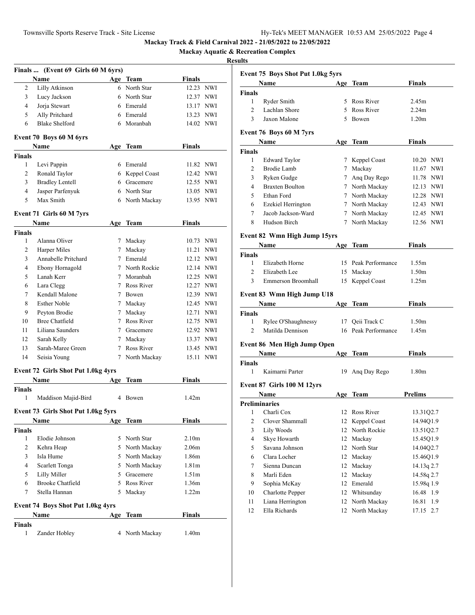**Mackay Aquatic & Recreation Complex**

|                | Finals  (Event 69 Girls 60 M 6yrs)       |             |                |                   |            |
|----------------|------------------------------------------|-------------|----------------|-------------------|------------|
|                | Name                                     |             | Age Team       | <b>Finals</b>     |            |
| 2              | Lilly Atkinson                           |             | 6 North Star   | 12.23 NWI         |            |
| 3              | Lucy Jackson                             |             | 6 North Star   | 12.37 NWI         |            |
| $\overline{4}$ | Jorja Stewart                            |             | 6 Emerald      | 13.17 NWI         |            |
| 5              | Ally Pritchard                           |             | 6 Emerald      | 13.23 NWI         |            |
| 6              | <b>Blake Shelford</b>                    |             | 6 Moranbah     | 14.02 NWI         |            |
|                | Event 70 Boys 60 M 6yrs                  |             |                |                   |            |
|                | Name                                     |             | Age Team       | <b>Finals</b>     |            |
| <b>Finals</b>  |                                          |             |                |                   |            |
| 1              | Levi Pappin                              |             | 6 Emerald      | 11.82 NWI         |            |
| 2              | Ronald Taylor                            |             | 6 Keppel Coast | 12.42 NWI         |            |
| 3              | <b>Bradley Lentell</b>                   |             | 6 Gracemere    | 12.55 NWI         |            |
| $\overline{4}$ | Jasper Parfenyuk                         |             | 6 North Star   | 13.05 NWI         |            |
| 5              | Max Smith                                |             | 6 North Mackay | 13.95 NWI         |            |
|                | Event 71 Girls 60 M 7yrs                 |             |                |                   |            |
|                | <b>Name</b>                              | Age         | <b>Team</b>    | <b>Finals</b>     |            |
| <b>Finals</b>  |                                          |             |                |                   |            |
| 1              | Alanna Oliver                            |             | 7 Mackay       | 10.73 NWI         |            |
| 2              | Harper Miles                             | 7           | Mackay         | 11.21             | <b>NWI</b> |
| 3              | Annabelle Pritchard                      |             | 7 Emerald      | 12.12 NWI         |            |
| $\overline{4}$ | Ebony Hornagold                          |             | 7 North Rockie | 12.14 NWI         |            |
| 5              | Lanah Kerr                               |             | 7 Moranbah     | 12.25 NWI         |            |
| 6              | Lara Clegg                               |             | 7 Ross River   | 12.27 NWI         |            |
| 7              | Kendall Malone                           |             | 7 Bowen        | 12.39 NWI         |            |
| 8              | <b>Esther Noble</b>                      |             | 7 Mackay       | 12.45 NWI         |            |
| 9              | Peyton Brodie                            |             | 7 Mackay       | 12.71 NWI         |            |
| 10             | <b>Bree Chatfield</b>                    |             | 7 Ross River   | 12.75 NWI         |            |
| 11             | Liliana Saunders                         |             | 7 Gracemere    | 12.92 NWI         |            |
| 12             | Sarah Kelly                              | 7           | Mackay         | 13.37 NWI         |            |
| 13             | Sarah-Maree Green                        | $7^{\circ}$ | Ross River     | 13.45 NWI         |            |
| 14             | Seisia Young                             | 7           | North Mackay   | 15.11 NWI         |            |
|                | Event 72 Girls Shot Put 1.0kg 4yrs       |             |                |                   |            |
|                | <b>Name</b>                              | Age         | Team           | <b>Finals</b>     |            |
| <b>Finals</b>  |                                          |             |                |                   |            |
| 1              | Maddison Majid-Bird                      | 4           | Bowen          | 1.42m             |            |
|                | Event 73 Girls Shot Put 1.0kg 5yrs       |             |                |                   |            |
|                | Name                                     |             | Age Team       | <b>Finals</b>     |            |
| <b>Finals</b>  |                                          |             |                |                   |            |
| 1              | Elodie Johnson                           |             | 5 North Star   | 2.10 <sub>m</sub> |            |
| 2              | Kehra Heap                               |             | 5 North Mackay | 2.06 <sub>m</sub> |            |
| 3              | Isla Hume                                |             | 5 North Mackay | 1.86m             |            |
| 4              | Scarlett Tonga                           |             | 5 North Mackay | 1.81 <sub>m</sub> |            |
| 5              | Lilly Miller                             |             | 5 Gracemere    | 1.51m             |            |
| 6              | <b>Brooke Chatfield</b>                  |             | 5 Ross River   | 1.36m             |            |
| 7              | Stella Hannan                            |             | 5 Mackay       | 1.22m             |            |
|                | <b>Event 74 Boys Shot Put 1.0kg 4yrs</b> |             |                |                   |            |
|                | Name                                     | Age         | <b>Team</b>    | <b>Finals</b>     |            |
| <b>Finals</b>  |                                          |             |                |                   |            |
| 1              | Zander Hobley                            |             | 4 North Mackay | 1.40m             |            |
|                |                                          |             |                |                   |            |

|                |                                    | <b>Event 75 Boys Shot Put 1.0kg 5yrs</b> |                     |                   |  |  |  |
|----------------|------------------------------------|------------------------------------------|---------------------|-------------------|--|--|--|
|                | Name                               |                                          | Age Team            | Finals            |  |  |  |
| Finals         |                                    |                                          |                     |                   |  |  |  |
| 1              | Ryder Smith                        |                                          | 5 Ross River        | 2.45m             |  |  |  |
| 2              | Lachlan Shore                      |                                          | 5 Ross River        | 2.24m             |  |  |  |
| 3              | Jaxon Malone                       |                                          | 5 Bowen             | 1.20 <sub>m</sub> |  |  |  |
|                | Event 76 Boys 60 M 7yrs            |                                          |                     |                   |  |  |  |
|                | Name                               |                                          | Age Team            | Finals            |  |  |  |
| Finals         |                                    |                                          |                     |                   |  |  |  |
| 1              | Edward Taylor                      |                                          | 7 Keppel Coast      | 10.20 NWI         |  |  |  |
| 2              | Brodie Lamb                        |                                          | 7 Mackay            | 11.67 NWI         |  |  |  |
| 3              | Ryken Gudge                        |                                          | 7 Ang Day Rego      | 11.78 NWI         |  |  |  |
| 4              | <b>Braxten Boulton</b>             |                                          | 7 North Mackay      | 12.13 NWI         |  |  |  |
| 5              | Ethan Ford                         |                                          | 7 North Mackay      | 12.28 NWI         |  |  |  |
| 6              | Ezekiel Herrington                 |                                          | 7 North Mackay      | 12.43 NWI         |  |  |  |
| 7              | Jacob Jackson-Ward                 |                                          | 7 North Mackay      | 12.45 NWI         |  |  |  |
| 8              | Hudson Birch                       |                                          | 7 North Mackay      | 12.56 NWI         |  |  |  |
|                |                                    |                                          |                     |                   |  |  |  |
|                | Event 82 Wmn High Jump 15yrs       |                                          |                     |                   |  |  |  |
|                | Name                               |                                          | Age Team            | Finals            |  |  |  |
| Finals         |                                    |                                          |                     |                   |  |  |  |
| 1              | Elizabeth Horne                    |                                          | 15 Peak Performance | 1.55m             |  |  |  |
| 2              | Elizabeth Lee                      |                                          | 15 Mackay           | 1.50m             |  |  |  |
| 3              | Emmerson Broomhall                 |                                          | 15 Keppel Coast     | 1.25m             |  |  |  |
|                | Event 83 Wmn High Jump U18         |                                          |                     |                   |  |  |  |
|                | Name                               |                                          | Age Team            | Finals            |  |  |  |
|                |                                    |                                          |                     |                   |  |  |  |
| <b>Finals</b>  |                                    |                                          |                     |                   |  |  |  |
| 1              | Rylee O'Shaughnessy                | 17                                       | Qeii Track C        | 1.50m             |  |  |  |
| 2              | Matilda Dennison                   |                                          | 16 Peak Performance | 1.45m             |  |  |  |
|                |                                    |                                          |                     |                   |  |  |  |
|                | <b>Event 86 Men High Jump Open</b> |                                          |                     |                   |  |  |  |
|                | <b>Name</b>                        |                                          | Age Team            | Finals            |  |  |  |
| Finals         |                                    |                                          |                     |                   |  |  |  |
| 1              | Kaimarni Parter                    | 19                                       | Ang Day Rego        | 1.80m             |  |  |  |
|                | Event 87 Girls 100 M 12yrs         |                                          |                     |                   |  |  |  |
|                | Name                               |                                          | Age Team            | Prelims           |  |  |  |
|                | <b>Preliminaries</b>               |                                          |                     |                   |  |  |  |
| 1              | Charli Cox                         | 12                                       | Ross River          | 13.31Q2.7         |  |  |  |
| 2              | Clover Shammall                    |                                          | 12 Keppel Coast     | 14.94Q1.9         |  |  |  |
| 3              | Lily Woods                         | 12                                       | North Rockie        | 13.51Q2.7         |  |  |  |
| $\overline{4}$ | Skye Howarth                       | 12                                       | Mackay              | 15.45Q1.9         |  |  |  |
| 5              | Savana Johnson                     | 12                                       | North Star          | 14.04Q2.7         |  |  |  |
| 6              | Clara Locher                       | 12                                       | Mackay              | 15.46Q1.9         |  |  |  |
| 7              | Sienna Duncan                      | 12                                       | Mackay              | 14.13q 2.7        |  |  |  |
| 8              | Marli Eden                         | 12                                       | Mackay              | 14.58q 2.7        |  |  |  |
| 9              | Sophia McKay                       | 12                                       | Emerald             | 15.98q 1.9        |  |  |  |
| 10             | <b>Charlotte Pepper</b>            | 12                                       | Whitsunday          | 16.48<br>1.9      |  |  |  |
| 11             | Liana Herrington                   | 12                                       | North Mackay        | 16.81<br>1.9      |  |  |  |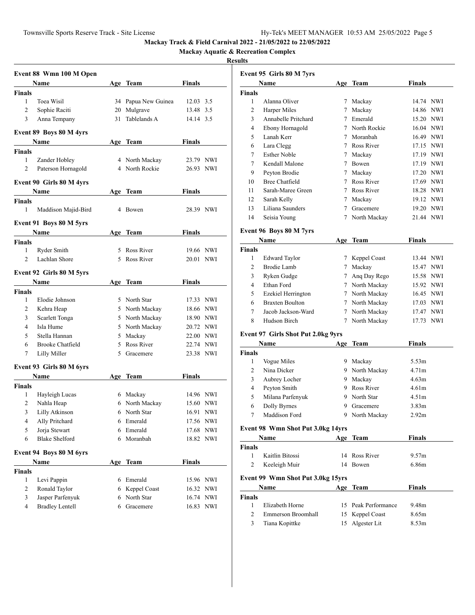**Mackay Aquatic & Recreation Complex**

|                          | Event 88 Wmn 100 M Open  |     |                              |               |            |
|--------------------------|--------------------------|-----|------------------------------|---------------|------------|
|                          | Name                     |     | Age Team                     | Finals        |            |
| <b>Finals</b>            |                          |     |                              |               |            |
| $\mathbf{1}$             | Toea Wisil               |     | 34 Papua New Guinea          | 12.03 3.5     |            |
| $\overline{2}$           | Sophie Raciti            |     | 20 Mulgrave                  | 13.48 3.5     |            |
| 3                        | Anna Tempany             | 31  | Tablelands A                 | 14.14 3.5     |            |
|                          |                          |     |                              |               |            |
|                          | Event 89 Boys 80 M 4yrs  |     |                              |               |            |
|                          | Name                     |     | Age Team                     | Finals        |            |
| <b>Finals</b>            |                          |     |                              |               |            |
| 1                        | Zander Hobley            |     | 4 North Mackay               | 23.79 NWI     |            |
| 2                        | Paterson Hornagold       |     | 4 North Rockie               | 26.93 NWI     |            |
|                          | Event 90 Girls 80 M 4yrs |     |                              |               |            |
|                          | Name                     |     | Age Team                     | Finals        |            |
| <b>Finals</b>            |                          |     |                              |               |            |
| 1                        | Maddison Majid-Bird      |     | 4 Bowen                      | 28.39 NWI     |            |
|                          |                          |     |                              |               |            |
|                          | Event 91 Boys 80 M 5yrs  |     |                              |               |            |
|                          | Name                     |     | Age Team                     | Finals        |            |
| <b>Finals</b>            |                          |     |                              |               |            |
| $\mathbf{1}$             | Ryder Smith              |     | 5 Ross River<br>5 Ross River | 19.66 NWI     |            |
| $\overline{c}$           | Lachlan Shore            |     |                              | 20.01 NWI     |            |
|                          | Event 92 Girls 80 M 5yrs |     |                              |               |            |
|                          | Name                     |     | Age Team                     | Finals        |            |
| <b>Finals</b>            |                          |     |                              |               |            |
| 1                        | Elodie Johnson           |     | 5 North Star                 | 17.33 NWI     |            |
| 2                        | Kehra Heap               |     | 5 North Mackay               | 18.66 NWI     |            |
| 3                        | Scarlett Tonga           |     | 5 North Mackay               | 18.90 NWI     |            |
| 4                        | Isla Hume                |     | 5 North Mackay               | 20.72 NWI     |            |
| 5                        | Stella Hannan            |     | 5 Mackay                     | 22.00 NWI     |            |
| 6                        | <b>Brooke Chatfield</b>  |     | 5 Ross River                 | 22.74 NWI     |            |
| 7                        | Lilly Miller             |     | 5 Gracemere                  | 23.38 NWI     |            |
|                          |                          |     |                              |               |            |
|                          | Event 93 Girls 80 M 6yrs |     |                              |               |            |
|                          | Name                     | Age | Team                         | <b>Finals</b> |            |
| Finals                   |                          |     |                              |               |            |
| 1                        | Hayleigh Lucas           |     | 6 Mackay                     | 14.96 NWI     |            |
| 2                        | Nahla Heap               |     | 6 North Mackay               | 15.60         | NWI        |
| 3                        | Lilly Atkinson           |     | 6 North Star                 | 16.91         | NWI        |
| $\overline{\mathcal{L}}$ | Ally Pritchard           | 6   | Emerald                      | 17.56 NWI     |            |
| 5                        | Jorja Stewart            | 6   | Emerald                      | 17.68         | NWI        |
| 6                        | <b>Blake Shelford</b>    | 6   | Moranbah                     | 18.82         | <b>NWI</b> |
|                          | Event 94 Boys 80 M 6yrs  |     |                              |               |            |
|                          | Name                     |     | Age Team                     | Finals        |            |
| Finals                   |                          |     |                              |               |            |
| 1                        | Levi Pappin              |     | 6 Emerald                    | 15.96 NWI     |            |
| 2                        | Ronald Taylor            |     | 6 Keppel Coast               | 16.32 NWI     |            |
| 3                        | Jasper Parfenyuk         |     | 6 North Star                 | 16.74 NWI     |            |
| 4                        | <b>Bradley Lentell</b>   |     | 6 Gracemere                  |               | 16.83 NWI  |
|                          |                          |     |                              |               |            |

|                     | Event 95 Girls 80 M 7yrs           |                 |                     |                            |            |
|---------------------|------------------------------------|-----------------|---------------------|----------------------------|------------|
|                     | Name                               |                 | Age Team            | <b>Finals</b>              |            |
| <b>Finals</b>       |                                    |                 |                     |                            |            |
| 1                   | Alanna Oliver                      |                 | 7 Mackay            | 14.74 NWI                  |            |
| 2                   | Harper Miles                       | $\tau$          | Mackay              | 14.86 NWI                  |            |
| 3                   | Annabelle Pritchard                | $7^{\circ}$     | Emerald             | 15.20 NWI                  |            |
| 4                   | Ebony Hornagold                    |                 | 7 North Rockie      | 16.04 NWI                  |            |
| 5                   | Lanah Kerr                         | $7\overline{ }$ | Moranbah            | 16.49 NWI                  |            |
| 6                   | Lara Clegg                         |                 | 7 Ross River        | 17.15 NWI                  |            |
| 7                   | <b>Esther Noble</b>                | 7               | Mackay              | 17.19 NWI                  |            |
| 7                   | Kendall Malone                     | $7\phantom{.0}$ | Bowen               | 17.19 NWI                  |            |
| 9                   | Peyton Brodie                      | $7\phantom{.0}$ | Mackay              | 17.20 NWI                  |            |
| 10                  | Bree Chatfield                     |                 | 7 Ross River        | 17.69 NWI                  |            |
| 11                  | Sarah-Maree Green                  |                 | 7 Ross River        | 18.28 NWI                  |            |
| 12                  | Sarah Kelly                        | $7\overline{ }$ | Mackay              | 19.12 NWI                  |            |
| 13                  | Liliana Saunders                   |                 | 7 Gracemere         | 19.20 NWI                  |            |
| 14                  | Seisia Young                       | $\tau$          | North Mackay        | 21.44 NWI                  |            |
|                     |                                    |                 |                     |                            |            |
|                     | Event 96 Boys 80 M 7yrs            |                 |                     |                            |            |
|                     | Name                               |                 | Age Team            | <b>Finals</b>              |            |
| <b>Finals</b>       |                                    |                 |                     |                            |            |
| 1                   | <b>Edward Taylor</b>               | 7               | Keppel Coast        | 13.44 NWI                  |            |
| 2                   | <b>Brodie Lamb</b>                 | $7\phantom{.0}$ | Mackay              | 15.47                      | <b>NWI</b> |
| 3                   | Ryken Gudge                        | 7               | Ang Day Rego        | 15.58 NWI                  |            |
| 4                   | Ethan Ford                         | $7\overline{ }$ | North Mackay        | 15.92 NWI                  |            |
| 5                   | Ezekiel Herrington                 |                 | 7 North Mackay      | 16.45 NWI                  |            |
| 6                   | <b>Braxten Boulton</b>             |                 | 7 North Mackay      | 17.03 NWI                  |            |
| 7                   | Jacob Jackson-Ward                 |                 | 7 North Mackay      | 17.47 NWI                  |            |
| 8                   | Hudson Birch                       |                 | 7 North Mackay      | 17.73 NWI                  |            |
|                     | Event 97 Girls Shot Put 2.0kg 9yrs |                 |                     |                            |            |
|                     | Name                               | Age             | Team                | <b>Finals</b>              |            |
| <b>Finals</b>       |                                    |                 |                     |                            |            |
| 1                   | Vogue Miles                        |                 | 9 Mackay            | 5.53m                      |            |
| $\overline{2}$      | Nina Dicker                        |                 | 9 North Mackay      | 4.71m                      |            |
| 3                   | Aubrey Locher                      | 9               | Mackay              | 4.63m                      |            |
| 4                   | Peyton Smith                       |                 | 9 Ross River        | 4.61 <sub>m</sub>          |            |
| 5                   |                                    | 9.              | North Star          |                            |            |
|                     | Milana Parfenyuk                   |                 | 9 Gracemere         | 4.51m<br>3.83 <sub>m</sub> |            |
| 6<br>$\overline{7}$ | Dolly Byrnes                       |                 |                     |                            |            |
|                     | Maddison Ford                      |                 | 9 North Mackay      | 2.92m                      |            |
|                     | Event 98 Wmn Shot Put 3.0kg 14yrs  |                 |                     |                            |            |
|                     | Name                               |                 | Age Team            | <b>Finals</b>              |            |
| <b>Finals</b>       |                                    |                 |                     |                            |            |
| $\mathbf{1}$        | Kaitlin Bitossi                    |                 | 14 Ross River       | 9.57m                      |            |
| 2                   | Keeleigh Muir                      |                 | 14 Bowen            | 6.86m                      |            |
|                     |                                    |                 |                     |                            |            |
|                     | Event 99 Wmn Shot Put 3.0kg 15yrs  |                 |                     |                            |            |
|                     | Name                               |                 | Age Team            | <b>Finals</b>              |            |
| <b>Finals</b>       |                                    |                 |                     |                            |            |
| 1                   | Elizabeth Horne                    |                 | 15 Peak Performance | 9.48m                      |            |
| 2                   | Emmerson Broomhall                 |                 | 15 Keppel Coast     | 8.65m                      |            |
| 3                   | Tiana Kopittke                     | 15              | Algester Lit        | 8.53m                      |            |
|                     |                                    |                 |                     |                            |            |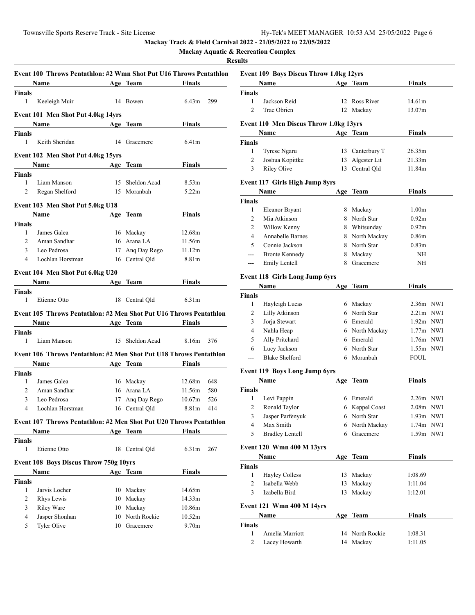**Mackay Aquatic & Recreation Complex**

|                               | Event 100 Throws Pentathlon: #2 Wmn Shot Put U16 Throws Pentathlon |                 |                                |                          |     |
|-------------------------------|--------------------------------------------------------------------|-----------------|--------------------------------|--------------------------|-----|
|                               | Name<br><b>Age Team</b>                                            |                 |                                | <b>Example 18</b> Finals |     |
| <b>Finals</b>                 |                                                                    |                 |                                |                          |     |
| 1                             | Keeleigh Muir                                                      |                 | 14 Bowen                       | 6.43 <sub>m</sub>        | 299 |
|                               | Event 101 Men Shot Put 4.0kg 14yrs                                 |                 |                                |                          |     |
|                               | <b>Name</b>                                                        |                 | Age Team                       | Finals                   |     |
| <b>Finals</b>                 |                                                                    |                 |                                |                          |     |
| 1                             | Keith Sheridan                                                     |                 | 14 Gracemere                   | 6.41 <sub>m</sub>        |     |
|                               |                                                                    |                 |                                |                          |     |
|                               | Event 102 Men Shot Put 4.0kg 15yrs                                 |                 |                                |                          |     |
|                               | Name<br><b>Example 2</b> Age Team                                  |                 |                                | Finals                   |     |
| <b>Finals</b>                 |                                                                    |                 |                                |                          |     |
| 1<br>$\overline{c}$           | Liam Manson                                                        |                 | 15 Sheldon Acad<br>15 Moranbah | 8.53m<br>5.22m           |     |
|                               | Regan Shelford                                                     |                 |                                |                          |     |
|                               | Event 103 Men Shot Put 5.0kg U18                                   |                 |                                |                          |     |
|                               | <b>Name</b>                                                        | <b>Age Team</b> |                                | Finals                   |     |
| <b>Finals</b>                 |                                                                    |                 |                                |                          |     |
| $\mathbf{1}$                  | James Galea                                                        |                 | 16 Mackay                      | 12.68m                   |     |
| $\overline{2}$                | Aman Sandhar                                                       |                 | 16 Arana LA                    | 11.56m                   |     |
| 3                             | Leo Pedrosa                                                        |                 | 17 Ang Day Rego                | 11.12m                   |     |
| 4                             | Lochlan Horstman                                                   |                 | 16 Central Qld                 | 8.81m                    |     |
|                               | Event 104 Men Shot Put 6.0kg U20                                   |                 |                                |                          |     |
|                               | Name                                                               |                 | Age Team                       | Finals                   |     |
| <b>Finals</b>                 |                                                                    |                 |                                |                          |     |
| 1                             | Etienne Otto                                                       | 18              | Central Qld                    | 6.31 <sub>m</sub>        |     |
|                               |                                                                    |                 |                                |                          |     |
|                               | Event 105 Throws Pentathlon: #2 Men Shot Put U16 Throws Pentathlon |                 |                                |                          |     |
|                               | <b>Name</b><br>Age Team                                            |                 |                                | <b>Finals</b>            |     |
| <b>Finals</b><br>$\mathbf{1}$ | Liam Manson                                                        |                 | 15 Sheldon Acad                | 8.16m                    | 376 |
|                               |                                                                    |                 |                                |                          |     |
|                               | Event 106 Throws Pentathlon: #2 Men Shot Put U18 Throws Pentathlon |                 |                                |                          |     |
|                               | Name                                                               |                 | Age Team Finals                |                          |     |
| <b>Finals</b>                 |                                                                    |                 |                                |                          |     |
| 1                             | James Galea                                                        |                 | 16 Mackay                      | 12.68m                   | 648 |
| $\overline{2}$                | Aman Sandhar                                                       |                 | 16 Arana LA                    | 11.56m                   | 580 |
| 3                             | Leo Pedrosa                                                        |                 | 17 Ang Day Rego                | 10.67m                   | 526 |
| 4                             | Lochlan Horstman                                                   |                 | 16 Central Qld                 | 8.81m                    | 414 |
|                               | Event 107 Throws Pentathlon: #2 Men Shot Put U20 Throws Pentathlon |                 |                                |                          |     |
|                               | <b>Name</b>                                                        |                 | Age Team                       | <b>Finals</b>            |     |
| <b>Finals</b>                 |                                                                    |                 |                                |                          |     |
| 1                             | Etienne Otto                                                       |                 | 18 Central Qld                 | 6.31 <sub>m</sub>        | 267 |
|                               |                                                                    |                 |                                |                          |     |
|                               | <b>Event 108 Boys Discus Throw 750g 10yrs</b>                      |                 |                                |                          |     |
|                               | <b>Name</b>                                                        |                 | Age Team                       | <b>Finals</b>            |     |
| Finals<br>$\mathbf{1}$        | Jarvis Locher                                                      |                 | 10 Mackay                      | 14.65m                   |     |
| 2                             | Rhys Lewis                                                         | 10              | Mackay                         | 14.33m                   |     |
| 3                             | <b>Riley Ware</b>                                                  | 10              | Mackay                         | 10.86m                   |     |
| 4                             | Jasper Shonhan                                                     | 10              | North Rockie                   | 10.52m                   |     |
| 5                             | Tyler Olive                                                        |                 | 10 Gracemere                   | 9.70 <sub>m</sub>        |     |
|                               |                                                                    |                 |                                |                          |     |
|                               |                                                                    |                 |                                |                          |     |

|                | <b>Event 109 Boys Discus Throw 1.0kg 12yrs</b> |     |                 |                   |  |
|----------------|------------------------------------------------|-----|-----------------|-------------------|--|
|                | Name                                           |     | Age Team        | <b>Finals</b>     |  |
| Finals         |                                                |     |                 |                   |  |
| 1              | Jackson Reid                                   |     | 12 Ross River   | 14.61m            |  |
| $\overline{c}$ | <b>Trae Obrien</b>                             |     | 12 Mackay       | 13.07m            |  |
|                | Event 110 Men Discus Throw 1.0kg 13yrs         |     |                 |                   |  |
|                | Name                                           |     | Age Team        | <b>Finals</b>     |  |
| <b>Finals</b>  |                                                |     |                 |                   |  |
| 1              | Tyrese Ngaru                                   |     | 13 Canterbury T | 26.35m            |  |
| 2              | Joshua Kopittke                                |     | 13 Algester Lit | 21.33m            |  |
| 3              | <b>Riley Olive</b>                             |     | 13 Central Qld  | 11.84m            |  |
|                |                                                |     |                 |                   |  |
|                | Event 117 Girls High Jump 8yrs                 |     |                 |                   |  |
|                | Name                                           | Age | Team            | <b>Finals</b>     |  |
| <b>Finals</b>  |                                                |     |                 |                   |  |
| 1              | Eleanor Bryant                                 |     | 8 Mackay        | 1.00 <sub>m</sub> |  |
| 2              | Mia Atkinson                                   |     | 8 North Star    | 0.92 <sub>m</sub> |  |
| 2              | Willow Kenny                                   |     | 8 Whitsunday    | 0.92 <sub>m</sub> |  |
| 4              | Annabelle Barnes                               |     | 8 North Mackay  | 0.86 <sub>m</sub> |  |
| 5              | Connie Jackson                                 |     | 8 North Star    | 0.83 <sub>m</sub> |  |
| $---$          | <b>Bronte Kennedy</b>                          | 8   | Mackay          | NH                |  |
| $---$          | Emily Lentell                                  | 8   | Gracemere       | NH                |  |
|                | <b>Event 118 Girls Long Jump 6yrs</b>          |     |                 |                   |  |
|                | Name                                           |     | Age Team        | Finals            |  |
| Finals         |                                                |     |                 |                   |  |
| 1              | Hayleigh Lucas                                 |     | 6 Mackay        | $2.36m$ NWI       |  |
| 2              | Lilly Atkinson                                 |     | 6 North Star    | $2.21m$ NWI       |  |
| 3              | Jorja Stewart                                  |     | 6 Emerald       | $1.92m$ NWI       |  |
| 4              | Nahla Heap                                     |     | 6 North Mackay  | $1.77m$ NWI       |  |
| 5              | Ally Pritchard                                 |     | 6 Emerald       | 1.76m NWI         |  |
| 6              | Lucy Jackson                                   |     | 6 North Star    | $1.55m$ NWI       |  |
| ---            | <b>Blake Shelford</b>                          |     | 6 Moranbah      | FOUL              |  |
|                |                                                |     |                 |                   |  |
|                | Event 119 Boys Long Jump 6yrs                  |     |                 | <b>Finals</b>     |  |
|                | Name                                           |     | Age Team        |                   |  |
| Finals<br>1    | Levi Pappin                                    |     | 6 Emerald       | $2.26m$ NWI       |  |
| 2              | Ronald Taylor                                  |     | 6 Keppel Coast  | 2.08m NWI         |  |
| 3              | Jasper Parfenyuk                               |     | 6 North Star    | 1.93m NWI         |  |
| 4              | Max Smith                                      |     | 6 North Mackay  | 1.74m NWI         |  |
| 5              | <b>Bradley Lentell</b>                         |     | 6 Gracemere     | 1.59m NWI         |  |
|                |                                                |     |                 |                   |  |
|                | <b>Event 120 Wmn 400 M 13yrs</b>               |     |                 |                   |  |
|                | Name                                           |     | Age Team        | <b>Finals</b>     |  |
| <b>Finals</b>  |                                                |     |                 |                   |  |
| 1              | <b>Hayley Colless</b>                          |     | 13 Mackay       | 1:08.69           |  |
| $\overline{2}$ | Isabella Webb                                  | 13  | Mackay          | 1:11.04           |  |
| 3              | Izabella Bird                                  | 13  | Mackay          | 1:12.01           |  |
|                | <b>Event 121 Wmn 400 M 14yrs</b>               |     |                 |                   |  |
|                | Name                                           |     | Age Team        | <b>Finals</b>     |  |
| Finals         |                                                |     |                 |                   |  |
| 1              | Amelia Marriott                                |     | 14 North Rockie | 1:08.31           |  |
| 2              | Lacey Howarth                                  |     | 14 Mackay       | 1:11.05           |  |
|                |                                                |     |                 |                   |  |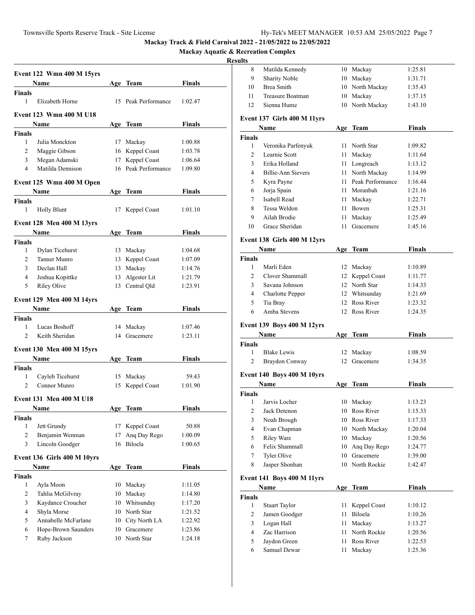**Mackay Aquatic & Recreation Complex**

## **Resul**

|                | <b>Event 122 Wmn 400 M 15yrs</b> |     |                     |               |
|----------------|----------------------------------|-----|---------------------|---------------|
|                | Name                             |     | Age Team            | <b>Finals</b> |
| <b>Finals</b>  |                                  |     |                     |               |
| 1              | Elizabeth Horne                  |     | 15 Peak Performance | 1:02.47       |
|                | Event 123 Wmn 400 M U18          |     |                     |               |
|                | Name                             |     | Age Team            | Finals        |
| Finals         |                                  |     |                     |               |
| $\mathbf{1}$   | Julia Monckton                   | 17  | Mackay              | 1:00.88       |
| $\overline{2}$ | Maggie Gibson                    |     | 16 Keppel Coast     | 1:03.78       |
| 3              | Megan Adamski                    | 17  | Keppel Coast        | 1:06.64       |
| 4              | Matilda Dennison                 |     | 16 Peak Performance | 1:09.80       |
|                | Event 125 Wmn 400 M Open         |     |                     |               |
|                | Name                             |     | Age Team            | Finals        |
| Finals         |                                  |     |                     |               |
| 1              | <b>Holly Blunt</b>               | 17  | Keppel Coast        | 1:01.10       |
|                | <b>Event 128 Men 400 M 13yrs</b> |     |                     |               |
|                | Name                             |     | Age Team            | Finals        |
| <b>Finals</b>  |                                  |     |                     |               |
| $\mathbf{1}$   | Dylan Ticehurst                  |     | 13 Mackay           | 1:04.68       |
| $\overline{2}$ | Tanner Munro                     |     | 13 Keppel Coast     | 1:07.09       |
| 3              | Declan Hall                      |     | 13 Mackay           | 1:14.76       |
| 4              | Joshua Kopittke                  |     | 13 Algester Lit     | 1:21.79       |
| 5              | <b>Riley Olive</b>               |     | 13 Central Qld      | 1:23.91       |
|                | <b>Event 129 Men 400 M 14yrs</b> |     |                     |               |
|                | Name                             |     | Age Team            | Finals        |
| <b>Finals</b>  |                                  |     |                     |               |
| 1              | Lucas Boshoff                    |     | 14 Mackay           | 1:07.46       |
| $\overline{c}$ | Keith Sheridan                   |     | 14 Gracemere        | 1:23.11       |
|                | <b>Event 130 Men 400 M 15yrs</b> |     |                     |               |
|                | Name                             |     | Age Team            | Finals        |
| <b>Finals</b>  |                                  |     |                     |               |
| 1              | Cayleb Ticehurst                 |     | 15 Mackay           | 59.43         |
| 2              | Connor Munro                     | 15  | Keppel Coast        | 1:01.90       |
|                | <b>Event 131 Men 400 M U18</b>   |     |                     |               |
|                | <b>Name</b>                      | Δσе | Team                | Finals        |
| Finals         |                                  |     |                     |               |
| 1              | Jett Grundy                      | 17  | Keppel Coast        | 50.88         |
| 2              | Benjamin Wenman                  | 17  | Ang Day Rego        | 1:00.09       |
| 3              | Lincoln Goodger                  | 16  | Biloela             | 1:00.65       |
|                |                                  |     |                     |               |
|                | Event 136 Girls 400 M 10yrs      |     |                     |               |
|                | Name                             |     | Age Team            | <b>Finals</b> |
| <b>Finals</b>  |                                  |     |                     |               |
| 1              | Ayla Moon                        | 10  | Mackay              | 1:11.05       |
| 2              | Tahlia McGilvray                 | 10  | Mackay              | 1:14.80       |
| 3              | Kaydance Croucher                |     | 10 Whitsunday       | 1:17.20       |
| 4              | Shyla Morse                      |     | 10 North Star       | 1:21.52       |
| 5              | Annabelle McFarlane              |     | 10 City North LA    | 1:22.92       |
| 6              | Hope-Brown Saunders              |     | 10 Gracemere        | 1:23.86       |
| 7              | Ruby Jackson                     | 10  | North Star          | 1:24.18       |
|                |                                  |     |                     |               |

| Matilda Kennedy<br>8<br>10 Mackay<br>1:25.81<br><b>Sharity Noble</b><br>9<br>10 Mackay<br>1:31.71<br><b>Brea Smith</b><br>10 North Mackay<br>10<br>1:35.43<br>11<br>Treasure Boatman<br>10 Mackay<br>1:37.15<br>Sienna Hume<br>North Mackay<br>12<br>10<br>1:43.10<br>Event 137 Girls 400 M 11yrs<br>Name<br>Age Team<br><b>Finals</b><br>1<br>11 North Star<br>Veronika Parfenyuk<br>1:09.82<br>Learnie Scott<br>2<br>11 -<br>Mackay<br>3<br>Erika Holland<br>11 Longreach<br>1:13.12<br><b>Billie-Ann Sievers</b><br>11 North Mackay<br>4<br>11 Peak Performance<br>5<br>Kyra Payne<br>1:16.44<br>Jorja Spain<br>11 Moranbah<br>6<br>Isabell Read<br>7<br>11 Mackay<br>1:22.71<br>Tessa Weldon<br>8<br>11 Bowen<br>1:25.31<br>9<br>Ailah Brodie<br>11<br>Mackay<br>Grace Sheridan<br>10<br>11<br>Gracemere<br>1:45.16<br>Event 138 Girls 400 M 12yrs<br>Age Team<br>Name<br><b>Finals</b><br>1<br>Marli Eden<br>12 Mackay<br>1:10.89<br>Clover Shammall<br>2<br>12 Keppel Coast<br>1:11.77<br>12 North Star<br>3<br>Savana Johnson<br>1:14.33<br>4<br>Charlotte Pepper<br>12 Whitsunday<br>12 Ross River<br>5<br>Tia Bray<br>1:23.32<br>Amba Stevens<br>12 Ross River<br>6<br>1:24.35<br><b>Event 139 Boys 400 M 12yrs</b><br><b>Finals</b><br><b>Name</b><br>Age Team<br><b>Finals</b><br>1<br><b>Blake Lewis</b><br>Mackay<br>12<br>1:08.59 | Finals<br>1:11.64<br>1:14.99<br>1:21.16<br>1:25.49<br><b>Finals</b> |
|-------------------------------------------------------------------------------------------------------------------------------------------------------------------------------------------------------------------------------------------------------------------------------------------------------------------------------------------------------------------------------------------------------------------------------------------------------------------------------------------------------------------------------------------------------------------------------------------------------------------------------------------------------------------------------------------------------------------------------------------------------------------------------------------------------------------------------------------------------------------------------------------------------------------------------------------------------------------------------------------------------------------------------------------------------------------------------------------------------------------------------------------------------------------------------------------------------------------------------------------------------------------------------------------------------------------------------------------------|---------------------------------------------------------------------|
|                                                                                                                                                                                                                                                                                                                                                                                                                                                                                                                                                                                                                                                                                                                                                                                                                                                                                                                                                                                                                                                                                                                                                                                                                                                                                                                                                 |                                                                     |
|                                                                                                                                                                                                                                                                                                                                                                                                                                                                                                                                                                                                                                                                                                                                                                                                                                                                                                                                                                                                                                                                                                                                                                                                                                                                                                                                                 |                                                                     |
|                                                                                                                                                                                                                                                                                                                                                                                                                                                                                                                                                                                                                                                                                                                                                                                                                                                                                                                                                                                                                                                                                                                                                                                                                                                                                                                                                 |                                                                     |
|                                                                                                                                                                                                                                                                                                                                                                                                                                                                                                                                                                                                                                                                                                                                                                                                                                                                                                                                                                                                                                                                                                                                                                                                                                                                                                                                                 |                                                                     |
|                                                                                                                                                                                                                                                                                                                                                                                                                                                                                                                                                                                                                                                                                                                                                                                                                                                                                                                                                                                                                                                                                                                                                                                                                                                                                                                                                 |                                                                     |
|                                                                                                                                                                                                                                                                                                                                                                                                                                                                                                                                                                                                                                                                                                                                                                                                                                                                                                                                                                                                                                                                                                                                                                                                                                                                                                                                                 |                                                                     |
|                                                                                                                                                                                                                                                                                                                                                                                                                                                                                                                                                                                                                                                                                                                                                                                                                                                                                                                                                                                                                                                                                                                                                                                                                                                                                                                                                 |                                                                     |
|                                                                                                                                                                                                                                                                                                                                                                                                                                                                                                                                                                                                                                                                                                                                                                                                                                                                                                                                                                                                                                                                                                                                                                                                                                                                                                                                                 |                                                                     |
|                                                                                                                                                                                                                                                                                                                                                                                                                                                                                                                                                                                                                                                                                                                                                                                                                                                                                                                                                                                                                                                                                                                                                                                                                                                                                                                                                 |                                                                     |
|                                                                                                                                                                                                                                                                                                                                                                                                                                                                                                                                                                                                                                                                                                                                                                                                                                                                                                                                                                                                                                                                                                                                                                                                                                                                                                                                                 |                                                                     |
|                                                                                                                                                                                                                                                                                                                                                                                                                                                                                                                                                                                                                                                                                                                                                                                                                                                                                                                                                                                                                                                                                                                                                                                                                                                                                                                                                 |                                                                     |
|                                                                                                                                                                                                                                                                                                                                                                                                                                                                                                                                                                                                                                                                                                                                                                                                                                                                                                                                                                                                                                                                                                                                                                                                                                                                                                                                                 |                                                                     |
|                                                                                                                                                                                                                                                                                                                                                                                                                                                                                                                                                                                                                                                                                                                                                                                                                                                                                                                                                                                                                                                                                                                                                                                                                                                                                                                                                 |                                                                     |
|                                                                                                                                                                                                                                                                                                                                                                                                                                                                                                                                                                                                                                                                                                                                                                                                                                                                                                                                                                                                                                                                                                                                                                                                                                                                                                                                                 |                                                                     |
|                                                                                                                                                                                                                                                                                                                                                                                                                                                                                                                                                                                                                                                                                                                                                                                                                                                                                                                                                                                                                                                                                                                                                                                                                                                                                                                                                 |                                                                     |
|                                                                                                                                                                                                                                                                                                                                                                                                                                                                                                                                                                                                                                                                                                                                                                                                                                                                                                                                                                                                                                                                                                                                                                                                                                                                                                                                                 |                                                                     |
|                                                                                                                                                                                                                                                                                                                                                                                                                                                                                                                                                                                                                                                                                                                                                                                                                                                                                                                                                                                                                                                                                                                                                                                                                                                                                                                                                 |                                                                     |
|                                                                                                                                                                                                                                                                                                                                                                                                                                                                                                                                                                                                                                                                                                                                                                                                                                                                                                                                                                                                                                                                                                                                                                                                                                                                                                                                                 |                                                                     |
|                                                                                                                                                                                                                                                                                                                                                                                                                                                                                                                                                                                                                                                                                                                                                                                                                                                                                                                                                                                                                                                                                                                                                                                                                                                                                                                                                 |                                                                     |
|                                                                                                                                                                                                                                                                                                                                                                                                                                                                                                                                                                                                                                                                                                                                                                                                                                                                                                                                                                                                                                                                                                                                                                                                                                                                                                                                                 |                                                                     |
|                                                                                                                                                                                                                                                                                                                                                                                                                                                                                                                                                                                                                                                                                                                                                                                                                                                                                                                                                                                                                                                                                                                                                                                                                                                                                                                                                 |                                                                     |
|                                                                                                                                                                                                                                                                                                                                                                                                                                                                                                                                                                                                                                                                                                                                                                                                                                                                                                                                                                                                                                                                                                                                                                                                                                                                                                                                                 |                                                                     |
|                                                                                                                                                                                                                                                                                                                                                                                                                                                                                                                                                                                                                                                                                                                                                                                                                                                                                                                                                                                                                                                                                                                                                                                                                                                                                                                                                 |                                                                     |
|                                                                                                                                                                                                                                                                                                                                                                                                                                                                                                                                                                                                                                                                                                                                                                                                                                                                                                                                                                                                                                                                                                                                                                                                                                                                                                                                                 |                                                                     |
|                                                                                                                                                                                                                                                                                                                                                                                                                                                                                                                                                                                                                                                                                                                                                                                                                                                                                                                                                                                                                                                                                                                                                                                                                                                                                                                                                 | 1:21.69                                                             |
|                                                                                                                                                                                                                                                                                                                                                                                                                                                                                                                                                                                                                                                                                                                                                                                                                                                                                                                                                                                                                                                                                                                                                                                                                                                                                                                                                 |                                                                     |
|                                                                                                                                                                                                                                                                                                                                                                                                                                                                                                                                                                                                                                                                                                                                                                                                                                                                                                                                                                                                                                                                                                                                                                                                                                                                                                                                                 |                                                                     |
|                                                                                                                                                                                                                                                                                                                                                                                                                                                                                                                                                                                                                                                                                                                                                                                                                                                                                                                                                                                                                                                                                                                                                                                                                                                                                                                                                 |                                                                     |
|                                                                                                                                                                                                                                                                                                                                                                                                                                                                                                                                                                                                                                                                                                                                                                                                                                                                                                                                                                                                                                                                                                                                                                                                                                                                                                                                                 |                                                                     |
|                                                                                                                                                                                                                                                                                                                                                                                                                                                                                                                                                                                                                                                                                                                                                                                                                                                                                                                                                                                                                                                                                                                                                                                                                                                                                                                                                 |                                                                     |
|                                                                                                                                                                                                                                                                                                                                                                                                                                                                                                                                                                                                                                                                                                                                                                                                                                                                                                                                                                                                                                                                                                                                                                                                                                                                                                                                                 |                                                                     |
| 2<br>Braydon Conway<br>12<br>Gracemere<br>1:34.35                                                                                                                                                                                                                                                                                                                                                                                                                                                                                                                                                                                                                                                                                                                                                                                                                                                                                                                                                                                                                                                                                                                                                                                                                                                                                               |                                                                     |
| Event 140 Boys 400 M 10yrs                                                                                                                                                                                                                                                                                                                                                                                                                                                                                                                                                                                                                                                                                                                                                                                                                                                                                                                                                                                                                                                                                                                                                                                                                                                                                                                      |                                                                     |
| <b>Finals</b><br>Name<br>Age Team                                                                                                                                                                                                                                                                                                                                                                                                                                                                                                                                                                                                                                                                                                                                                                                                                                                                                                                                                                                                                                                                                                                                                                                                                                                                                                               |                                                                     |
| <b>Finals</b>                                                                                                                                                                                                                                                                                                                                                                                                                                                                                                                                                                                                                                                                                                                                                                                                                                                                                                                                                                                                                                                                                                                                                                                                                                                                                                                                   |                                                                     |
| Jarvis Locher<br>Mackay<br>1:13.23<br>1<br>10                                                                                                                                                                                                                                                                                                                                                                                                                                                                                                                                                                                                                                                                                                                                                                                                                                                                                                                                                                                                                                                                                                                                                                                                                                                                                                   |                                                                     |
| $\mathbf{2}$<br>10 Ross River<br>Jack Detenon<br>1:15.33                                                                                                                                                                                                                                                                                                                                                                                                                                                                                                                                                                                                                                                                                                                                                                                                                                                                                                                                                                                                                                                                                                                                                                                                                                                                                        |                                                                     |
| 3<br>10 Ross River<br>Noah Brough                                                                                                                                                                                                                                                                                                                                                                                                                                                                                                                                                                                                                                                                                                                                                                                                                                                                                                                                                                                                                                                                                                                                                                                                                                                                                                               | 1:17.33                                                             |
| 4<br>Evan Chapman<br>10 North Mackay                                                                                                                                                                                                                                                                                                                                                                                                                                                                                                                                                                                                                                                                                                                                                                                                                                                                                                                                                                                                                                                                                                                                                                                                                                                                                                            |                                                                     |
| 5<br><b>Riley Ware</b><br>10 Mackay                                                                                                                                                                                                                                                                                                                                                                                                                                                                                                                                                                                                                                                                                                                                                                                                                                                                                                                                                                                                                                                                                                                                                                                                                                                                                                             | 1:20.04                                                             |
| 6<br>Felix Shammall<br>Ang Day Rego<br>10                                                                                                                                                                                                                                                                                                                                                                                                                                                                                                                                                                                                                                                                                                                                                                                                                                                                                                                                                                                                                                                                                                                                                                                                                                                                                                       |                                                                     |
| 7<br>Tyler Olive<br>Gracemere<br>10                                                                                                                                                                                                                                                                                                                                                                                                                                                                                                                                                                                                                                                                                                                                                                                                                                                                                                                                                                                                                                                                                                                                                                                                                                                                                                             | 1:20.56                                                             |
| Jasper Shonhan<br>North Rockie<br>8<br>10                                                                                                                                                                                                                                                                                                                                                                                                                                                                                                                                                                                                                                                                                                                                                                                                                                                                                                                                                                                                                                                                                                                                                                                                                                                                                                       | 1:24.77                                                             |
|                                                                                                                                                                                                                                                                                                                                                                                                                                                                                                                                                                                                                                                                                                                                                                                                                                                                                                                                                                                                                                                                                                                                                                                                                                                                                                                                                 | 1:39.00<br>1:42.47                                                  |
|                                                                                                                                                                                                                                                                                                                                                                                                                                                                                                                                                                                                                                                                                                                                                                                                                                                                                                                                                                                                                                                                                                                                                                                                                                                                                                                                                 |                                                                     |
| <b>Event 141 Boys 400 M 11yrs</b>                                                                                                                                                                                                                                                                                                                                                                                                                                                                                                                                                                                                                                                                                                                                                                                                                                                                                                                                                                                                                                                                                                                                                                                                                                                                                                               |                                                                     |
| Name<br>Age Team                                                                                                                                                                                                                                                                                                                                                                                                                                                                                                                                                                                                                                                                                                                                                                                                                                                                                                                                                                                                                                                                                                                                                                                                                                                                                                                                | Finals                                                              |
| Finals                                                                                                                                                                                                                                                                                                                                                                                                                                                                                                                                                                                                                                                                                                                                                                                                                                                                                                                                                                                                                                                                                                                                                                                                                                                                                                                                          |                                                                     |
| 1<br><b>Stuart Taylor</b><br>11<br>Keppel Coast<br>1:10.12                                                                                                                                                                                                                                                                                                                                                                                                                                                                                                                                                                                                                                                                                                                                                                                                                                                                                                                                                                                                                                                                                                                                                                                                                                                                                      |                                                                     |
| Biloela<br>$\mathbf{2}$<br>Jamen Goodger<br>11<br>3                                                                                                                                                                                                                                                                                                                                                                                                                                                                                                                                                                                                                                                                                                                                                                                                                                                                                                                                                                                                                                                                                                                                                                                                                                                                                             | 1:10.26                                                             |
| Logan Hall<br>11<br>Mackay<br>Zac Harrison<br>4<br>11                                                                                                                                                                                                                                                                                                                                                                                                                                                                                                                                                                                                                                                                                                                                                                                                                                                                                                                                                                                                                                                                                                                                                                                                                                                                                           | 1:13.27                                                             |
| North Rockie<br>5<br>Jaydon Green<br>11<br>Ross River<br>1:22.53                                                                                                                                                                                                                                                                                                                                                                                                                                                                                                                                                                                                                                                                                                                                                                                                                                                                                                                                                                                                                                                                                                                                                                                                                                                                                | 1:20.56                                                             |
| Samuel Dewar<br>6<br>11<br>Mackay                                                                                                                                                                                                                                                                                                                                                                                                                                                                                                                                                                                                                                                                                                                                                                                                                                                                                                                                                                                                                                                                                                                                                                                                                                                                                                               | 1:25.36                                                             |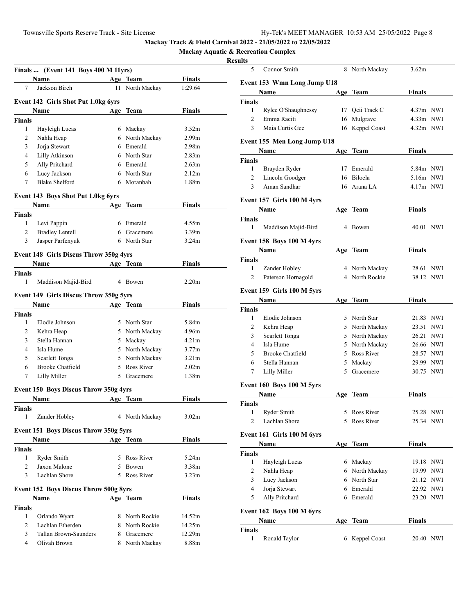**Mackay Aquatic & Recreation Complex**

|                | Finals  (Event 141 Boys 400 M 11yrs)          |     |                |                   |  |
|----------------|-----------------------------------------------|-----|----------------|-------------------|--|
|                | Name                                          |     | Age Team       | <b>Finals</b>     |  |
| 7              | Jackson Birch                                 | 11  | North Mackay   | 1:29.64           |  |
|                |                                               |     |                |                   |  |
|                | Event 142 Girls Shot Put 1.0kg 6yrs           |     |                |                   |  |
|                | Name                                          | Age | Team           | Finals            |  |
| <b>Finals</b>  |                                               |     |                |                   |  |
| 1              | Hayleigh Lucas                                |     | 6 Mackay       | 3.52 <sub>m</sub> |  |
| $\overline{2}$ | Nahla Heap                                    |     | 6 North Mackay | 2.99 <sub>m</sub> |  |
| 3              | Jorja Stewart                                 |     | 6 Emerald      | 2.98 <sub>m</sub> |  |
| 4              | Lilly Atkinson                                |     | 6 North Star   | 2.83 <sub>m</sub> |  |
| 5              | Ally Pritchard                                |     | 6 Emerald      | 2.63 <sub>m</sub> |  |
| 6              | Lucy Jackson                                  |     | 6 North Star   | 2.12m             |  |
| 7              | <b>Blake Shelford</b>                         |     | 6 Moranbah     | 1.88m             |  |
|                | Event 143 Boys Shot Put 1.0kg 6yrs            |     |                |                   |  |
|                | Name                                          | Age | Team           | <b>Finals</b>     |  |
| <b>Finals</b>  |                                               |     |                |                   |  |
| 1              | Levi Pappin                                   |     | 6 Emerald      | 4.55m             |  |
| 2              | <b>Bradley Lentell</b>                        |     | 6 Gracemere    | 3.39 <sub>m</sub> |  |
| 3              | Jasper Parfenyuk                              |     | 6 North Star   | 3.24m             |  |
|                | <b>Event 148 Girls Discus Throw 350g 4yrs</b> |     |                |                   |  |
|                | Name                                          |     | Age Team       | Finals            |  |
| <b>Finals</b>  |                                               |     |                |                   |  |
| 1              | Maddison Majid-Bird                           |     | 4 Bowen        | 2.20 <sub>m</sub> |  |
|                |                                               |     |                |                   |  |
|                | <b>Event 149 Girls Discus Throw 350g 5yrs</b> |     |                |                   |  |
|                | Name                                          |     | Age Team       | <b>Finals</b>     |  |
| <b>Finals</b>  |                                               |     |                |                   |  |
| 1              | Elodie Johnson                                |     | 5 North Star   | 5.84m             |  |
| 2              | Kehra Heap                                    |     | 5 North Mackay | 4.96m             |  |
| 3              | Stella Hannan                                 |     | 5 Mackay       | 4.21m             |  |
| 4              | Isla Hume                                     |     | 5 North Mackay | 3.77m             |  |
| 5              | Scarlett Tonga                                |     | 5 North Mackay | 3.21 <sub>m</sub> |  |
| 6              | <b>Brooke Chatfield</b>                       |     | 5 Ross River   | 2.02 <sub>m</sub> |  |
| 7              | Lilly Miller                                  |     | 5 Gracemere    | 1.38m             |  |
|                | Event 150 Boys Discus Throw 350g 4yrs         |     |                |                   |  |
|                | <b>Name</b>                                   |     | Age Team       | Finals            |  |
| Finals         |                                               |     |                |                   |  |
| 1              | Zander Hobley                                 |     | 4 North Mackay | 3.02 <sub>m</sub> |  |
|                | Event 151 Boys Discus Throw 350g 5yrs         |     |                |                   |  |
|                | Name                                          |     | Age Team       | <b>Finals</b>     |  |
| <b>Finals</b>  |                                               |     |                |                   |  |
| 1              | Ryder Smith                                   |     | 5 Ross River   | 5.24m             |  |
| 2              | Jaxon Malone                                  |     | 5 Bowen        | 3.38m             |  |
| 3              | Lachlan Shore                                 |     | 5 Ross River   | 3.23 <sub>m</sub> |  |
|                |                                               |     |                |                   |  |
|                | <b>Event 152 Boys Discus Throw 500g 8yrs</b>  |     |                |                   |  |
|                | <b>Name</b> and <b><i>Name</i></b>            |     | Age Team       | <b>Finals</b>     |  |
| <b>Finals</b>  |                                               |     |                |                   |  |
| 1              | Orlando Wyatt                                 |     | 8 North Rockie | 14.52m            |  |
| $\overline{2}$ | Lachlan Etherden                              |     | 8 North Rockie | 14.25m            |  |
| 3              | Tallan Brown-Saunders                         |     | 8 Gracemere    | 12.29m            |  |
| 4              | Olivah Brown                                  |     | 8 North Mackay | 8.88m             |  |

| 11 L.Y         |                                    |    |                 |               |            |
|----------------|------------------------------------|----|-----------------|---------------|------------|
| 5              | Connor Smith                       |    | 8 North Mackay  | 3.62m         |            |
|                | Event 153 Wmn Long Jump U18        |    |                 |               |            |
|                | Name                               |    | Age Team        | Finals        |            |
| <b>Finals</b>  |                                    |    |                 |               |            |
| 1              | Rylee O'Shaughnessy                |    | 17 Oeii Track C | $4.37m$ NWI   |            |
| $\overline{2}$ | Emma Raciti                        |    | 16 Mulgrave     | $4.33m$ NWI   |            |
| 3              | Maia Curtis Gee                    | 16 | Keppel Coast    | 4.32m NWI     |            |
|                |                                    |    |                 |               |            |
|                | <b>Event 155 Men Long Jump U18</b> |    |                 |               |            |
|                | Name                               |    | Age Team        | Finals        |            |
| Finals         |                                    |    |                 |               |            |
| 1              | Brayden Ryder                      |    | 17 Emerald      | 5.84m NWI     |            |
| 2              | Lincoln Goodger                    |    | 16 Biloela      | 5.16m NWI     |            |
| 3              | Aman Sandhar                       |    | 16 Arana LA     | $4.17m$ NWI   |            |
|                | Event 157 Girls 100 M 4yrs         |    |                 |               |            |
|                | Name                               |    | Age Team        | Finals        |            |
| <b>Finals</b>  |                                    |    |                 |               |            |
| 1              | Maddison Majid-Bird                |    | 4 Bowen         | 40.01 NWI     |            |
|                | Event 158 Boys 100 M 4yrs          |    |                 |               |            |
|                | Name                               |    | Age Team        | Finals        |            |
| <b>Finals</b>  |                                    |    |                 |               |            |
| 1              | Zander Hobley                      |    | 4 North Mackay  | 28.61         | NWI        |
| 2              | Paterson Hornagold                 |    | 4 North Rockie  | 38.12         | <b>NWI</b> |
|                |                                    |    |                 |               |            |
|                | Event 159 Girls 100 M 5yrs         |    |                 |               |            |
|                | Name                               |    | Age Team        | Finals        |            |
| Finals         |                                    |    |                 |               |            |
| 1              | Elodie Johnson                     |    | 5 North Star    | 21.83 NWI     |            |
| 2              | Kehra Heap                         |    | 5 North Mackay  | 23.51 NWI     |            |
| 3              | Scarlett Tonga                     |    | 5 North Mackay  | 26.21 NWI     |            |
| 4              | Isla Hume                          |    | 5 North Mackay  | 26.66 NWI     |            |
| 5              | <b>Brooke Chatfield</b>            |    | 5 Ross River    | 28.57 NWI     |            |
| 6              | Stella Hannan                      |    | 5 Mackay        | 29.99 NWI     |            |
| 7              | Lilly Miller                       | 5  | Gracemere       | 30.75 NWI     |            |
|                | Event 160 Boys 100 M 5yrs          |    |                 |               |            |
|                | Name                               |    | Age Team        | Finals        |            |
| Finals         |                                    |    |                 |               |            |
| 1              | Ryder Smith                        |    | 5 Ross River    | 25.28 NWI     |            |
| 2              | Lachlan Shore                      | 5. | Ross River      | 25.34 NWI     |            |
|                |                                    |    |                 |               |            |
|                | Event 161 Girls 100 M 6yrs         |    |                 |               |            |
|                | Name                               |    | Age Team        | <b>Finals</b> |            |
| Finals         |                                    |    |                 |               |            |
| 1              | Hayleigh Lucas                     |    | 6 Mackay        | 19.18 NWI     |            |
| 2              | Nahla Heap                         |    | 6 North Mackay  | 19.99 NWI     |            |
| 3              | Lucy Jackson                       |    | 6 North Star    | 21.12 NWI     |            |
| $\overline{4}$ | Jorja Stewart                      |    | 6 Emerald       | 22.92 NWI     |            |
| 5              | Ally Pritchard                     |    | 6 Emerald       | 23.20 NWI     |            |
|                | Event 162 Boys 100 M 6yrs          |    |                 |               |            |
|                | Name                               |    | Age Team        | Finals        |            |
| Finals         |                                    |    |                 |               |            |
| 1              | Ronald Taylor                      |    | 6 Keppel Coast  | 20.40 NWI     |            |
|                |                                    |    |                 |               |            |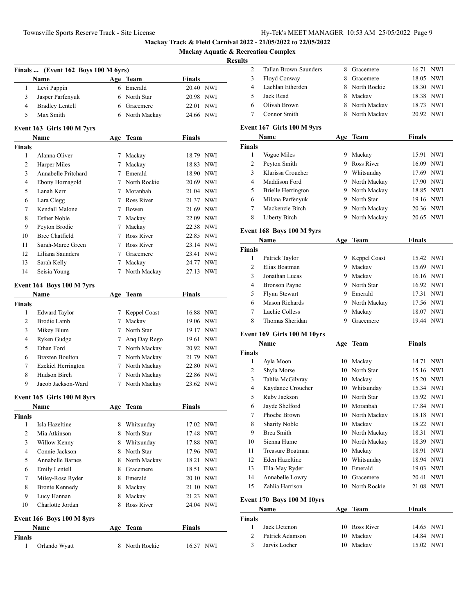**Mackay Aquatic & Recreation Complex**

|                    | Finals  (Event 162 Boys 100 M 6yrs) |             |                |               |           |
|--------------------|-------------------------------------|-------------|----------------|---------------|-----------|
|                    | Name                                |             | Age Team       | Finals        |           |
| 1                  | Levi Pappin                         |             | 6 Emerald      | 20.40 NWI     |           |
| 3                  | Jasper Parfenyuk                    |             | 6 North Star   | 20.98 NWI     |           |
| $\overline{4}$     | <b>Bradley Lentell</b>              |             | 6 Gracemere    | 22.01 NWI     |           |
| 5                  | Max Smith                           |             | 6 North Mackay | 24.66 NWI     |           |
|                    | Event 163 Girls 100 M 7yrs          |             |                |               |           |
|                    | Name                                | Age         | <b>Team</b>    | <b>Finals</b> |           |
| <b>Finals</b>      |                                     |             |                |               |           |
| 1                  | Alanna Oliver                       | 7           | Mackay         | 18.79 NWI     |           |
| $\overline{c}$     | Harper Miles                        | $7^{\circ}$ | Mackay         | 18.83 NWI     |           |
| 3                  | Annabelle Pritchard                 |             | 7 Emerald      | 18.90 NWI     |           |
| $\overline{4}$     | Ebony Hornagold                     |             | 7 North Rockie | 20.69 NWI     |           |
| 5                  | Lanah Kerr                          |             | 7 Moranbah     | 21.04 NWI     |           |
| 6                  | Lara Clegg                          |             | 7 Ross River   | 21.37 NWI     |           |
| 7                  | Kendall Malone                      |             | 7 Bowen        | 21.69 NWI     |           |
| 8                  | <b>Esther Noble</b>                 |             | 7 Mackay       | 22.09 NWI     |           |
| 9                  | Peyton Brodie                       |             | 7 Mackay       | 22.38 NWI     |           |
| 10                 | <b>Bree Chatfield</b>               |             | 7 Ross River   | 22.85 NWI     |           |
| 11                 | Sarah-Maree Green                   |             | 7 Ross River   | 23.14 NWI     |           |
| 12                 | Liliana Saunders                    |             | 7 Gracemere    | 23.41 NWI     |           |
| 13                 | Sarah Kelly                         | 7           | Mackay         | 24.77 NWI     |           |
| 14                 | Seisia Young                        | $7^{\circ}$ | North Mackay   | 27.13 NWI     |           |
|                    | Event 164 Boys 100 M 7yrs           |             |                |               |           |
|                    | Name                                | Age         | <b>Team</b>    | <b>Finals</b> |           |
| <b>Finals</b>      |                                     |             |                |               |           |
| $\mathbf{1}$       | <b>Edward Taylor</b>                | 7           | Keppel Coast   | 16.88 NWI     |           |
| 2                  | Brodie Lamb                         | $7^{\circ}$ | Mackay         | 19.06 NWI     |           |
| 3                  | Mikey Blum                          |             | 7 North Star   | 19.17 NWI     |           |
| $\overline{4}$     | Ryken Gudge                         |             | 7 Ang Day Rego | 19.61 NWI     |           |
| 5                  | Ethan Ford                          |             | 7 North Mackay | 20.92 NWI     |           |
| 6                  | <b>Braxten Boulton</b>              |             | 7 North Mackay | 21.79 NWI     |           |
| 7                  | Ezekiel Herrington                  |             | 7 North Mackay | 22.80 NWI     |           |
| 8                  | Hudson Birch                        |             | 7 North Mackay | 22.86 NWI     |           |
| 9                  | Jacob Jackson-Ward                  | $7^{\circ}$ | North Mackay   | 23.62 NWI     |           |
|                    | Event 165 Girls 100 M 8yrs          |             |                |               |           |
|                    | Name                                | Age         | <b>Team</b>    | Finals        |           |
| <b>Finals</b><br>1 | Isla Hazeltine                      | 8           |                | 17.02 NWI     |           |
| 2                  | Mia Atkinson                        |             | Whitsunday     |               |           |
|                    |                                     |             | 8 North Star   |               | 17.48 NWI |
| 3                  | Willow Kenny                        |             | 8 Whitsunday   | 17.88 NWI     |           |
| $\overline{4}$     | Connie Jackson                      |             | 8 North Star   | 17.96 NWI     |           |
| 5                  | Annabelle Barnes                    |             | 8 North Mackay | 18.21 NWI     |           |
| 6                  | Emily Lentell                       |             | 8 Gracemere    | 18.51 NWI     |           |
| 7                  | Miley-Rose Ryder                    |             | 8 Emerald      | 20.10 NWI     |           |
| 8                  | <b>Bronte Kennedy</b>               |             | 8 Mackay       | 21.10 NWI     |           |
| 9                  | Lucy Hannan                         | 8           | Mackay         | 21.23 NWI     |           |
| 10                 | Charlotte Jordan                    | 8           | Ross River     | 24.04 NWI     |           |
|                    | Event 166 Boys 100 M 8yrs           |             |                |               |           |
|                    | Name                                | Age         | <b>Team</b>    | <b>Finals</b> |           |
| <b>Finals</b><br>1 | Orlando Wyatt                       | 8           | North Rockie   | 16.57 NWI     |           |
|                    |                                     |             |                |               |           |

|                | Tallan Brown-Saunders             | 8   | Gracemere       | 16.71<br><b>NWI</b> |
|----------------|-----------------------------------|-----|-----------------|---------------------|
| 2              |                                   |     |                 |                     |
| 3              | Floyd Conway                      | 8   | Gracemere       | 18.05<br><b>NWI</b> |
| $\overline{4}$ | Lachlan Etherden                  | 8   | North Rockie    | 18.30 NWI           |
| 5              | Jack Read                         | 8   | Mackay          | 18.38 NWI           |
| 6              | Olivah Brown                      |     | 8 North Mackay  | 18.73 NWI           |
| 7              | Connor Smith                      |     | 8 North Mackay  | 20.92 NWI           |
|                | Event 167 Girls 100 M 9yrs        |     |                 |                     |
|                | Name                              | Age | Team            | <b>Finals</b>       |
| <b>Finals</b>  |                                   |     |                 |                     |
| 1              | Vogue Miles                       |     | 9 Mackay        | 15.91 NWI           |
| $\overline{2}$ | Peyton Smith                      |     | 9 Ross River    | 16.09<br><b>NWI</b> |
| 3              | Klarissa Croucher                 |     | 9 Whitsunday    | 17.69 NWI           |
| 4              | Maddison Ford                     |     |                 |                     |
|                |                                   |     | 9 North Mackay  | 17.90 NWI           |
| 5              | <b>Brielle Herrington</b>         |     | 9 North Mackay  | 18.85 NWI           |
| 6              | Milana Parfenyuk                  |     | 9 North Star    | 19.16 NWI           |
| $\tau$         | Mackenzie Birch                   |     | 9 North Mackay  | 20.36 NWI           |
| 8              | Liberty Birch                     |     | 9 North Mackay  | 20.65<br><b>NWI</b> |
|                | Event 168 Boys 100 M 9yrs         |     |                 |                     |
|                | Name                              | Age | Team            | Finals              |
| <b>Finals</b>  |                                   |     |                 |                     |
| 1              | Patrick Taylor                    |     | 9 Keppel Coast  | 15.42 NWI           |
| $\overline{2}$ | Elias Boatman                     |     | 9 Mackay        | 15.69 NWI           |
| 3              | Jonathan Lucas                    |     | 9 Mackay        | 16.16 NWI           |
| 4              | <b>Bronson Payne</b>              |     | 9 North Star    | 16.92 NWI           |
| 5              | Flynn Stewart                     |     | 9 Emerald       | 17.31 NWI           |
| 6              | <b>Mason Richards</b>             |     | 9 North Mackay  | 17.56 NWI           |
| 7              | Lachie Colless                    | 9   | Mackay          | 18.07 NWI           |
|                |                                   |     |                 |                     |
|                |                                   |     |                 |                     |
| 8              | Thomas Sheridan                   | 9   | Gracemere       | 19.44 NWI           |
|                | Event 169 Girls 100 M 10yrs       |     |                 |                     |
|                | Name                              | Age | Team            | Finals              |
| <b>Finals</b>  |                                   |     |                 |                     |
| 1              | Ayla Moon                         | 10  | Mackay          | 14.71<br><b>NWI</b> |
| 2              | Shyla Morse                       |     | 10 North Star   | 15.16 NWI           |
| 3              | Tahlia McGilvray                  |     | 10 Mackay       | 15.20 NWI           |
| 4              | Kaydance Croucher                 |     | 10 Whitsunday   | 15.34 NWI           |
| 5              | Ruby Jackson                      |     | 10 North Star   | 15.92 NWI           |
| 6              | Jayde Shelford                    |     | 10 Moranbah     | 17.84 NWI           |
| 7              | Phoebe Brown                      |     | 10 North Mackay | 18.18<br><b>NWI</b> |
| 8              | <b>Sharity Noble</b>              | 10  | Mackay          | 18.22<br><b>NWI</b> |
| 9              | <b>Brea Smith</b>                 |     |                 | 18.31 NWI           |
| 10             | Sienna Hume                       |     | 10 North Mackay | 18.39 NWI           |
|                |                                   |     | 10 North Mackay | 18.91 NWI           |
| 11             | Treasure Boatman                  |     | 10 Mackay       |                     |
| 12             | Eden Hazeltine                    |     | 10 Whitsunday   | 18.94 NWI           |
| 13             | Ella-May Ryder                    |     | 10 Emerald      | 19.03 NWI           |
| 14             | Annabelle Lowry                   |     | 10 Gracemere    | 20.41 NWI           |
| 15             | Zahlia Harrison                   |     | 10 North Rockie | 21.08 NWI           |
|                | <b>Event 170 Boys 100 M 10yrs</b> |     |                 |                     |
|                | <b>Name</b>                       |     | Age Team        | <b>Finals</b>       |
| Finals         |                                   |     |                 |                     |
| $\mathbf{1}$   | Jack Detenon                      |     | 10 Ross River   | 14.65 NWI           |
| 2              | Patrick Adamson                   | 10  | Mackay          | 14.84<br>NWI        |
| 3              | Jarvis Locher                     | 10  | Mackay          | 15.02 NWI           |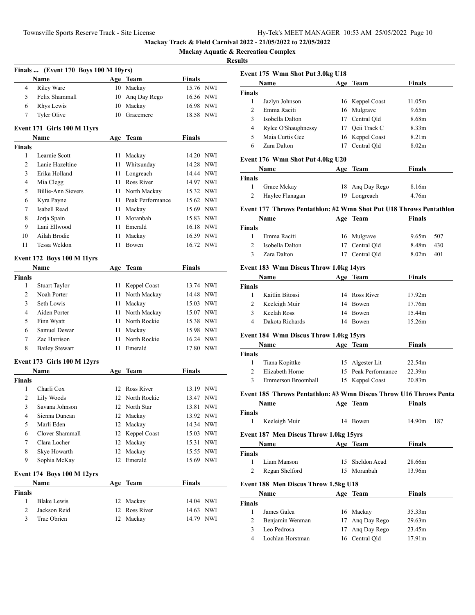**Mackay Aquatic & Recreation Complex**

|               | Finals  (Event 170 Boys 100 M 10yrs) |     |                  |               |                           |
|---------------|--------------------------------------|-----|------------------|---------------|---------------------------|
|               | Name                                 |     | Age Team         | Finals        |                           |
| 4             | <b>Riley Ware</b>                    | 10  | Mackay           |               | 15.76 NWI                 |
| 5             | Felix Shammall                       | 10  | Ang Day Rego     |               | 16.36 NWI                 |
| 6             | <b>Rhys Lewis</b>                    | 10  | Mackay           |               | 16.98 NWI                 |
| 7             | Tyler Olive                          | 10  | Gracemere        | 18.58         | NWI                       |
|               |                                      |     |                  |               |                           |
|               | Event 171 Girls 100 M 11yrs          |     |                  |               |                           |
|               | Name                                 | Age | Team             | <b>Finals</b> |                           |
| <b>Finals</b> |                                      |     |                  |               |                           |
| 1             | Learnie Scott                        | 11  | Mackay           |               | 14.20 NWI                 |
| 2             | Lanie Hazeltine                      | 11  | Whitsunday       |               | 14.28 NWI                 |
| 3             | Erika Holland                        | 11  | Longreach        |               | 14.44 NWI                 |
| 4             | Mia Clegg                            | 11  | Ross River       |               | 14.97 NWI                 |
| 5             | <b>Billie-Ann Sievers</b>            | 11  | North Mackay     |               | 15.32 NWI                 |
| 6             | Kyra Payne                           | 11  | Peak Performance |               | 15.62 NWI                 |
| 7             | Isabell Read                         | 11  | Mackay           |               | 15.69 NWI                 |
| 8             | Jorja Spain                          | 11  | Moranbah         |               | 15.83 NWI                 |
| 9             | Lani Ellwood<br>Ailah Brodie         | 11  | Emerald          |               | 16.18 NWI                 |
| 10            |                                      | 11  | Mackay           |               | 16.39 NWI                 |
| 11            | Tessa Weldon                         | 11  | Bowen            | 16.72         | NWI                       |
|               | <b>Event 172 Boys 100 M 11yrs</b>    |     |                  |               |                           |
|               | Name                                 |     | Age Team         | <b>Finals</b> |                           |
| <b>Finals</b> |                                      |     |                  |               |                           |
| 1             | <b>Stuart Taylor</b>                 | 11  | Keppel Coast     |               | 13.74 NWI                 |
| 2             | Noah Porter                          | 11  | North Mackay     |               | 14.48 NWI                 |
| 3             | Seth Lowis                           | 11  | Mackay           |               | 15.03 NWI                 |
| 4             | Aiden Porter                         | 11  | North Mackay     |               | 15.07 NWI                 |
| 5             | Finn Wyatt                           | 11  | North Rockie     |               | 15.38 NWI                 |
| 6             | Samuel Dewar                         | 11  | Mackay           |               | 15.98 NWI                 |
| 7             | Zac Harrison                         | 11  | North Rockie     |               | 16.24 NWI                 |
| 8             | <b>Bailey Stewart</b>                | 11  | Emerald          | 17.80         | NWI                       |
|               | <b>Event 173 Girls 100 M 12yrs</b>   |     |                  |               |                           |
|               | Name                                 | Age | Team             | <b>Finals</b> |                           |
| <b>Finals</b> |                                      |     |                  |               |                           |
| 1             | Charli Cox                           | 12  | Ross River       |               | 13.19 NWI                 |
| 2             | Lily Woods                           | 12  | North Rockie     | 13.47         | NWI                       |
| 3             | Savana Johnson                       |     | 12 North Star    | 13.81         | <b>NWI</b>                |
| 4             | Sienna Duncan                        | 12  | Mackay           | 13.92         | $\ensuremath{\text{NWI}}$ |
| 5             | Marli Eden                           | 12  | Mackay           |               | 14.34 NWI                 |
| 6             | Clover Shammall                      | 12  | Keppel Coast     |               | 15.03 NWI                 |
| 7             | Clara Locher                         | 12  | Mackay           |               | 15.31 NWI                 |
| 8             | Skye Howarth                         | 12  | Mackay           |               | 15.55 NWI                 |
| 9             | Sophia McKay                         | 12  | Emerald          |               | 15.69 NWI                 |
|               |                                      |     |                  |               |                           |
|               | <b>Event 174 Boys 100 M 12yrs</b>    |     |                  |               |                           |
| <b>Finals</b> | Name                                 |     | Age Team         | <b>Finals</b> |                           |
| $\mathbf{1}$  | <b>Blake Lewis</b>                   |     | 12 Mackay        |               | 14.04 NWI                 |
| 2             | Jackson Reid                         | 12  | Ross River       |               | 14.63 NWI                 |
| 3             | Trae Obrien                          | 12  | Mackay           |               | 14.79 NWI                 |
|               |                                      |     |                  |               |                           |
|               |                                      |     |                  |               |                           |

|                | Event 175 Wmn Shot Put 3.0kg U18                                   |     |                     |                   |     |
|----------------|--------------------------------------------------------------------|-----|---------------------|-------------------|-----|
|                | Name                                                               |     | Age Team            | Finals            |     |
| Finals         |                                                                    |     |                     |                   |     |
| 1              | Jazlyn Johnson                                                     |     | 16 Keppel Coast     | 11.05m            |     |
| $\overline{c}$ | Emma Raciti                                                        |     | 16 Mulgrave         | 9.65m             |     |
| 3              | Isobella Dalton                                                    |     | 17 Central Qld      | 8.68m             |     |
| 4              | Rylee O'Shaughnessy                                                |     | 17 Qeii Track C     | 8.33m             |     |
| 5              | Maia Curtis Gee                                                    |     | 16 Keppel Coast     | 8.21m             |     |
| 6              | Zara Dalton                                                        | 17  | Central Qld         | 8.02 <sub>m</sub> |     |
|                |                                                                    |     |                     |                   |     |
|                | Event 176 Wmn Shot Put 4.0kg U20<br>Name                           | Age | <b>Team</b>         | Finals            |     |
|                |                                                                    |     |                     |                   |     |
| Finals<br>1    | Grace Mckay                                                        |     | 18 Ang Day Rego     | 8.16m             |     |
| 2              |                                                                    |     |                     | 4.76m             |     |
|                | Haylee Flanagan                                                    |     | 19 Longreach        |                   |     |
|                | Event 177 Throws Pentathlon: #2 Wmn Shot Put U18 Throws Pentathlon |     |                     |                   |     |
|                | Name                                                               |     | Age Team            | Finals            |     |
| Finals         |                                                                    |     |                     |                   |     |
| 1              | Emma Raciti                                                        |     | 16 Mulgrave         | 9.65m             | 507 |
| $\overline{c}$ | Isobella Dalton                                                    |     | 17 Central Qld      | 8.48m             | 430 |
| 3              | Zara Dalton                                                        |     | 17 Central Qld      | 8.02 <sub>m</sub> | 401 |
|                | Event 183 Wmn Discus Throw 1.0kg 14yrs                             |     |                     |                   |     |
|                | <b>Name</b>                                                        |     | Age Team            | Finals            |     |
| Finals         |                                                                    |     |                     |                   |     |
| 1              | Kaitlin Bitossi                                                    |     | 14 Ross River       | 17.92m            |     |
| 2              | Keeleigh Muir                                                      |     | 14 Bowen            | 17.76m            |     |
| 3              | Keelah Ross                                                        |     | 14 Bowen            | 15.44m            |     |
| 4              | Dakota Richards                                                    |     | 14 Bowen            | 15.26m            |     |
|                |                                                                    |     |                     |                   |     |
|                | <b>Event 184 Wmn Discus Throw 1.0kg 15yrs</b>                      |     |                     |                   |     |
|                | Name                                                               |     | Age Team            | Finals            |     |
| Finals         |                                                                    |     |                     |                   |     |
| 1              | Tiana Kopittke                                                     |     | 15 Algester Lit     | 22.54m            |     |
| 2              | Elizabeth Horne                                                    |     | 15 Peak Performance | 22.39m            |     |
| 3              | Emmerson Broomhall                                                 |     | 15 Keppel Coast     | 20.83m            |     |
|                | Event 185 Throws Pentathlon: #3 Wmn Discus Throw U16 Throws Penta  |     |                     |                   |     |
|                | Name                                                               |     | Age Team            | Finals            |     |
| Finals         |                                                                    |     |                     |                   |     |
| 1              | Keeleigh Muir                                                      |     | 14 Bowen            | 14.90m            | 187 |
|                | Event 187 Men Discus Throw 1.0kg 15yrs                             |     |                     |                   |     |
|                | Name                                                               |     | Age Team            | <b>Finals</b>     |     |
| Finals         |                                                                    |     |                     |                   |     |
| 1              | Liam Manson                                                        | 15  | Sheldon Acad        | 28.66m            |     |
| 2              | Regan Shelford                                                     | 15  | Moranbah            | 13.96m            |     |
|                |                                                                    |     |                     |                   |     |
|                | <b>Event 188 Men Discus Throw 1.5kg U18</b>                        |     |                     |                   |     |
|                | Name                                                               |     | Age Team            | Finals            |     |
| <b>Finals</b>  |                                                                    |     |                     |                   |     |
| $\mathbf{1}$   | James Galea                                                        | 16  | Mackay              | 35.33m            |     |
| 2              | Benjamin Wenman                                                    |     | 17 Ang Day Rego     | 29.63m            |     |
| 3              | Leo Pedrosa                                                        | 17  | Ang Day Rego        | 23.45m            |     |
| 4              | Lochlan Horstman                                                   | 16  | Central Qld         | 17.91m            |     |
|                |                                                                    |     |                     |                   |     |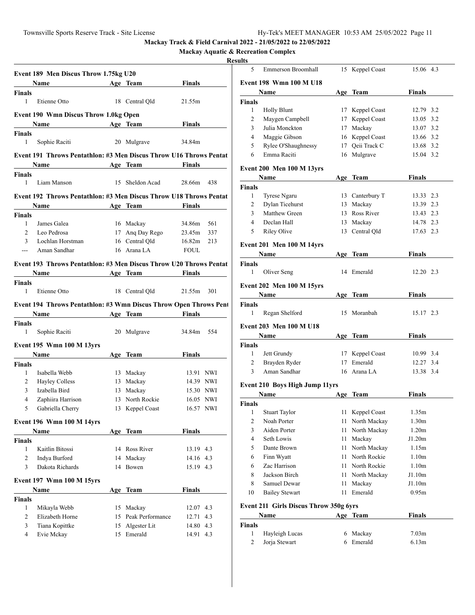**Mackay Aquatic & Recreation Complex**

|                                 | Event 189 Men Discus Throw 1.75kg U20                              |    |                               |                        |     |
|---------------------------------|--------------------------------------------------------------------|----|-------------------------------|------------------------|-----|
|                                 | Name                                                               |    | Age Team                      | <b>Finals</b>          |     |
| Finals                          |                                                                    |    |                               |                        |     |
| $\mathbf{1}$                    | Etienne Otto                                                       |    | 18 Central Qld                | 21.55m                 |     |
|                                 | <b>Event 190 Wmn Discus Throw 1.0kg Open</b>                       |    |                               |                        |     |
|                                 | Name Age Team                                                      |    |                               | Finals                 |     |
| Finals                          |                                                                    |    |                               |                        |     |
| $\mathbf{1}$                    | Sophie Raciti                                                      |    | 20 Mulgrave                   | 34.84m                 |     |
|                                 | Event 191 Throws Pentathlon: #3 Men Discus Throw U16 Throws Pentat |    |                               |                        |     |
|                                 | Name Age Team                                                      |    |                               | <b>Finals</b>          |     |
| Finals                          |                                                                    |    |                               |                        |     |
| 1                               | Liam Manson                                                        |    | 15 Sheldon Acad               | 28.66m                 | 438 |
|                                 | Event 192 Throws Pentathlon: #3 Men Discus Throw U18 Throws Pentat |    |                               |                        |     |
|                                 | Name                                                               |    | Age Team                      | Finals                 |     |
| Finals                          |                                                                    |    |                               |                        |     |
| 1                               | James Galea                                                        |    | 16 Mackay                     | 34.86m                 | 561 |
| $\overline{2}$                  | Leo Pedrosa                                                        |    | 17 Ang Day Rego               | 23.45m                 | 337 |
| 3                               | Lochlan Horstman                                                   |    | 16 Central Old                | 16.82m                 | 213 |
| $\frac{1}{2}$                   | Aman Sandhar                                                       |    | 16 Arana LA                   | <b>FOUL</b>            |     |
|                                 | Event 193 Throws Pentathlon: #3 Men Discus Throw U20 Throws Pentat |    |                               |                        |     |
|                                 | Name Age Team                                                      |    |                               | Finals                 |     |
| Finals                          |                                                                    |    |                               |                        |     |
| $\mathbf{1}$                    | Etienne Otto                                                       |    | 18 Central Qld                | 21.55m                 | 301 |
|                                 | Event 194 Throws Pentathlon: #3 Wmn Discus Throw Open Throws Pent  |    |                               |                        |     |
|                                 | Name Age Team Finals                                               |    |                               |                        |     |
| Finals                          |                                                                    |    |                               |                        |     |
| 1                               | Sophie Raciti                                                      |    | 20 Mulgrave                   | 34.84m 554             |     |
|                                 |                                                                    |    |                               |                        |     |
|                                 | Event 195 Wmn 100 M 13yrs                                          |    |                               |                        |     |
|                                 | Name                                                               |    |                               | <b>Finals</b>          |     |
|                                 |                                                                    |    | Age Team                      |                        |     |
| 1                               | Isabella Webb                                                      |    | 13 Mackay                     | 13.91 NWI              |     |
| $\overline{2}$                  | <b>Hayley Colless</b>                                              |    | 13 Mackay                     | 14.39 NWI              |     |
| $\mathfrak{Z}$                  | Izabella Bird                                                      |    | 13 Mackay                     | 15.30 NWI              |     |
| $\overline{4}$                  | Zaphiira Harrison                                                  |    | 13 North Rockie               | 16.05 NWI              |     |
| 5                               | Gabriella Cherry                                                   |    | 13 Keppel Coast               | 16.57 NWI              |     |
|                                 |                                                                    |    |                               |                        |     |
|                                 | Event 196 Wmn 100 M 14yrs                                          |    |                               |                        |     |
|                                 | Name                                                               |    | Age Team                      | <b>Finals</b>          |     |
| 1                               | Kaitlin Bitossi                                                    |    | 14 Ross River                 |                        |     |
| $\overline{c}$                  |                                                                    | 14 | Mackay                        | 13.19 4.3<br>14.16 4.3 |     |
| 3                               | Indya Burford<br>Dakota Richards                                   |    | 14 Bowen                      | 15.19 4.3              |     |
|                                 |                                                                    |    |                               |                        |     |
|                                 | <b>Event 197 Wmn 100 M 15yrs</b>                                   |    |                               |                        |     |
|                                 | Name                                                               |    | Age Team                      | <b>Finals</b>          |     |
|                                 |                                                                    |    |                               |                        |     |
| Finals<br>Finals<br>Finals<br>1 | Mikayla Webb                                                       |    | 15 Mackay                     | 12.07 4.3              |     |
| 2                               | Elizabeth Horne                                                    |    | 15 Peak Performance           | 12.71 4.3              |     |
| 3<br>4                          | Tiana Kopittke<br>Evie Mckay                                       |    | 15 Algester Lit<br>15 Emerald | 14.80 4.3<br>14.91 4.3 |     |

| 5              | <b>Emmerson Broomhall</b>              |      | 15 Keppel Coast | 15.06 4.3         |  |  |  |
|----------------|----------------------------------------|------|-----------------|-------------------|--|--|--|
|                | <b>Event 198 Wmn 100 M U18</b>         |      |                 |                   |  |  |  |
|                | Name                                   |      | Age Team        | Finals            |  |  |  |
| <b>Finals</b>  |                                        |      |                 |                   |  |  |  |
| 1              | <b>Holly Blunt</b>                     |      | 17 Keppel Coast | 12.79 3.2         |  |  |  |
| 2              | Maygen Campbell                        |      | 17 Keppel Coast | 13.05 3.2         |  |  |  |
| 3              | Julia Monckton                         |      | 17 Mackay       | 13.07 3.2         |  |  |  |
| 4              | Maggie Gibson                          |      | 16 Keppel Coast | 13.66 3.2         |  |  |  |
| 5              | Rylee O'Shaughnessy                    |      | 17 Qeii Track C | 13.68 3.2         |  |  |  |
| 6              | Emma Raciti                            |      | 16 Mulgrave     | 15.04 3.2         |  |  |  |
|                |                                        |      |                 |                   |  |  |  |
|                | <b>Event 200 Men 100 M 13yrs</b>       |      |                 |                   |  |  |  |
|                | Name                                   |      | Age Team        | <b>Finals</b>     |  |  |  |
| <b>Finals</b>  |                                        |      |                 |                   |  |  |  |
| 1              | Tyrese Ngaru                           |      | 13 Canterbury T | 13.33 2.3         |  |  |  |
| 2              | Dylan Ticehurst                        |      | 13 Mackay       | 13.39 2.3         |  |  |  |
| 3              | Matthew Green                          |      | 13 Ross River   | 13.43 2.3         |  |  |  |
| 4              | Declan Hall                            |      | 13 Mackay       | 14.78 2.3         |  |  |  |
| 5              | <b>Riley Olive</b>                     | 13   | Central Qld     | 17.63 2.3         |  |  |  |
|                | Event 201 Men 100 M 14yrs              |      |                 |                   |  |  |  |
|                | Name                                   |      | Age Team        | Finals            |  |  |  |
| Finals         |                                        |      |                 |                   |  |  |  |
| 1              | Oliver Seng                            |      | 14 Emerald      | 12.20 2.3         |  |  |  |
|                |                                        |      |                 |                   |  |  |  |
|                | <b>Event 202 Men 100 M 15yrs</b>       |      |                 |                   |  |  |  |
|                | Name                                   |      | Age Team        | Finals            |  |  |  |
| <b>Finals</b>  |                                        |      |                 |                   |  |  |  |
| 1              | Regan Shelford                         |      | 15 Moranbah     | 15.17 2.3         |  |  |  |
|                | <b>Event 203 Men 100 M U18</b>         |      |                 |                   |  |  |  |
|                | <b>Name</b>                            |      | Age Team        | <b>Finals</b>     |  |  |  |
| Finals         |                                        |      |                 |                   |  |  |  |
| 1              | Jett Grundy                            |      | 17 Keppel Coast | 10.99 3.4         |  |  |  |
| $\overline{2}$ | Brayden Ryder                          |      | 17 Emerald      | 12.27 3.4         |  |  |  |
| 3              | Aman Sandhar                           |      | 16 Arana LA     | 13.38 3.4         |  |  |  |
|                |                                        |      |                 |                   |  |  |  |
|                | <b>Event 210 Boys High Jump 11yrs</b>  |      |                 |                   |  |  |  |
|                | Name                                   |      | Age Team        | Finals            |  |  |  |
| <b>Finals</b>  |                                        |      |                 |                   |  |  |  |
| $\mathbf{1}$   | <b>Stuart Taylor</b>                   | 11   | Keppel Coast    | 1.35m             |  |  |  |
| 2              | Noah Porter                            | 11   | North Mackay    | 1.30 <sub>m</sub> |  |  |  |
| 3              | Aiden Porter                           | 11   | North Mackay    | 1.20m             |  |  |  |
| 4              | Seth Lowis                             | 11   | Mackay          | J1.20m            |  |  |  |
| 5              | Dante Brown                            |      | 11 North Mackay | 1.15m             |  |  |  |
| 6              | Finn Wyatt                             |      | 11 North Rockie | 1.10 <sub>m</sub> |  |  |  |
| 6              | Zac Harrison                           |      | 11 North Rockie | 1.10 <sub>m</sub> |  |  |  |
| 8              | Jackson Birch                          | 11 - | North Mackay    | J1.10m            |  |  |  |
| 8              | Samuel Dewar                           | 11   | Mackay          | J1.10m            |  |  |  |
| 10             | <b>Bailey Stewart</b>                  | 11   | Emerald         | 0.95m             |  |  |  |
|                | Event 211 Girls Discus Throw 350g 6yrs |      |                 |                   |  |  |  |
|                |                                        |      |                 |                   |  |  |  |
|                | Name                                   |      | Age Team        | <b>Finals</b>     |  |  |  |
| <b>Finals</b>  |                                        |      |                 |                   |  |  |  |
| 1              | Hayleigh Lucas                         | 6    | Mackay          | 7.03 <sub>m</sub> |  |  |  |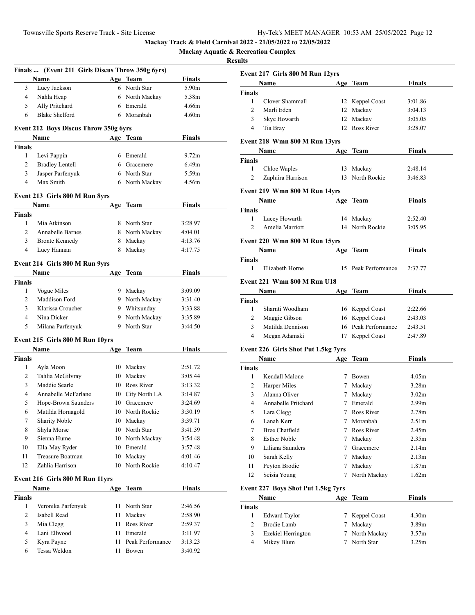**Mackay Aquatic & Recreation Complex**

|               | Finals  (Event 211 Girls Discus Throw 350g 6yrs) |      |                  |                   |
|---------------|--------------------------------------------------|------|------------------|-------------------|
|               | Name                                             |      | Age Team         | Finals            |
| 3             | Lucy Jackson                                     |      | 6 North Star     | 5.90m             |
| 4             | Nahla Heap                                       |      | 6 North Mackay   | 5.38m             |
| 5             | Ally Pritchard                                   |      | 6 Emerald        | 4.66m             |
| 6             | <b>Blake Shelford</b>                            |      | 6 Moranbah       | 4.60 <sub>m</sub> |
|               |                                                  |      |                  |                   |
|               | Event 212 Boys Discus Throw 350g 6yrs            |      |                  |                   |
|               | Name                                             |      | Age Team         | <b>Finals</b>     |
| <b>Finals</b> |                                                  |      |                  |                   |
| 1             | Levi Pappin                                      |      | 6 Emerald        | 9.72 <sub>m</sub> |
| 2             | <b>Bradley Lentell</b>                           |      | 6 Gracemere      | 6.49 <sub>m</sub> |
| 3             | Jasper Parfenyuk                                 |      | 6 North Star     | 5.59m             |
| 4             | Max Smith                                        |      | 6 North Mackay   | 4.56m             |
|               | Event 213 Girls 800 M Run 8yrs                   |      |                  |                   |
|               | Name                                             | Age  | Team             | Finals            |
| <b>Finals</b> |                                                  |      |                  |                   |
| 1             | Mia Atkinson                                     |      | 8 North Star     | 3:28.97           |
| 2             | Annabelle Barnes                                 |      | 8 North Mackay   | 4:04.01           |
| 3             | <b>Bronte Kennedy</b>                            |      | 8 Mackay         | 4:13.76           |
| 4             | Lucy Hannan                                      |      | 8 Mackay         | 4:17.75           |
|               |                                                  |      |                  |                   |
|               | Event 214 Girls 800 M Run 9yrs                   |      |                  |                   |
|               | Name                                             |      | Age Team         | Finals            |
| <b>Finals</b> |                                                  |      |                  |                   |
| 1             | Vogue Miles                                      |      | 9 Mackay         | 3:09.09           |
| 2             | Maddison Ford                                    |      | 9 North Mackay   | 3:31.40           |
| 3             | Klarissa Croucher                                |      | 9 Whitsunday     | 3:33.88           |
| 4             | Nina Dicker                                      |      | 9 North Mackay   | 3:35.89           |
| 5             | Milana Parfenyuk                                 |      | 9 North Star     | 3:44.50           |
|               | Event 215 Girls 800 M Run 10yrs                  |      |                  |                   |
|               | Name                                             | Age  | Team             | <b>Finals</b>     |
| <b>Finals</b> |                                                  |      |                  |                   |
| 1             | Ayla Moon                                        |      | 10 Mackay        | 2:51.72           |
| 2             | Tahlia McGilvray                                 |      | 10 Mackay        | 3:05.44           |
| 3             | Maddie Searle                                    |      | 10 Ross River    | 3:13.32           |
| 4             | Annabelle McFarlane                              |      | 10 City North LA | 3:14.87           |
| 5             | Hope-Brown Saunders                              |      | 10 Gracemere     | 3:24.69           |
| 6             | Matilda Hornagold                                |      | 10 North Rockie  | 3:30.19           |
| 7             | <b>Sharity Noble</b>                             | 10   | Mackay           | 3:39.71           |
| 8             | Shyla Morse                                      |      | 10 North Star    | 3:41.39           |
| 9             | Sienna Hume                                      |      | 10 North Mackay  | 3:54.48           |
| 10            | Ella-May Ryder                                   |      | 10 Emerald       | 3:57.48           |
| 11            | <b>Treasure Boatman</b>                          |      | 10 Mackay        | 4:01.46           |
| 12            | Zahlia Harrison                                  |      | 10 North Rockie  | 4:10.47           |
|               | Event 216 Girls 800 M Run 11yrs                  |      |                  |                   |
|               | Name                                             | Age  | <b>Team</b>      | <b>Finals</b>     |
| <b>Finals</b> |                                                  |      |                  |                   |
| 1             | Veronika Parfenyuk                               | 11   | North Star       | 2:46.56           |
| 2             | Isabell Read                                     | 11   | Mackay           | 2:58.90           |
| 3             | Mia Clegg                                        | 11   | Ross River       | 2:59.37           |
| 4             | Lani Ellwood                                     | 11 - | Emerald          | 3:11.97           |
| 5             | Kyra Payne                                       | 11   | Peak Performance | 3:13.23           |
| 6             | Tessa Weldon                                     | 11   | Bowen            | 3:40.92           |
|               |                                                  |      |                  |                   |

|                | Event 217 Girls 800 M Run 12yrs     |     |                     |                   |  |
|----------------|-------------------------------------|-----|---------------------|-------------------|--|
|                | Name                                |     | Age Team            | Finals            |  |
| <b>Finals</b>  |                                     |     |                     |                   |  |
| 1              | Clover Shammall                     |     | 12 Keppel Coast     | 3:01.86           |  |
| $\overline{2}$ | Marli Eden                          |     | 12 Mackay           | 3:04.13           |  |
| 3              | Skye Howarth                        | 12  | Mackay              | 3:05.05           |  |
| 4              | Tia Bray                            | 12  | Ross River          | 3:28.07           |  |
|                | Event 218 Wmn 800 M Run 13yrs       |     |                     |                   |  |
|                | Name                                |     | Age Team            | Finals            |  |
| Finals         |                                     |     |                     |                   |  |
| 1              | Chloe Waples                        |     | 13 Mackay           | 2:48.14           |  |
| 2              | Zaphiira Harrison                   |     | 13 North Rockie     | 3:46.83           |  |
|                | Event 219 Wmn 800 M Run 14yrs       |     |                     |                   |  |
|                | Name                                |     | Age Team            | Finals            |  |
| <b>Finals</b>  |                                     |     |                     |                   |  |
| $\mathbf{1}$   | Lacey Howarth                       |     | 14 Mackay           | 2:52.40           |  |
| $\overline{2}$ | Amelia Marriott                     |     | 14 North Rockie     | 3:05.95           |  |
|                |                                     |     |                     |                   |  |
|                | Event 220 Wmn 800 M Run 15yrs       |     |                     |                   |  |
|                | <b>Name</b>                         |     | Age Team            | <b>Finals</b>     |  |
| Finals<br>1    | Elizabeth Horne                     |     | Peak Performance    | 2:37.77           |  |
|                |                                     | 15  |                     |                   |  |
|                | <b>Event 221 Wmn 800 M Run U18</b>  |     |                     |                   |  |
|                | Name                                |     | Age Team            | Finals            |  |
| <b>Finals</b>  |                                     |     |                     |                   |  |
| 1              | Sharnti Woodham                     |     | 16 Keppel Coast     | 2:22.66           |  |
| 2              | Maggie Gibson                       |     | 16 Keppel Coast     | 2:43.03           |  |
| 3              | Matilda Dennison                    |     | 16 Peak Performance | 2:43.51           |  |
| 4              | Megan Adamski                       |     | 17 Keppel Coast     | 2:47.89           |  |
|                | Event 226 Girls Shot Put 1.5kg 7yrs |     |                     |                   |  |
|                | Name                                | Age | Team                | <b>Finals</b>     |  |
| Finals         |                                     |     |                     |                   |  |
| 1              | Kendall Malone                      |     | 7 Bowen             | 4.05m             |  |
| 2              | Harper Miles                        |     | 7 Mackay            | 3.28 <sub>m</sub> |  |
| 3              | Alanna Oliver                       |     | 7 Mackay            | 3.02 <sub>m</sub> |  |
| 4              | Annabelle Pritchard                 |     | 7 Emerald           | 2.99 <sub>m</sub> |  |
| 5              | Lara Clegg                          |     | 7 Ross River        | 2.78m             |  |
| 6              | Lanah Kerr                          | 7   | Moranbah            | 2.51m             |  |
| 7              | <b>Bree Chatfield</b>               | 7   | Ross River          | 2.45m             |  |
| 8              | <b>Esther Noble</b>                 | 7   | Mackay              | 2.35m             |  |
| 9              | Liliana Saunders                    |     | 7 Gracemere         | 2.14m             |  |
| 10             | Sarah Kelly                         |     | 7 Mackay            | 2.13 <sub>m</sub> |  |
| 11             | Peyton Brodie                       |     | 7 Mackay            | 1.87 <sub>m</sub> |  |
| 12             | Seisia Young                        | 7   | North Mackay        | 1.62m             |  |
|                | Event 227 Boys Shot Put 1.5kg 7yrs  |     |                     |                   |  |
|                | <b>Name</b>                         |     | Age Team            | <b>Finals</b>     |  |
| <b>Finals</b>  |                                     |     |                     |                   |  |
| $\mathbf{1}$   | <b>Edward Taylor</b>                | 7   | Keppel Coast        | 4.30m             |  |
| 2              | <b>Brodie Lamb</b>                  | 7   | Mackay              | 3.89m             |  |
| 3              | Ezekiel Herrington                  | 7   | North Mackay        | 3.57 <sub>m</sub> |  |
| 4              | Mikey Blum                          |     | 7 North Star        | 3.25m             |  |
|                |                                     |     |                     |                   |  |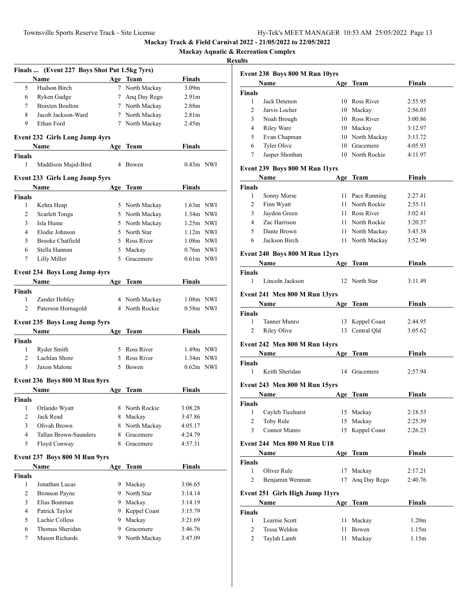**Mackay Aquatic & Recreation Complex**

|                | Finals  (Event 227 Boys Shot Put 1.5kg 7yrs) |        |                |                   |  |
|----------------|----------------------------------------------|--------|----------------|-------------------|--|
|                | Name                                         |        | Age Team       | Finals            |  |
| 5              | Hudson Birch                                 | $\tau$ | North Mackay   | 3.09 <sub>m</sub> |  |
| 6              | Ryken Gudge                                  |        | 7 Anq Day Rego | 2.91 <sub>m</sub> |  |
| 7              | <b>Braxten Boulton</b>                       |        | 7 North Mackay | 2.88m             |  |
| 8              | Jacob Jackson-Ward                           |        | 7 North Mackay | 2.81 <sub>m</sub> |  |
| 9              | Ethan Ford                                   |        | 7 North Mackay | 2.45m             |  |
|                | <b>Event 232 Girls Long Jump 4yrs</b>        |        |                |                   |  |
|                | <b>Name</b>                                  |        | Age Team       | <b>Finals</b>     |  |
| Finals         |                                              |        |                |                   |  |
| 1              | Maddison Majid-Bird                          |        | 4 Bowen        | $0.43m$ NWI       |  |
|                | Event 233 Girls Long Jump 5yrs               |        |                |                   |  |
|                | Name                                         |        | Age Team       | Finals            |  |
| <b>Finals</b>  |                                              |        |                |                   |  |
| 1              | Kehra Heap                                   |        | 5 North Mackay | $1.63m$ NWI       |  |
| 2              | Scarlett Tonga                               |        | 5 North Mackay | $1.34m$ NWI       |  |
| 3              | Isla Hume                                    |        | 5 North Mackay | $1.25m$ NWI       |  |
| $\overline{4}$ | Elodie Johnson                               |        | 5 North Star   | $1.12m$ NWI       |  |
| 5              | <b>Brooke Chatfield</b>                      |        | 5 Ross River   | $1.08m$ NWI       |  |
| 6              | Stella Hannan                                |        | 5 Mackay       | 0.76m NWI         |  |
| 7              | Lilly Miller                                 | 5      | Gracemere      | $0.61m$ NWI       |  |
|                | <b>Event 234 Boys Long Jump 4yrs</b>         |        |                |                   |  |
|                | <b>Name</b>                                  |        | Age Team       | Finals            |  |
| <b>Finals</b>  |                                              |        |                |                   |  |
| 1              | Zander Hobley                                |        | 4 North Mackay | $1.08m$ NWI       |  |
| 2              | Paterson Hornagold                           |        | 4 North Rockie | $0.58m$ NWI       |  |
|                | <b>Event 235 Boys Long Jump 5yrs</b>         |        |                |                   |  |
|                | Name                                         |        | Age Team       | Finals            |  |
| Finals         |                                              |        |                |                   |  |
| 1              | Ryder Smith                                  |        | 5 Ross River   | $1.49m$ NWI       |  |
| 2              | Lachlan Shore                                |        | 5 Ross River   | $1.34m$ NWI       |  |
| 3              | Jaxon Malone                                 |        | 5 Bowen        | $0.62m$ NWI       |  |
|                | Event 236 Boys 800 M Run 8yrs                |        |                |                   |  |
|                | Name                                         | Age    | <b>Team</b>    | Finals            |  |
| Finals         |                                              |        |                |                   |  |
| 1              | Orlando Wyatt                                | 8      | North Rockie   | 3:08.28           |  |
| 2              | Jack Read                                    | 8      | Mackay         | 3:47.86           |  |
| 3              | Olivah Brown                                 | 8.     | North Mackay   | 4:05.17           |  |
| 4              | Tallan Brown-Saunders                        | 8      | Gracemere      | 4:24.79           |  |
| 5              | Floyd Conway                                 | 8      | Gracemere      | 4:57.31           |  |
|                | Event 237 Boys 800 M Run 9yrs                |        |                |                   |  |
|                | Name                                         |        | Age Team       | <b>Finals</b>     |  |
| Finals         |                                              |        |                |                   |  |
| 1              | Jonathan Lucas                               |        | 9 Mackay       | 3:06.65           |  |
| 2              | <b>Bronson Payne</b>                         |        | 9 North Star   | 3:14.14           |  |
| 3              | Elias Boatman                                |        | 9 Mackay       | 3:14.19           |  |
| $\overline{4}$ | Patrick Taylor                               |        | 9 Keppel Coast | 3:15.79           |  |
| 5              | Lachie Colless                               |        | 9 Mackay       | 3:21.69           |  |
| 6              | Thomas Sheridan                              |        | 9 Gracemere    | 3:46.76           |  |
| 7              | Mason Richards                               |        | 9 North Mackay | 3:47.09           |  |
|                |                                              |        |                |                   |  |

|                | Event 238 Boys 800 M Run 10yrs     |    |                 |                   |
|----------------|------------------------------------|----|-----------------|-------------------|
|                | Name                               |    | Age Team        | Finals            |
| Finals         |                                    |    |                 |                   |
| 1              | Jack Detenon                       |    | 10 Ross River   | 2:55.95           |
| $\overline{c}$ | Jarvis Locher                      |    | 10 Mackay       | 2:56.03           |
| 3              | Noah Brough                        |    | 10 Ross River   | 3:00.86           |
| 4              | <b>Riley Ware</b>                  |    | 10 Mackay       | 3:12.97           |
| 5              | Evan Chapman                       |    | 10 North Mackay | 3:13.72           |
| 6              | Tyler Olive                        |    | 10 Gracemere    | 4:05.93           |
| 7              | Jasper Shonhan                     |    | 10 North Rockie | 4:11.97           |
|                | Event 239 Boys 800 M Run 11yrs     |    |                 |                   |
|                | Name                               |    | Age Team        | Finals            |
| Finals         |                                    |    |                 |                   |
| 1              | Sonny Morse                        |    | 11 Pace Running | 2:27.41           |
| 2              | Finn Wyatt                         |    | 11 North Rockie | 2:55.11           |
| 3              | Jaydon Green                       |    | 11 Ross River   | 3:02.41           |
| 4              | Zac Harrison                       |    | 11 North Rockie | 3:20.37           |
| 5              | Dante Brown                        |    | 11 North Mackay | 3:43.38           |
| 6              | Jackson Birch                      |    | 11 North Mackay | 3:52.90           |
|                | Event 240 Boys 800 M Run 12yrs     |    |                 |                   |
|                | <b>Name</b>                        |    | Age Team        | <b>Finals</b>     |
| Finals         |                                    |    |                 |                   |
| 1              | Lincoln Jackson                    | 12 | North Star      | 3:11.49           |
|                | Event 241 Men 800 M Run 13yrs      |    |                 |                   |
|                | Name                               |    | Age Team        | <b>Finals</b>     |
| Finals         |                                    |    |                 |                   |
| 1              | Tanner Munro                       | 13 | Keppel Coast    | 2:44.95           |
| 2              | <b>Riley Olive</b>                 |    | 13 Central Qld  | 3:05.62           |
|                | Event 242 Men 800 M Run 14yrs      |    |                 |                   |
|                | Name                               |    | Age Team        | Finals            |
| Finals         |                                    |    |                 |                   |
| 1              | Keith Sheridan                     | 14 | Gracemere       | 2:57.94           |
|                | Event 243 Men 800 M Run 15yrs      |    |                 |                   |
|                | Name                               |    | Age Team        | <b>Finals</b>     |
| Finals         |                                    |    |                 |                   |
|                | 1 Cayleb Ticehurst                 |    | 15 Mackay       | 2:18.53           |
| 2              | Toby Rule                          |    | 15 Mackay       | 2:25.39           |
| 3              | Connor Munro                       | 15 | Keppel Coast    | 2:26.23           |
|                | <b>Event 244 Men 800 M Run U18</b> |    |                 |                   |
|                | Name                               |    | Age Team        | <b>Finals</b>     |
| Finals         |                                    |    |                 |                   |
| 1              | Oliver Rule                        | 17 | Mackay          | 2:17.21           |
| $\overline{c}$ | Benjamin Wenman                    | 17 | Ang Day Rego    | 2:40.76           |
|                | Event 251 Girls High Jump 11yrs    |    |                 |                   |
|                | Name                               |    | Age Team        | <b>Finals</b>     |
| Finals         |                                    |    |                 |                   |
| 1              | Learnie Scott                      | 11 | Mackay          | 1.20 <sub>m</sub> |
| 2              | Tessa Weldon                       | 11 | Bowen           | 1.15m             |
| 2              | Taylah Lamb                        | 11 | Mackay          | 1.15m             |
|                |                                    |    |                 |                   |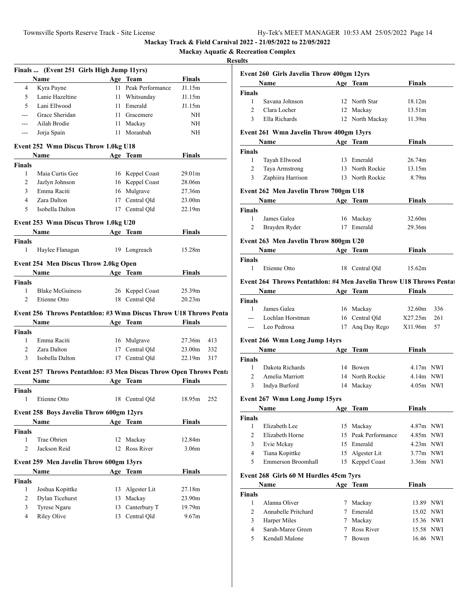**Mackay Aquatic & Recreation Complex**

|                                                | Finals  (Event 251 Girls High Jump 11yrs)                          |     |                             |                    |     |
|------------------------------------------------|--------------------------------------------------------------------|-----|-----------------------------|--------------------|-----|
|                                                | <b>Example 2 Age</b> Team<br>Name                                  |     |                             | <b>Finals</b>      |     |
| 4                                              | Kyra Payne                                                         |     | 11 Peak Performance         | J1.15m             |     |
| 5                                              | Lanie Hazeltine                                                    |     | 11 Whitsunday               | J1.15m             |     |
| 5                                              | Lani Ellwood                                                       | 11  | Emerald                     | J1.15m             |     |
| $\overline{a}$                                 | Grace Sheridan                                                     |     | 11 Gracemere                | NH                 |     |
| $--$                                           | Ailah Brodie                                                       |     | 11 Mackay                   | NH                 |     |
| $--$                                           | Jorja Spain                                                        |     | 11 Moranbah                 | NH                 |     |
|                                                | Event 252 Wmn Discus Throw 1.0kg U18                               |     |                             |                    |     |
|                                                | Name Age Team                                                      |     |                             | <b>Finals</b>      |     |
| <b>Finals</b>                                  |                                                                    |     |                             |                    |     |
| 1                                              | Maia Curtis Gee                                                    |     | 16 Keppel Coast             | 29.01 <sub>m</sub> |     |
| 2                                              | Jazlyn Johnson                                                     |     | 16 Keppel Coast             | 28.06m             |     |
| 3                                              | Emma Raciti                                                        |     | 16 Mulgrave                 | 27.36m             |     |
| $\overline{4}$                                 | Zara Dalton                                                        |     | 17 Central Qld              | 23.00m             |     |
| 5                                              | Isobella Dalton                                                    |     | 17 Central Qld              | 22.19m             |     |
|                                                | Event 253 Wmn Discus Throw 1.0kg U20                               |     |                             |                    |     |
|                                                | Name Age Team                                                      |     |                             | <b>Finals</b>      |     |
| <b>Finals</b>                                  |                                                                    |     |                             |                    |     |
| 1                                              | Haylee Flanagan                                                    |     | 19 Longreach                | 15.28m             |     |
|                                                | <b>Event 254 Men Discus Throw 2.0kg Open</b>                       |     |                             |                    |     |
|                                                | <b>Name</b>                                                        |     | Age Team                    | <b>Finals</b>      |     |
| <b>Finals</b>                                  |                                                                    |     |                             |                    |     |
| $\mathbf{1}$                                   | <b>Blake McGuiness</b>                                             |     | 26 Keppel Coast             | 25.39m             |     |
| 2                                              | Etienne Otto                                                       |     | 18 Central Old              | 20.23m             |     |
|                                                |                                                                    |     |                             |                    |     |
|                                                | Event 256 Throws Pentathlon: #3 Wmn Discus Throw U18 Throws Penta  |     |                             |                    |     |
|                                                | <b>Name</b>                                                        |     | Age Team                    | Finals             |     |
| <b>Finals</b>                                  |                                                                    |     |                             |                    |     |
| $\mathbf{1}$                                   | Emma Raciti                                                        |     | 16 Mulgrave                 | 27.36m             | 413 |
| $\overline{2}$                                 | Zara Dalton                                                        |     | 17 Central Qld              | 23.00m             | 332 |
| 3                                              | Isobella Dalton                                                    |     | 17 Central Qld              | 22.19m             | 317 |
|                                                | Event 257 Throws Pentathlon: #3 Men Discus Throw Open Throws Penta |     |                             |                    |     |
|                                                | Name Age Team Finals                                               |     |                             |                    |     |
| <b>Finals</b>                                  |                                                                    |     |                             |                    |     |
| 1                                              | Etienne Otto                                                       |     | 18 Central Qld              | 18.95m 252         |     |
|                                                | Event 258 Boys Javelin Throw 600gm 12yrs                           |     |                             |                    |     |
|                                                |                                                                    |     | <b>Team</b>                 | <b>Finals</b>      |     |
|                                                | Name                                                               |     |                             |                    |     |
|                                                |                                                                    | Age |                             |                    |     |
| 1                                              |                                                                    |     |                             |                    |     |
|                                                | Trae Obrien                                                        | 12  | Mackay                      | 12.84m             |     |
| $\overline{c}$                                 | Jackson Reid                                                       | 12  | Ross River                  | 3.06m              |     |
|                                                | Event 259 Men Javelin Throw 600gm 13yrs                            |     |                             |                    |     |
|                                                | Name                                                               |     | Age Team                    | <b>Finals</b>      |     |
|                                                |                                                                    |     |                             |                    |     |
| <b>Finals</b><br><b>Finals</b><br>$\mathbf{1}$ | Joshua Kopittke                                                    | 13  | Algester Lit                | 27.18m             |     |
| $\overline{c}$                                 | Dylan Ticehurst                                                    | 13  | Mackay                      | 23.90m             |     |
| 3<br>4                                         | Tyrese Ngaru<br><b>Riley Olive</b>                                 | 13  | Canterbury T<br>Central Qld | 19.79m<br>9.67m    |     |

|                | Event 260 Girls Javelin Throw 400gm 12yrs                          |          |                     |                    |           |
|----------------|--------------------------------------------------------------------|----------|---------------------|--------------------|-----------|
|                | <b>Name</b>                                                        |          | Age Team            | Finals             |           |
| Finals         |                                                                    |          |                     |                    |           |
| 1              | Savana Johnson                                                     |          | 12 North Star       | 18.12m             |           |
| 2              | Clara Locher                                                       |          | 12 Mackay           | 13.51m             |           |
| 3              | Ella Richards                                                      |          | 12 North Mackay     | 11.39m             |           |
|                | Event 261 Wmn Javelin Throw 400gm 13yrs                            |          |                     |                    |           |
|                | Name                                                               |          | Age Team            | Finals             |           |
| Finals         |                                                                    |          |                     |                    |           |
| 1              | Tayah Ellwood                                                      |          | 13 Emerald          | 26.74m             |           |
| 2              | <b>Taya Armstrong</b>                                              |          | 13 North Rockie     | 13.15m             |           |
| 3              | Zaphiira Harrison                                                  |          | 13 North Rockie     | 8.79m              |           |
|                | Event 262 Men Javelin Throw 700gm U18                              |          |                     |                    |           |
|                | Name                                                               |          | Age Team            | Finals             |           |
| <b>Finals</b>  |                                                                    |          |                     |                    |           |
| 1              | James Galea                                                        |          | 16 Mackay           | 32.60 <sub>m</sub> |           |
| 2              | Brayden Ryder                                                      |          | 17 Emerald          | 29.36m             |           |
|                | Event 263 Men Javelin Throw 800gm U20                              |          |                     |                    |           |
|                | <b>Name</b>                                                        | Age Team |                     | <b>Finals</b>      |           |
| Finals         |                                                                    |          |                     |                    |           |
| 1              | Etienne Otto                                                       |          | 18 Central Old      | 15.62m             |           |
|                | Event 264 Throws Pentathlon: #4 Men Javelin Throw U18 Throws Penta |          |                     |                    |           |
|                | <b>Name <i>Name</i></b>                                            |          | Age Team            | <b>Finals</b>      |           |
| <b>Finals</b>  |                                                                    |          |                     |                    |           |
| 1              | James Galea                                                        |          | 16 Mackay           | 32.60m             | 336       |
| $---$          | Lochlan Horstman                                                   |          | 16 Central Qld      | X27.25m            | 261       |
| $---$          | Leo Pedrosa                                                        |          | 17 Ang Day Rego     | X11.96m            | 57        |
|                | Event 266 Wmn Long Jump 14yrs                                      |          |                     |                    |           |
|                | <b>Name</b>                                                        |          | Age Team            | <b>Finals</b>      |           |
| <b>Finals</b>  |                                                                    |          |                     |                    |           |
| 1              | Dakota Richards                                                    |          | 14 Bowen            | $4.17m$ NWI        |           |
| 2              | Amelia Marriott                                                    |          | 14 North Rockie     | 4.14m NWI          |           |
| 3              | Indya Burford                                                      |          | 14 Mackay           | 4.05m NWI          |           |
|                | Event 267 Wmn Long Jump 15yrs                                      |          |                     |                    |           |
|                | Name                                                               |          | Age Team            | Finals             |           |
| <b>Finals</b>  |                                                                    |          |                     |                    |           |
| 1              | Elizabeth Lee                                                      |          | 15 Mackay           | 4.87m NWI          |           |
| $\overline{c}$ | Elizabeth Horne                                                    |          | 15 Peak Performance | 4.85m NWI          |           |
| 3              | Evie Mckay                                                         |          | 15 Emerald          | $4.23m$ NWI        |           |
| 4              | Tiana Kopittke                                                     |          | 15 Algester Lit     | 3.77m NWI          |           |
| 5              | Emmerson Broomhall                                                 | 15       | Keppel Coast        | 3.36m NWI          |           |
|                |                                                                    |          |                     |                    |           |
|                | Event 268 Girls 60 M Hurdles 45cm 7yrs                             |          |                     |                    |           |
|                | Name                                                               |          | Age Team            | Finals             |           |
| <b>Finals</b>  |                                                                    |          |                     |                    |           |
| 1              | Alanna Oliver                                                      |          | 7 Mackay            |                    | 13.89 NWI |
| 2              | Annabelle Pritchard                                                |          | 7 Emerald           |                    | 15.02 NWI |
| 3              | Harper Miles                                                       |          | 7 Mackay            |                    | 15.36 NWI |
| 4              | Sarah-Maree Green                                                  |          | 7 Ross River        |                    | 15.58 NWI |
| 5              | Kendall Malone                                                     |          | 7 Bowen             |                    | 16.46 NWI |
|                |                                                                    |          |                     |                    |           |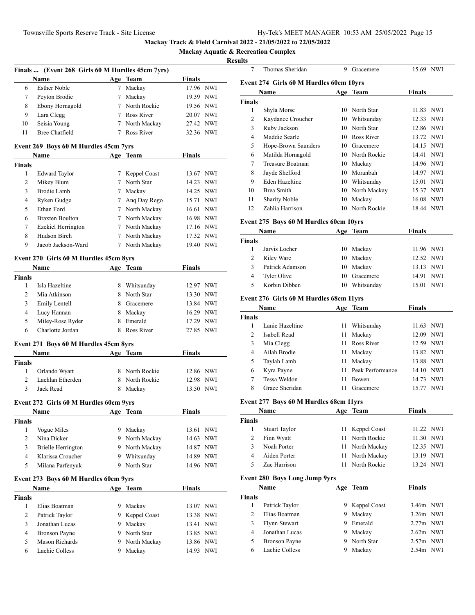**Mackary Accreation Complex** 

#### **Results**

|                |                                                  |             |                |               | Mackay Aquatic & Re |
|----------------|--------------------------------------------------|-------------|----------------|---------------|---------------------|
|                |                                                  |             |                |               | <b>Result</b>       |
|                | Finals  (Event 268 Girls 60 M Hurdles 45cm 7yrs) |             |                |               |                     |
|                | Name                                             |             | Age Team       | Finals        |                     |
| 6              | <b>Esther Noble</b>                              | $7^{\circ}$ | Mackay         |               | 17.96 NWI           |
| 7              | Peyton Brodie                                    |             | 7 Mackay       |               | 19.39 NWI           |
| 8              | Ebony Hornagold                                  |             | 7 North Rockie |               | 19.56 NWI           |
| 9              | Lara Clegg                                       |             | 7 Ross River   |               | 20.07 NWI           |
| 10             | Seisia Young                                     |             | 7 North Mackay |               | 27.42 NWI           |
| 11             | <b>Bree Chatfield</b>                            |             | 7 Ross River   |               | 32.36 NWI           |
|                | Event 269 Boys 60 M Hurdles 45cm 7yrs            |             |                |               |                     |
|                | <b>Name</b>                                      |             | Age Team       | Finals        |                     |
| <b>Finals</b>  |                                                  |             |                |               |                     |
| 1              | <b>Edward Taylor</b>                             |             | 7 Keppel Coast |               | 13.67 NWI           |
| 2              | Mikey Blum                                       |             | 7 North Star   |               | 14.23 NWI           |
| 3              | Brodie Lamb                                      |             | 7 Mackay       |               | 14.25 NWI           |
| $\overline{4}$ | Ryken Gudge                                      |             | 7 Ang Day Rego |               | 15.71 NWI           |
| 5              | Ethan Ford                                       |             | 7 North Mackay |               | 16.61 NWI           |
| 6              | <b>Braxten Boulton</b>                           |             | 7 North Mackay |               | 16.98 NWI           |
| $\tau$         | Ezekiel Herrington                               |             | 7 North Mackay |               | 17.16 NWI           |
| 8              | Hudson Birch                                     |             | 7 North Mackay |               | 17.32 NWI           |
| 9              | Jacob Jackson-Ward                               |             | 7 North Mackay |               | 19.40 NWI           |
|                | Event 270 Girls 60 M Hurdles 45cm 8yrs           |             |                |               |                     |
|                | <b>Name</b>                                      |             | Age Team       | Finals        |                     |
| <b>Finals</b>  |                                                  |             |                |               |                     |
| $\mathbf{1}$   | Isla Hazeltine                                   |             | 8 Whitsunday   |               | 12.97 NWI           |
| $\overline{2}$ | Mia Atkinson                                     |             | 8 North Star   |               | 13.30 NWI           |
| 3              | <b>Emily Lentell</b>                             |             | 8 Gracemere    |               | 13.84 NWI           |
| $\overline{4}$ | Lucy Hannan                                      |             | 8 Mackay       |               | 16.29 NWI           |
| 5              | Miley-Rose Ryder                                 |             | 8 Emerald      |               | 17.29 NWI           |
| 6              | Charlotte Jordan                                 |             | 8 Ross River   |               | 27.85 NWI           |
|                | Event 271 Boys 60 M Hurdles 45cm 8yrs            |             |                |               |                     |
|                | Name                                             |             | Age Team       | Finals        |                     |
| <b>Finals</b>  |                                                  |             |                |               |                     |
| 1              | Orlando Wyatt                                    |             | 8 North Rockie |               | 12.86 NWI           |
| 2              | Lachlan Etherden                                 |             | 8 North Rockie |               | 12.98 NWI           |
| 3              | Jack Read                                        |             | 8 Mackay       |               | 13.50 NWI           |
|                |                                                  |             |                |               |                     |
|                | Event 272 Girls 60 M Hurdles 60cm 9yrs           |             |                |               |                     |
|                | Name                                             |             | Age Team       | <b>Finals</b> |                     |
| <b>Finals</b>  |                                                  |             |                |               |                     |
| 1              | Vogue Miles                                      |             | 9 Mackay       |               | 13.61 NWI           |
| 2              | Nina Dicker                                      |             | 9 North Mackay |               | 14.63 NWI           |
| 3              | Brielle Herrington                               |             | 9 North Mackay |               | 14.87 NWI           |
| 4              | Klarissa Croucher                                |             | 9 Whitsunday   |               | 14.89 NWI           |
|                | Milana Parfenyuk                                 |             | 9 North Star   |               | 14.96 NWI           |
| 5              |                                                  |             |                |               |                     |
|                | Event 273 Boys 60 M Hurdles 60cm 9yrs            |             |                |               |                     |
|                | Name                                             |             | Age Team       | <b>Finals</b> |                     |
| <b>Finals</b>  |                                                  |             |                |               |                     |
| 1              | Elias Boatman                                    |             | 9 Mackay       |               | 13.07 NWI           |
| $\overline{c}$ | Patrick Taylor                                   | 9           | Keppel Coast   |               | 13.38 NWI           |
| 3              | Jonathan Lucas                                   | 9           | Mackay         |               | 13.41 NWI           |
| 4              | <b>Bronson Payne</b>                             | 9           | North Star     |               | 13.85 NWI           |
| 5              | Mason Richards                                   | 9           | North Mackay   |               | 13.86 NWI           |

| 7      | Thomas Sheridan                         | 9   | Gracemere    | 15.69 NWI |  |
|--------|-----------------------------------------|-----|--------------|-----------|--|
|        | Event 274 Girls 60 M Hurdles 60cm 10yrs |     |              |           |  |
|        | Name                                    | Age | Team         | Finals    |  |
| Finals |                                         |     |              |           |  |
| 1      | Shyla Morse                             | 10  | North Star   | 11.83 NWI |  |
| 2      | Kaydance Croucher                       | 10  | Whitsunday   | 12.33 NWI |  |
| 3      | Ruby Jackson                            | 10  | North Star   | 12.86 NWI |  |
| 4      | Maddie Searle                           | 10  | Ross River   | 13.72 NWI |  |
| 5      | Hope-Brown Saunders                     | 10  | Gracemere    | 14.15 NWI |  |
| 6      | Matilda Hornagold                       | 10  | North Rockie | 14.41 NWI |  |
| 7      | Treasure Boatman                        | 10  | Mackay       | 14.96 NWI |  |
| 8      | Jayde Shelford                          | 10  | Moranbah     | 14.97 NWI |  |
| 9      | Eden Hazeltine                          | 10  | Whitsunday   | 15.01 NWI |  |
| 10     | <b>Brea Smith</b>                       | 10  | North Mackay | 15.37 NWI |  |
| 11     | <b>Sharity Noble</b>                    | 10  | Mackay       | 16.08 NWI |  |
| 12     | Zahlia Harrison                         | 10  | North Rockie | 18.44 NWI |  |
|        |                                         |     |              |           |  |

## **Event 275 Boys 60 M Hurdles 60cm 10yrs**

| Name         |                 |    | Age Team     | <b>Finals</b> |     |
|--------------|-----------------|----|--------------|---------------|-----|
| <b>inals</b> |                 |    |              |               |     |
|              | Jarvis Locher   |    | 10 Mackay    | 11.96 NWI     |     |
|              | Riley Ware      |    | 10 Mackay    | 12.52 NWI     |     |
| 3            | Patrick Adamson |    | 10 Mackay    | 13.13 NWI     |     |
|              | Tyler Olive     |    | 10 Gracemere | 14.91 NWI     |     |
|              | Korbin Dibben   | 10 | Whitsunday   | 15.01         | NWI |

## **Event 276 Girls 60 M Hurdles 68cm 11yrs**

|               | Name            |    | Age Team            | <b>Finals</b>       |  |
|---------------|-----------------|----|---------------------|---------------------|--|
| Finals        |                 |    |                     |                     |  |
|               | Lanie Hazeltine | 11 | Whitsunday          | 11.63 NWI           |  |
| $\mathcal{D}$ | Isabell Read    | 11 | Mackay              | 12.09 NWI           |  |
| 3             | Mia Clegg       | 11 | Ross River          | 12.59 NWI           |  |
| 4             | Ailah Brodie    | 11 | Mackay              | 13.82 NWI           |  |
| 5             | Taylah Lamb     | 11 | Mackay              | 13.88 NWI           |  |
| 6             | Kyra Payne      |    | 11 Peak Performance | 14.10 NWI           |  |
| 7             | Tessa Weldon    | 11 | Bowen               | NWI<br>14.73        |  |
| 8             | Grace Sheridan  |    | Gracemere           | <b>NWI</b><br>15.77 |  |

#### **Event 277 Boys 60 M Hurdles 68cm 11yrs**

| <b>Stuart Taylor</b> | 11 Keppel Coast | 11.22 NWI                                                                |  |
|----------------------|-----------------|--------------------------------------------------------------------------|--|
| Finn Wyatt           |                 | 11.30 NWI                                                                |  |
| Noah Porter          |                 | 12.35 NWI                                                                |  |
| Aiden Porter         |                 | 13.19 NWI                                                                |  |
| Zac Harrison         |                 | 13.24 NWI                                                                |  |
|                      |                 | 11 North Rockie<br>11 North Mackay<br>11 North Mackay<br>11 North Rockie |  |

## **Event 280 Boys Long Jump 9yrs**

| Name                 |   |         | <b>Finals</b>                                           |
|----------------------|---|---------|---------------------------------------------------------|
|                      |   |         |                                                         |
| Patrick Taylor       |   |         | 3.46m NWI                                               |
| Elias Boatman        |   |         | $3.26m$ NWI                                             |
| Flynn Stewart        |   | Emerald | $2.77m$ NWI                                             |
| Jonathan Lucas       | 9 | Mackay  | $2.62m$ NWI                                             |
| <b>Bronson Payne</b> |   |         | $2.57m$ NWI                                             |
| Lachie Colless       |   | Mackay  | $2.54m$ NWI                                             |
|                      |   |         | Age Team<br>9 Keppel Coast<br>Mackay<br>9<br>North Star |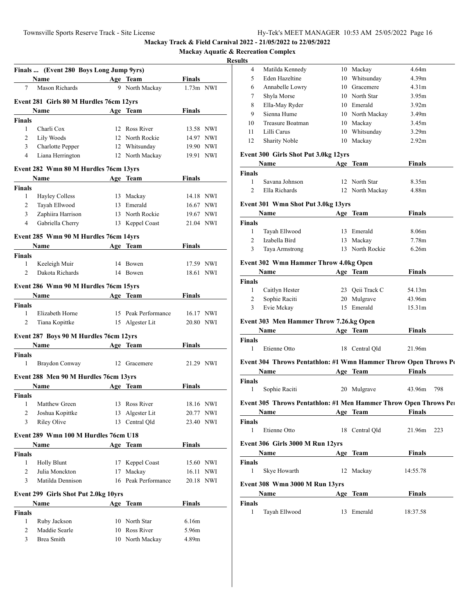**Mackay Aquatic & Recreation Complex**

# **Resul**

|                    | Finals  (Event 280 Boys Long Jump 9yrs)                                                                                     |                     |               |     |
|--------------------|-----------------------------------------------------------------------------------------------------------------------------|---------------------|---------------|-----|
|                    | Name                                                                                                                        | Age Team            | <b>Finals</b> |     |
| 7                  | Mason Richards                                                                                                              | 9 North Mackay      | $1.73m$ NWI   |     |
|                    | Event 281 Girls 80 M Hurdles 76cm 12yrs                                                                                     |                     |               |     |
|                    | Name                                                                                                                        | Age Team            | Finals        |     |
| <b>Finals</b>      |                                                                                                                             |                     |               |     |
| 1                  | Charli Cox                                                                                                                  | 12 Ross River       | 13.58 NWI     |     |
| $\overline{2}$     | Lily Woods                                                                                                                  | 12 North Rockie     | 14.97 NWI     |     |
| 3                  | Charlotte Pepper                                                                                                            | 12 Whitsunday       | 19.90 NWI     |     |
| 4                  | Liana Herrington                                                                                                            | 12 North Mackay     | 19.91 NWI     |     |
|                    | Event 282 Wmn 80 M Hurdles 76cm 13yrs                                                                                       |                     |               |     |
|                    | Name<br><u> 1990 - Johann John Stone, markin samti samti samti samti samti samti samti samti samti samti samti samti sa</u> | Age Team            | <b>Finals</b> |     |
| <b>Finals</b>      |                                                                                                                             |                     |               |     |
| 1                  | <b>Hayley Colless</b>                                                                                                       | 13 Mackay           | 14.18 NWI     |     |
| 2                  | Tayah Ellwood                                                                                                               | 13 Emerald          | 16.67 NWI     |     |
| 3                  | Zaphiira Harrison                                                                                                           | 13 North Rockie     | 19.67 NWI     |     |
| $\overline{4}$     | Gabriella Cherry                                                                                                            | 13 Keppel Coast     | 21.04 NWI     |     |
|                    |                                                                                                                             |                     |               |     |
|                    | Event 285 Wmn 90 M Hurdles 76cm 14yrs<br><b>Name</b>                                                                        |                     | <b>Finals</b> |     |
|                    |                                                                                                                             | Age Team            |               |     |
| <b>Finals</b><br>1 | Keeleigh Muir                                                                                                               | 14 Bowen            | 17.59 NWI     |     |
| $\overline{c}$     | Dakota Richards                                                                                                             | 14 Bowen            | 18.61 NWI     |     |
|                    |                                                                                                                             |                     |               |     |
|                    | Event 286 Wmn 90 M Hurdles 76cm 15yrs                                                                                       |                     |               |     |
|                    | <b>Name</b>                                                                                                                 | Age Team            | <b>Finals</b> |     |
| <b>Finals</b>      |                                                                                                                             |                     |               |     |
| 1                  | Elizabeth Horne                                                                                                             | 15 Peak Performance | 16.17 NWI     |     |
| $\overline{2}$     | Tiana Kopittke                                                                                                              | 15 Algester Lit     | 20.80 NWI     |     |
|                    | Event 287 Boys 90 M Hurdles 76cm 12yrs                                                                                      |                     |               |     |
|                    | <b>Name</b>                                                                                                                 | Age Team            | <b>Finals</b> |     |
| <b>Finals</b>      |                                                                                                                             |                     |               |     |
| 1                  | Braydon Conway                                                                                                              | 12 Gracemere        | 21.29 NWI     |     |
|                    | Event 288 Men 90 M Hurdles 76cm 13yrs                                                                                       |                     |               |     |
|                    | <b>Name</b>                                                                                                                 | Age Team            | Finals        |     |
| Finals             |                                                                                                                             |                     |               |     |
| 1                  | Matthew Green                                                                                                               | 13 Ross River       | 18.16 NWI     |     |
|                    | 2 Joshua Kopittke                                                                                                           | 13 Algester Lit     | 20.77 NWI     |     |
| 3                  | <b>Riley Olive</b>                                                                                                          | 13 Central Old      | 23.40 NWI     |     |
|                    | Event 289 Wmn 100 M Hurdles 76cm U18                                                                                        |                     |               |     |
|                    | <b>Name</b>                                                                                                                 | Age Team            | <b>Finals</b> |     |
| <b>Finals</b>      |                                                                                                                             |                     |               |     |
| 1                  | <b>Holly Blunt</b>                                                                                                          | 17 Keppel Coast     | 15.60 NWI     |     |
| $\overline{2}$     | Julia Monckton                                                                                                              | 17 Mackay           | 16.11         | NWI |
| 3                  | Matilda Dennison                                                                                                            | 16 Peak Performance | 20.18 NWI     |     |
|                    |                                                                                                                             |                     |               |     |
|                    | Event 299 Girls Shot Put 2.0kg 10yrs                                                                                        |                     |               |     |
|                    | Name                                                                                                                        | Age Team            | <b>Finals</b> |     |
| <b>Finals</b>      |                                                                                                                             |                     |               |     |
| 1                  | Ruby Jackson                                                                                                                | 10 North Star       | 6.16m         |     |
| 2                  | Maddie Searle                                                                                                               | 10 Ross River       | 5.96m         |     |
| 3                  | Brea Smith                                                                                                                  | 10 North Mackay     | 4.89m         |     |

| lts                    |                                                                                                                                                                                                                               |                         |                    |     |
|------------------------|-------------------------------------------------------------------------------------------------------------------------------------------------------------------------------------------------------------------------------|-------------------------|--------------------|-----|
| 4                      | Matilda Kennedy                                                                                                                                                                                                               | 10 Mackay               | 4.64m              |     |
| 5                      | Eden Hazeltine                                                                                                                                                                                                                | 10 Whitsunday           | 4.39 <sub>m</sub>  |     |
| 6                      | Annabelle Lowry                                                                                                                                                                                                               | 10 Gracemere            | 4.31 <sub>m</sub>  |     |
| 7                      | Shyla Morse                                                                                                                                                                                                                   | 10 North Star           | 3.95m              |     |
| 8                      | Ella-May Ryder                                                                                                                                                                                                                | 10 Emerald              | 3.92 <sub>m</sub>  |     |
| 9                      | Sienna Hume                                                                                                                                                                                                                   | 10 North Mackay         | 3.49 <sub>m</sub>  |     |
| 10                     | Treasure Boatman                                                                                                                                                                                                              | 10 Mackay               | 3.45m              |     |
| 11                     | Lilli Carus                                                                                                                                                                                                                   | 10 Whitsunday           | 3.29 <sub>m</sub>  |     |
| 12                     | <b>Sharity Noble</b>                                                                                                                                                                                                          | 10 Mackay               | 2.92 <sub>m</sub>  |     |
|                        | <b>Event 300 Girls Shot Put 3.0kg 12yrs</b>                                                                                                                                                                                   |                         |                    |     |
|                        | Name and the same state of the state of the state of the state of the state of the state of the state of the state of the state of the state of the state of the state of the state of the state of the state of the state of | Age Team                | <b>Finals</b>      |     |
| Finals                 |                                                                                                                                                                                                                               |                         |                    |     |
| 1                      | Savana Johnson                                                                                                                                                                                                                | 12 North Star           | 8.35m              |     |
| $\overline{2}$         | Ella Richards                                                                                                                                                                                                                 | 12 North Mackay         | 4.88m              |     |
|                        |                                                                                                                                                                                                                               |                         |                    |     |
|                        | Event 301 Wmn Shot Put 3.0kg 13yrs                                                                                                                                                                                            |                         |                    |     |
|                        | Name                                                                                                                                                                                                                          | Age Team                | <b>Finals</b>      |     |
| Finals<br>$\mathbf{1}$ | Tayah Ellwood                                                                                                                                                                                                                 |                         |                    |     |
| $\overline{2}$         | Izabella Bird                                                                                                                                                                                                                 | 13 Emerald<br>13 Mackay | 8.06m              |     |
| $\mathfrak{Z}$         |                                                                                                                                                                                                                               |                         | 7.78m<br>6.26m     |     |
|                        | Taya Armstrong                                                                                                                                                                                                                | 13 North Rockie         |                    |     |
|                        | <b>Event 302 Wmn Hammer Throw 4.0kg Open</b>                                                                                                                                                                                  |                         |                    |     |
|                        | Name Age Team                                                                                                                                                                                                                 |                         | <b>Finals</b>      |     |
| Finals                 |                                                                                                                                                                                                                               |                         |                    |     |
| $\mathbf{1}$           | Caitlyn Hester                                                                                                                                                                                                                | 23 Qeii Track C         | 54.13m             |     |
| $\overline{2}$         | Sophie Raciti                                                                                                                                                                                                                 | 20 Mulgrave             | 43.96m             |     |
| $\mathbf{3}$           | Evie Mckay                                                                                                                                                                                                                    | 15 Emerald              | 15.31 <sub>m</sub> |     |
|                        | Event 303 Men Hammer Throw 7.26.kg Open                                                                                                                                                                                       |                         |                    |     |
|                        |                                                                                                                                                                                                                               | Age Team                | <b>Finals</b>      |     |
| Finals                 |                                                                                                                                                                                                                               |                         |                    |     |
| 1                      | Etienne Otto                                                                                                                                                                                                                  | 18 Central Qld          | 21.96m             |     |
|                        |                                                                                                                                                                                                                               |                         |                    |     |
|                        | Event 304 Throws Pentathlon: #1 Wmn Hammer Throw Open Throws Po                                                                                                                                                               |                         |                    |     |
|                        | Name Age Team                                                                                                                                                                                                                 |                         | <b>Finals</b>      |     |
| Finals                 |                                                                                                                                                                                                                               |                         |                    |     |
| $\mathbf{1}$           | Sophie Raciti                                                                                                                                                                                                                 | 20 Mulgrave             | 43.96m 798         |     |
|                        | Event 305 Throws Pentathlon: #1 Men Hammer Throw Open Throws Pel                                                                                                                                                              |                         |                    |     |
|                        | Name                                                                                                                                                                                                                          | Age Team                | <b>Finals</b>      |     |
| Finals                 |                                                                                                                                                                                                                               |                         |                    |     |
| 1                      | Etienne Otto                                                                                                                                                                                                                  | 18 Central Qld          | 21.96m             | 223 |
|                        |                                                                                                                                                                                                                               |                         |                    |     |
|                        | Event 306 Girls 3000 M Run 12yrs                                                                                                                                                                                              |                         |                    |     |
|                        | Name and the same state of the state of the state of the state of the state of the state of the state of the state of the state of the state of the state of the state of the state of the state of the state of the state of | Age Team                | <b>Finals</b>      |     |
| Finals                 |                                                                                                                                                                                                                               |                         |                    |     |
| 1                      | Skye Howarth                                                                                                                                                                                                                  | 12 Mackay               | 14:55.78           |     |
|                        | Event 308 Wmn 3000 M Run 13yrs                                                                                                                                                                                                |                         |                    |     |
|                        | <b>Name</b> Name                                                                                                                                                                                                              | Age Team                | Finals             |     |
| Finals                 |                                                                                                                                                                                                                               |                         |                    |     |
| 1                      | Tayah Ellwood                                                                                                                                                                                                                 | 13 Emerald              | 18:37.58           |     |
|                        |                                                                                                                                                                                                                               |                         |                    |     |
|                        |                                                                                                                                                                                                                               |                         |                    |     |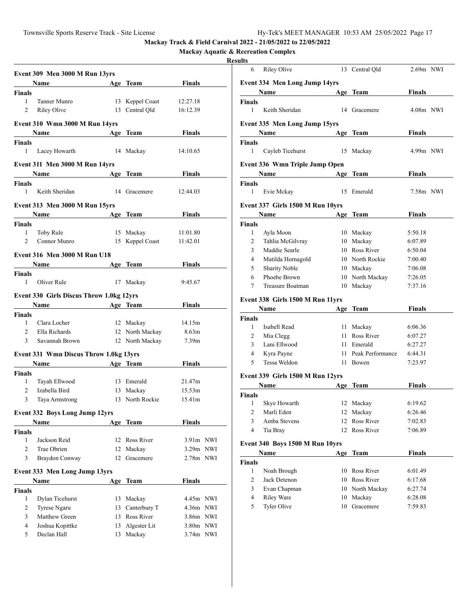**Mackay Aquatic & Recreation Complex**

## **Resul**

|                | Event 309 Men 3000 M Run 13yrs                                                                                                                                                                                                |    |                               |                        |  |
|----------------|-------------------------------------------------------------------------------------------------------------------------------------------------------------------------------------------------------------------------------|----|-------------------------------|------------------------|--|
|                | Name Age Team                                                                                                                                                                                                                 |    |                               | <b>Finals</b>          |  |
| Finals         |                                                                                                                                                                                                                               |    |                               |                        |  |
| 1              | Tanner Munro                                                                                                                                                                                                                  |    | 13 Keppel Coast 12:27.18      |                        |  |
| 2              | Riley Olive                                                                                                                                                                                                                   |    | 13 Central Qld                | 16:12.39               |  |
|                | Event 310 Wmn 3000 M Run 14yrs                                                                                                                                                                                                |    |                               |                        |  |
|                | Name Manual State Street, and the Street Street Street Street Street Street Street Street Street Street Street                                                                                                                |    | Age Team                      | Finals                 |  |
| Finals         |                                                                                                                                                                                                                               |    |                               |                        |  |
| 1              | Lacey Howarth                                                                                                                                                                                                                 |    | 14 Mackay                     | 14:10.65               |  |
|                |                                                                                                                                                                                                                               |    |                               |                        |  |
|                | Event 311 Men 3000 M Run 14yrs                                                                                                                                                                                                |    |                               |                        |  |
|                | Name                                                                                                                                                                                                                          |    | Age Team                      | Finals                 |  |
| Finals         |                                                                                                                                                                                                                               |    |                               |                        |  |
| $\mathbf{1}$   | Keith Sheridan                                                                                                                                                                                                                |    | 14 Gracemere                  | 12:44.03               |  |
|                | Event 313 Men 3000 M Run 15yrs                                                                                                                                                                                                |    |                               |                        |  |
|                | Name Age Team                                                                                                                                                                                                                 |    |                               | Finals                 |  |
| Finals         |                                                                                                                                                                                                                               |    |                               |                        |  |
| $\mathbf{1}$   | Toby Rule                                                                                                                                                                                                                     |    | 15 Mackay                     | 11:01.80               |  |
| $\overline{2}$ | Connor Munro                                                                                                                                                                                                                  |    | 15 Keppel Coast               | 11:42.01               |  |
|                | Event 316 Men 3000 M Run U18                                                                                                                                                                                                  |    |                               |                        |  |
|                | Name Age Team                                                                                                                                                                                                                 |    |                               |                        |  |
|                |                                                                                                                                                                                                                               |    |                               | Finals                 |  |
| Finals<br>1    | Oliver Rule                                                                                                                                                                                                                   |    | 17 Mackay                     | 9:45.67                |  |
|                |                                                                                                                                                                                                                               |    |                               |                        |  |
|                | <b>Event 330 Girls Discus Throw 1.0kg 12yrs</b>                                                                                                                                                                               |    |                               |                        |  |
|                | Name and the same state of the state of the state of the state of the state of the state of the state of the state of the state of the state of the state of the state of the state of the state of the state of the state of |    | Age Team                      | Finals                 |  |
| Finals         |                                                                                                                                                                                                                               |    |                               |                        |  |
| 1              | Clara Locher                                                                                                                                                                                                                  |    | 12 Mackay                     | 14.15m                 |  |
| $\mathbf{2}$   | Ella Richards                                                                                                                                                                                                                 |    | 12 North Mackay               | 8.63m                  |  |
| 3              | Savannah Brown                                                                                                                                                                                                                |    | 12 North Mackay               | 7.39m                  |  |
|                | <b>Event 331 Wmn Discus Throw 1.0kg 13yrs</b>                                                                                                                                                                                 |    |                               |                        |  |
|                | Name Age Team                                                                                                                                                                                                                 |    |                               | <b>Finals</b>          |  |
| Finals         |                                                                                                                                                                                                                               |    |                               |                        |  |
| $1 \quad$      | Tayah Ellwood                                                                                                                                                                                                                 |    | 13 Emerald                    | 21.47m                 |  |
| $\overline{2}$ | Izabella Bird                                                                                                                                                                                                                 |    | 13 Mackay                     | 15.53m                 |  |
| $\overline{3}$ | Taya Armstrong                                                                                                                                                                                                                |    | 13 North Rockie               | 15.41m                 |  |
|                | <b>Event 332 Boys Long Jump 12yrs</b>                                                                                                                                                                                         |    |                               |                        |  |
|                | <b>Name</b>                                                                                                                                                                                                                   |    | Age Team                      | <b>Finals</b>          |  |
| Finals         |                                                                                                                                                                                                                               |    |                               |                        |  |
| 1              | Jackson Reid                                                                                                                                                                                                                  | 12 | Ross River                    | 3.91m NWI              |  |
| 2              | Trae Obrien                                                                                                                                                                                                                   | 12 | Mackay                        | 3.29m NWI              |  |
| 3              | Braydon Conway                                                                                                                                                                                                                | 12 | Gracemere                     | 2.78m NWI              |  |
|                |                                                                                                                                                                                                                               |    |                               |                        |  |
|                | Event 333 Men Long Jump 13yrs                                                                                                                                                                                                 |    |                               |                        |  |
|                | <b>Name</b>                                                                                                                                                                                                                   |    | Age Team                      | <b>Finals</b>          |  |
| <b>Finals</b>  |                                                                                                                                                                                                                               |    |                               |                        |  |
| 1              | Dylan Ticehurst                                                                                                                                                                                                               | 13 | Mackay                        | 4.45m NWI              |  |
| 2<br>3         | Tyrese Ngaru<br>Matthew Green                                                                                                                                                                                                 | 13 | Canterbury T<br>13 Ross River | 4.36m NWI<br>3.86m NWI |  |
| 4              | Joshua Kopittke                                                                                                                                                                                                               | 13 | Algester Lit                  | 3.80m NWI              |  |
| 5              | Declan Hall                                                                                                                                                                                                                   | 13 | Mackay                        | 3.74m NWI              |  |
|                |                                                                                                                                                                                                                               |    |                               |                        |  |
|                |                                                                                                                                                                                                                               |    |                               |                        |  |

| lts            |                                       |          |                     |               |  |
|----------------|---------------------------------------|----------|---------------------|---------------|--|
| 6              | Riley Olive                           |          | 13 Central Qld      | $2.69m$ NWI   |  |
|                | <b>Event 334 Men Long Jump 14yrs</b>  |          |                     |               |  |
|                | Name Age Team                         |          |                     | <b>Finals</b> |  |
| Finals         |                                       |          |                     |               |  |
| 1              | Keith Sheridan                        |          | 14 Gracemere        | 4.08m NWI     |  |
|                | Event 335 Men Long Jump 15yrs         |          |                     |               |  |
|                | Name Age Team                         |          |                     | <b>Finals</b> |  |
| Finals         |                                       |          |                     |               |  |
| 1              | Cayleb Ticehurst                      |          | 15 Mackay           | 4.99m NWI     |  |
|                | <b>Event 336 Wmn Triple Jump Open</b> |          |                     |               |  |
|                | Name Age Team                         |          |                     | Finals        |  |
| Finals         |                                       |          |                     |               |  |
| 1              | Evie Mckay                            |          | 15 Emerald          | 7.58m NWI     |  |
|                | Event 337 Girls 1500 M Run 10yrs      |          |                     |               |  |
|                | Name                                  |          | Age Team            | <b>Finals</b> |  |
| Finals         |                                       |          |                     |               |  |
| 1              | Ayla Moon                             |          | 10 Mackay           | 5:50.18       |  |
| 2              | Tahlia McGilvray                      |          | 10 Mackay           | 6:07.89       |  |
| 3              | Maddie Searle                         |          | 10 Ross River       | 6:50.04       |  |
| $\overline{4}$ | Matilda Hornagold                     |          | 10 North Rockie     | 7:00.40       |  |
| 5              | <b>Sharity Noble</b>                  |          | 10 Mackay           | 7:06.08       |  |
| 6              | Phoebe Brown                          |          | 10 North Mackay     | 7:26.05       |  |
| 7              | Treasure Boatman                      |          | 10 Mackay           | 7:37.16       |  |
|                | Event 338 Girls 1500 M Run 11yrs      |          |                     |               |  |
|                | Name                                  |          | Age Team            | <b>Finals</b> |  |
| Finals         |                                       |          |                     |               |  |
| 1              | Isabell Read                          |          | 11 Mackay           | 6:06.36       |  |
| 2              | Mia Clegg                             |          | 11 Ross River       | 6:07.27       |  |
| 3              | Lani Ellwood                          |          | 11 Emerald          | 6:27.27       |  |
| 4              | Kyra Payne                            |          | 11 Peak Performance | 6:44.31       |  |
| 5              | Tessa Weldon                          |          | 11 Bowen            | 7:23.97       |  |
|                | Event 339 Girls 1500 M Run 12yrs      |          |                     |               |  |
|                | Name                                  | Age Team |                     | <b>Finals</b> |  |
| Finals         |                                       |          |                     |               |  |
|                | 1 Skye Howarth                        |          | 12 Mackay           | 6:19.62       |  |
| 2              | Marli Eden                            |          | 12 Mackay           | 6:26.46       |  |
| 3              | Amba Stevens                          | 12       | Ross River          | 7:02.83       |  |
| 4              | Tia Bray                              | 12       | Ross River          | 7:06.89       |  |
|                | Event 340 Boys 1500 M Run 10yrs       |          |                     |               |  |
|                | Name                                  |          | Age Team            | <b>Finals</b> |  |
| Finals         |                                       |          |                     |               |  |
| 1              | Noah Brough                           |          | 10 Ross River       | 6:01.49       |  |
| 2              | Jack Detenon                          |          | 10 Ross River       | 6:17.68       |  |
| 3              | Evan Chapman                          |          | 10 North Mackay     | 6:27.74       |  |
| 4              | <b>Riley Ware</b>                     |          | 10 Mackay           | 6:28.08       |  |
| 5              | Tyler Olive                           |          | 10 Gracemere        | 7:59.83       |  |
|                |                                       |          |                     |               |  |
|                |                                       |          |                     |               |  |
|                |                                       |          |                     |               |  |
|                |                                       |          |                     |               |  |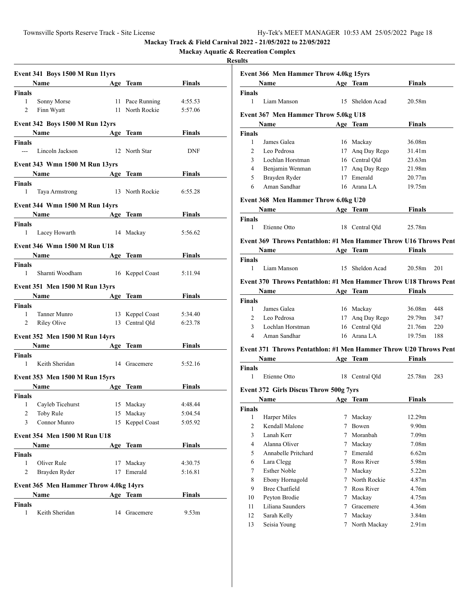**Name Age Team Finals** 

**Event 366 Men Hammer Throw 4.0kg 15yrs**

**Mackay Track & Field Carnival 2022 - 21/05/2022 to 22/05/2022**

**Mackay Aquatic & Recreation Complex**

|                      | Event 341 Boys 1500 M Run 11yrs                                      |           |                 |               |
|----------------------|----------------------------------------------------------------------|-----------|-----------------|---------------|
|                      | Name Age Team Finals                                                 |           |                 |               |
| Finals               |                                                                      |           |                 |               |
| 1                    | Sonny Morse                                                          |           | 11 Pace Running | 4:55.53       |
| 2                    | Finn Wyatt                                                           |           | 11 North Rockie | 5:57.06       |
|                      | Event 342 Boys 1500 M Run 12yrs                                      |           |                 |               |
|                      | Name Age Team                                                        |           |                 | Finals        |
| <b>Finals</b><br>--- | Lincoln Jackson                                                      |           | 12 North Star   | <b>DNF</b>    |
|                      |                                                                      |           |                 |               |
|                      | Event 343 Wmn 1500 M Run 13yrs<br><b>Example 2</b> Solution Age Team |           |                 | Finals        |
| Finals               |                                                                      |           |                 |               |
| 1                    | Taya Armstrong 13 North Rockie                                       |           |                 | 6:55.28       |
|                      | Event 344 Wmn 1500 M Run 14yrs                                       |           |                 |               |
|                      | Name Age Team                                                        |           |                 | <b>Finals</b> |
| Finals               |                                                                      |           |                 |               |
|                      | 1 Lacey Howarth                                                      | 14 Mackay |                 | 5:56.62       |
|                      | Event 346 Wmn 1500 M Run U18                                         |           |                 |               |
|                      | Name Age Team                                                        |           |                 | <b>Finals</b> |
| Finals               |                                                                      |           |                 |               |
| $1 \quad$            | Sharnti Woodham 16 Keppel Coast                                      |           |                 | 5:11.94       |
|                      | <b>Event 351 Men 1500 M Run 13yrs</b>                                |           |                 |               |
|                      | Name Age Team                                                        |           |                 | Finals        |
| Finals               |                                                                      |           |                 |               |
| 1                    | Tanner Munro                                                         |           | 13 Keppel Coast | 5:34.40       |
| 2                    | <b>Riley Olive</b>                                                   |           | 13 Central Qld  | 6:23.78       |
|                      | Event 352 Men 1500 M Run 14yrs                                       |           |                 |               |
|                      | Name Age Team Finals                                                 |           |                 |               |
| Finals               |                                                                      |           |                 |               |
| $\mathbf{1}$         | Keith Sheridan                                                       |           | 14 Gracemere    | 5:52.16       |
|                      | Event 353 Men 1500 M Run 15yrs                                       |           |                 |               |
|                      | Name Age Team                                                        |           |                 | Finals        |
| Finals               |                                                                      |           |                 |               |
| $\mathbf{1}$         | Cayleb Ticehurst 15 Mackay                                           |           |                 | 4:48.44       |
|                      | 2 Toby Rule 15 Mackay                                                |           |                 | 5:04.54       |
| $\mathbf{3}$         | Connor Munro                                                         |           | 15 Keppel Coast | 5:05.92       |
|                      | Event 354 Men 1500 M Run U18                                         |           |                 |               |
|                      | Name                                                                 |           | Age Team        | <b>Finals</b> |
| Finals               |                                                                      |           |                 |               |
| 1                    | Oliver Rule                                                          |           | 17 Mackay       | 4:30.75       |
| 2                    | Brayden Ryder                                                        |           | 17 Emerald      | 5:16.81       |
|                      | <b>Event 365 Men Hammer Throw 4.0kg 14yrs</b>                        |           |                 |               |
|                      | Name                                                                 |           | Age Team        | <b>Finals</b> |
| Finals               |                                                                      |           |                 |               |
| $\mathbf{1}$         | Keith Sheridan                                                       |           | 14 Gracemere    | 9.53m         |

| <b>Finals</b>  |                                                                                                                                                                                                                               |   |                 |                   |     |
|----------------|-------------------------------------------------------------------------------------------------------------------------------------------------------------------------------------------------------------------------------|---|-----------------|-------------------|-----|
| $\mathbf{1}$   | Liam Manson                                                                                                                                                                                                                   |   | 15 Sheldon Acad | 20.58m            |     |
|                | Event 367 Men Hammer Throw 5.0kg U18                                                                                                                                                                                          |   |                 |                   |     |
|                | <b>Name</b>                                                                                                                                                                                                                   |   | Age Team        | Finals            |     |
| <b>Finals</b>  |                                                                                                                                                                                                                               |   |                 |                   |     |
| 1              | James Galea                                                                                                                                                                                                                   |   | 16 Mackay       | 36.08m            |     |
| 2              | Leo Pedrosa                                                                                                                                                                                                                   |   | 17 Ang Day Rego | 31.41m            |     |
| 3              | Lochlan Horstman                                                                                                                                                                                                              |   | 16 Central Qld  | 23.63m            |     |
| 4              | Benjamin Wenman                                                                                                                                                                                                               |   | 17 Ang Day Rego | 21.98m            |     |
| 5              | Brayden Ryder                                                                                                                                                                                                                 |   | 17 Emerald      | 20.77m            |     |
| 6              | Aman Sandhar                                                                                                                                                                                                                  |   | 16 Arana LA     | 19.75m            |     |
|                | Event 368 Men Hammer Throw 6.0kg U20                                                                                                                                                                                          |   |                 |                   |     |
|                | <u>Name ________________</u>                                                                                                                                                                                                  |   | Age Team        | Finals            |     |
| Finals         |                                                                                                                                                                                                                               |   |                 |                   |     |
| 1              | Etienne Otto                                                                                                                                                                                                                  |   | 18 Central Qld  | 25.78m            |     |
|                | Event 369 Throws Pentathlon: #1 Men Hammer Throw U16 Throws Pent                                                                                                                                                              |   |                 |                   |     |
|                | Name Age Team                                                                                                                                                                                                                 |   |                 | <b>Finals</b>     |     |
| <b>Finals</b>  |                                                                                                                                                                                                                               |   |                 |                   |     |
| $\mathbf{1}$   | Liam Manson                                                                                                                                                                                                                   |   | 15 Sheldon Acad | 20.58m            | 201 |
|                | Event 370 Throws Pentathlon: #1 Men Hammer Throw U18 Throws Pent                                                                                                                                                              |   |                 |                   |     |
|                | Name and the same state of the state of the state of the state of the state of the state of the state of the state of the state of the state of the state of the state of the state of the state of the state of the state of |   | Age Team        | <b>Finals</b>     |     |
| <b>Finals</b>  |                                                                                                                                                                                                                               |   |                 |                   |     |
| $\mathbf{1}$   | James Galea                                                                                                                                                                                                                   |   | 16 Mackay       | 36.08m            | 448 |
| $\overline{2}$ | Leo Pedrosa                                                                                                                                                                                                                   |   | 17 Ang Day Rego | 29.79m            | 347 |
| 3              | Lochlan Horstman                                                                                                                                                                                                              |   | 16 Central Qld  | 21.76m            | 220 |
| 4              | Aman Sandhar                                                                                                                                                                                                                  |   | 16 Arana LA     | 19.75m 188        |     |
|                | Event 371 Throws Pentathlon: #1 Men Hammer Throw U20 Throws Pent                                                                                                                                                              |   |                 |                   |     |
|                | <u>Name _________________</u>                                                                                                                                                                                                 |   | Age Team        | <b>Finals</b>     |     |
| Finals         |                                                                                                                                                                                                                               |   |                 |                   |     |
| 1              | Etienne Otto                                                                                                                                                                                                                  |   | 18 Central Qld  | 25.78m            | 283 |
|                |                                                                                                                                                                                                                               |   |                 |                   |     |
|                | <b>Event 372 Girls Discus Throw 500g 7yrs</b>                                                                                                                                                                                 |   |                 |                   |     |
|                | Name Age Team                                                                                                                                                                                                                 |   |                 | <b>Finals</b>     |     |
| Finals         |                                                                                                                                                                                                                               |   |                 |                   |     |
| $\mathbf{1}$   | Harper Miles<br>Kendall Malone                                                                                                                                                                                                |   | 7 Mackay        | 12.29m            |     |
| $\overline{2}$ |                                                                                                                                                                                                                               |   | 7 Bowen         | 9.90 <sub>m</sub> |     |
|                | 3 Lanah Kerr                                                                                                                                                                                                                  |   | 7 Moranbah      | 7.09 <sub>m</sub> |     |
| 4              | Alanna Oliver                                                                                                                                                                                                                 | 7 | Mackay          | 7.08m             |     |
| 5              | Annabelle Pritchard                                                                                                                                                                                                           | 7 | Emerald         | 6.62m             |     |
| 6              | Lara Clegg                                                                                                                                                                                                                    | 7 | Ross River      | 5.98m             |     |
| $\tau$         | <b>Esther Noble</b>                                                                                                                                                                                                           | 7 | Mackay          | 5.22m             |     |
| 8              | Ebony Hornagold                                                                                                                                                                                                               | 7 | North Rockie    | 4.87m             |     |
| 9              | <b>Bree Chatfield</b>                                                                                                                                                                                                         | 7 | Ross River      | 4.76m             |     |
| 10             | Peyton Brodie                                                                                                                                                                                                                 | 7 | Mackay          | 4.75m             |     |
| 11             | Liliana Saunders                                                                                                                                                                                                              | 7 | Gracemere       | 4.36m             |     |
| 12             | Sarah Kelly                                                                                                                                                                                                                   | 7 | Mackay          | 3.84m             |     |
| 13             | Seisia Young                                                                                                                                                                                                                  | 7 | North Mackay    | 2.91 <sub>m</sub> |     |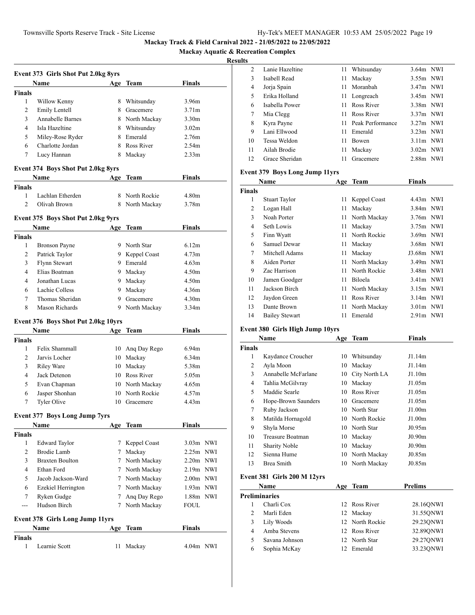**Mackay Aquatic & Recreation Complex**

## **Results**

| <b>Event 373 Girls Shot Put 2.0kg 8yrs</b> |                                        |        |                 |                   |  |  |  |
|--------------------------------------------|----------------------------------------|--------|-----------------|-------------------|--|--|--|
|                                            | Name                                   |        | Age Team        | Finals            |  |  |  |
| <b>Finals</b>                              |                                        |        |                 |                   |  |  |  |
| 1                                          | Willow Kenny                           |        | 8 Whitsunday    | 3.96m             |  |  |  |
| 2                                          | Emily Lentell                          |        | 8 Gracemere     | 3.71 <sub>m</sub> |  |  |  |
| 3                                          | <b>Annabelle Barnes</b>                |        | 8 North Mackay  | 3.30 <sub>m</sub> |  |  |  |
| $\overline{4}$                             | Isla Hazeltine                         |        | 8 Whitsunday    | 3.02 <sub>m</sub> |  |  |  |
| 5                                          | Miley-Rose Ryder                       |        | 8 Emerald       | 2.76m             |  |  |  |
| 6                                          | Charlotte Jordan                       |        | 8 Ross River    | 2.54m             |  |  |  |
| 7                                          | Lucy Hannan                            | 8      | Mackay          | 2.33 <sub>m</sub> |  |  |  |
|                                            | Event 374 Boys Shot Put 2.0kg 8yrs     |        |                 |                   |  |  |  |
|                                            | Name                                   |        | Age Team        | Finals            |  |  |  |
| <b>Finals</b>                              |                                        |        |                 |                   |  |  |  |
| 1                                          | Lachlan Etherden                       |        | 8 North Rockie  | 4.80 <sub>m</sub> |  |  |  |
| $\overline{c}$                             | Olivah Brown                           |        | 8 North Mackay  | 3.78 <sub>m</sub> |  |  |  |
|                                            | Event 375 Boys Shot Put 2.0kg 9yrs     |        |                 |                   |  |  |  |
|                                            | <b>Name</b> Name                       |        | Age Team        | Finals            |  |  |  |
| <b>Finals</b>                              |                                        |        |                 |                   |  |  |  |
| 1                                          | <b>Bronson Payne</b>                   |        | 9 North Star    | 6.12m             |  |  |  |
| 2                                          | Patrick Taylor                         |        | 9 Keppel Coast  | 4.73 <sub>m</sub> |  |  |  |
| 3                                          | Flynn Stewart                          |        | 9 Emerald       | 4.63m             |  |  |  |
| 4                                          | Elias Boatman                          |        | 9 Mackay        | 4.50 <sub>m</sub> |  |  |  |
| 4                                          | Jonathan Lucas                         |        | 9 Mackay        | 4.50 <sub>m</sub> |  |  |  |
| 6                                          | Lachie Colless                         |        | 9 Mackay        | 4.36m             |  |  |  |
| 7                                          | Thomas Sheridan                        |        | 9 Gracemere     | 4.30 <sub>m</sub> |  |  |  |
| 8                                          | Mason Richards                         |        | 9 North Mackay  | 3.34 <sub>m</sub> |  |  |  |
|                                            |                                        |        |                 |                   |  |  |  |
|                                            |                                        |        |                 |                   |  |  |  |
|                                            | Event 376 Boys Shot Put 2.0kg 10yrs    |        |                 |                   |  |  |  |
|                                            | Name                                   |        | Age Team        | Finals            |  |  |  |
| <b>Finals</b>                              |                                        |        |                 |                   |  |  |  |
| 1                                          | Felix Shammall                         | 10     | Ang Day Rego    | 6.94 <sub>m</sub> |  |  |  |
| 2                                          | Jarvis Locher                          | 10     | Mackay          | 6.34 <sub>m</sub> |  |  |  |
| 3                                          | Riley Ware                             |        | 10 Mackay       | 5.38m             |  |  |  |
| 4                                          | Jack Detenon                           |        | 10 Ross River   | 5.05m             |  |  |  |
| 5                                          | Evan Chapman                           |        | 10 North Mackay | 4.65m             |  |  |  |
| 6                                          | Jasper Shonhan                         |        | 10 North Rockie | 4.57m             |  |  |  |
| 7                                          | Tyler Olive                            |        | 10 Gracemere    | 4.43m             |  |  |  |
|                                            | Event 377 Boys Long Jump 7yrs          |        |                 |                   |  |  |  |
|                                            | Name                                   |        | Age Team        | <b>Finals</b>     |  |  |  |
| <b>Finals</b>                              |                                        |        |                 |                   |  |  |  |
| 1                                          | <b>Edward Taylor</b>                   | 7      | Keppel Coast    | $3.03m$ NWI       |  |  |  |
| 2                                          | <b>Brodie Lamb</b>                     | 7      | Mackay          | $2.25m$ NWI       |  |  |  |
| 3                                          | <b>Braxten Boulton</b>                 | 7      | North Mackay    | $2.20m$ NWI       |  |  |  |
| 4                                          | Ethan Ford                             |        | 7 North Mackay  | $2.19m$ NWI       |  |  |  |
| 5                                          | Jacob Jackson-Ward                     | $\tau$ | North Mackay    | 2.00m NWI         |  |  |  |
| 6                                          | Ezekiel Herrington                     |        | 7 North Mackay  | 1.93m NWI         |  |  |  |
| 7                                          | Ryken Gudge                            | 7      | Ang Day Rego    | 1.88m NWI         |  |  |  |
| ---                                        | Hudson Birch                           | 7      | North Mackay    | FOUL              |  |  |  |
|                                            | <b>Event 378 Girls Long Jump 11yrs</b> |        |                 |                   |  |  |  |
|                                            | Name                                   | Age    | Team            | Finals            |  |  |  |
| <b>Finals</b>                              |                                        |        |                 |                   |  |  |  |
| 1                                          | Learnie Scott                          | 11     | Mackay          | 4.04m NWI         |  |  |  |

| $\mathfrak{D}$ | Lanie Hazeltine |     | 11 Whitsunday       | $3.64m$ NWI |  |
|----------------|-----------------|-----|---------------------|-------------|--|
| 3              | Isabell Read    | 11  | Mackay              | $3.55m$ NWI |  |
| 4              | Jorja Spain     | 11. | Moranbah            | $3.47m$ NWI |  |
| 5              | Erika Holland   |     | 11 Longreach        | $3.45m$ NWI |  |
| 6              | Isabella Power  | 11. | Ross River          | 3.38m NWI   |  |
| 7              | Mia Clegg       | 11. | Ross River          | $3.37m$ NWI |  |
| 8              | Kyra Payne      |     | 11 Peak Performance | $3.27m$ NWI |  |
| 9              | Lani Ellwood    | 11  | Emerald             | $3.23m$ NWI |  |
| 10             | Tessa Weldon    | 11  | <b>Bowen</b>        | $3.11m$ NWI |  |
| 11             | Ailah Brodie    | 11  | Mackay              | $3.02m$ NWI |  |
| 12             | Grace Sheridan  | 11  | Gracemere           | 2.88m NWI   |  |

# **Event 379 Boys Long Jump 11yrs**

|               | Name                  |    | Age Team        | <b>Finals</b> |  |
|---------------|-----------------------|----|-----------------|---------------|--|
| <b>Finals</b> |                       |    |                 |               |  |
| 1             | Stuart Taylor         | 11 | Keppel Coast    | $4.43m$ NWI   |  |
| 2             | Logan Hall            | 11 | Mackay          | $3.84m$ NWI   |  |
| 3             | Noah Porter           |    | 11 North Mackay | 3.76m NWI     |  |
| 4             | Seth Lowis            | 11 | Mackay          | $3.75m$ NWI   |  |
| 5             | Finn Wyatt            | 11 | North Rockie    | $3.69m$ NWI   |  |
| 6             | Samuel Dewar          | 11 | Mackay          | $3.68m$ NWI   |  |
| 7             | Mitchell Adams        | 11 | Mackay          | J3.68m NWI    |  |
| 8             | Aiden Porter          |    | 11 North Mackay | $3.49m$ NWI   |  |
| 9             | Zac Harrison          | 11 | North Rockie    | 3.48m NWI     |  |
| 10            | Jamen Goodger         | 11 | <b>Biloela</b>  | $3.41m$ NWI   |  |
| 11            | Jackson Birch         | 11 | North Mackay    | $3.15m$ NWI   |  |
| 12            | Jaydon Green          | 11 | Ross River      | $3.14m$ NWI   |  |
| 13            | Dante Brown           | 11 | North Mackay    | $3.01m$ NWI   |  |
| 14            | <b>Bailey Stewart</b> | 11 | Emerald         | $2.91m$ NWI   |  |

# **Event 380 Girls High Jump 10yrs**

| Name          |                      | Age | Team            | <b>Finals</b>      |  |
|---------------|----------------------|-----|-----------------|--------------------|--|
| <b>Finals</b> |                      |     |                 |                    |  |
| 1             | Kaydance Croucher    | 10  | Whitsunday      | J1.14m             |  |
| 2             | Ayla Moon            | 10  | Mackay          | J1.14m             |  |
| 3             | Annabelle McFarlane  | 10  | City North LA   | J1.10m             |  |
| 4             | Tahlia McGilvray     | 10  | Mackay          | J1.05m             |  |
| 5             | Maddie Searle        |     | 10 Ross River   | J1.05m             |  |
| 6             | Hope-Brown Saunders  | 10  | Gracemere       | J1.05m             |  |
| 7             | Ruby Jackson         |     | 10 North Star   | J1.00m             |  |
| 8             | Matilda Hornagold    |     | 10 North Rockie | J1.00 <sub>m</sub> |  |
| 9             | Shyla Morse          |     | 10 North Star   | J0.95m             |  |
| 10            | Treasure Boatman     | 10  | Mackay          | J0.90 <sub>m</sub> |  |
| 11            | <b>Sharity Noble</b> | 10  | Mackay          | J0.90 <sub>m</sub> |  |
| 12            | Sienna Hume          | 10  | North Mackay    | J0.85m             |  |
| 13            | Brea Smith           | 10  | North Mackay    | J0.85m             |  |
|               |                      |     |                 |                    |  |

## **Event 381 Girls 200 M 12yrs**

| Name                 |                |     | Age Team        | <b>Prelims</b> |
|----------------------|----------------|-----|-----------------|----------------|
| <b>Preliminaries</b> |                |     |                 |                |
|                      | Charli Cox     |     | 12 Ross River   | 28.160NWI      |
| 2                    | Marli Eden     |     | 12 Mackay       | 31.55ONWI      |
| 3                    | Lily Woods     |     | 12 North Rockie | 29.23ONWI      |
| 4                    | Amba Stevens   |     | 12 Ross River   | 32.89ONWI      |
| 5                    | Savana Johnson |     | 12 North Star   | 29.27ONWI      |
| 6                    | Sophia McKay   | 12. | Emerald         | 33.230NWI      |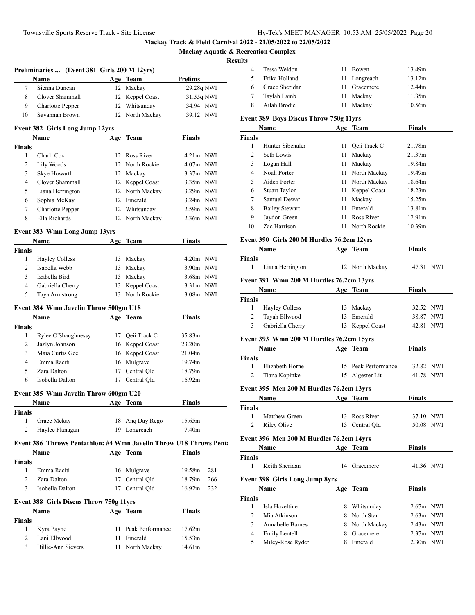# **Mackay Aquatic & Recreation Complex**

## **Resul**

|                    | Preliminaries  (Event 381 Girls 200 M 12yrs)                       |    |                     |                |     |
|--------------------|--------------------------------------------------------------------|----|---------------------|----------------|-----|
|                    | Name                                                               |    | Age Team            | <b>Prelims</b> |     |
| $\tau$             | Sienna Duncan                                                      |    | 12 Mackay           | 29.28q NWI     |     |
| 8                  | Clover Shammall                                                    |    | 12 Keppel Coast     | 31.55q NWI     |     |
| 9                  | <b>Charlotte Pepper</b>                                            |    | 12 Whitsunday       | 34.94 NWI      |     |
| 10                 | Savannah Brown                                                     |    | 12 North Mackay     | 39.12 NWI      |     |
|                    | <b>Event 382 Girls Long Jump 12yrs</b>                             |    |                     |                |     |
|                    | Name                                                               |    | Age Team            | <b>Finals</b>  |     |
| <b>Finals</b>      |                                                                    |    |                     |                |     |
| 1                  | Charli Cox                                                         |    | 12 Ross River       | 4.21m NWI      |     |
| 2                  | Lily Woods                                                         |    | 12 North Rockie     | $4.07m$ NWI    |     |
| 3                  | Skye Howarth<br>Clover Shammall                                    |    | 12 Mackay           | $3.37m$ NWI    |     |
| 4                  |                                                                    |    | 12 Keppel Coast     | 3.35m NWI      |     |
| 5                  | Liana Herrington                                                   |    | 12 North Mackay     | $3.29m$ NWI    |     |
| 6<br>7             | Sophia McKay                                                       |    | 12 Emerald          | $3.24m$ NWI    |     |
|                    | <b>Charlotte Pepper</b><br>Ella Richards                           |    | 12 Whitsunday       | $2.59m$ NWI    |     |
| 8                  |                                                                    |    | 12 North Mackay     | $2.36m$ NWI    |     |
|                    | Event 383 Wmn Long Jump 13yrs                                      |    |                     |                |     |
|                    | Name                                                               |    | Age Team            | Finals         |     |
| <b>Finals</b>      |                                                                    |    |                     |                |     |
| 1                  | <b>Hayley Colless</b>                                              |    | 13 Mackay           | $4.20m$ NWI    |     |
| $\overline{c}$     | Isabella Webb                                                      |    | 13 Mackay           | 3.90m NWI      |     |
| 3                  | Izabella Bird                                                      |    | 13 Mackay           | $3.68m$ NWI    |     |
| $\overline{4}$     | Gabriella Cherry                                                   | 13 | Keppel Coast        | $3.31m$ NWI    |     |
| 5                  | Taya Armstrong                                                     |    | 13 North Rockie     | 3.08m NWI      |     |
|                    | Event 384 Wmn Javelin Throw 500gm U18                              |    |                     |                |     |
|                    | Name                                                               |    | Age Team            | <b>Finals</b>  |     |
| <b>Finals</b>      |                                                                    |    |                     |                |     |
| 1                  | Rylee O'Shaughnessy                                                |    | 17 Qeii Track C     | 35.83m         |     |
| 2                  | Jazlyn Johnson                                                     |    | 16 Keppel Coast     | 23.20m         |     |
| 3                  | Maia Curtis Gee                                                    |    | 16 Keppel Coast     | 21.04m         |     |
| 4                  | Emma Raciti                                                        |    | 16 Mulgrave         | 19.74m         |     |
| 5                  | Zara Dalton                                                        |    | 17 Central Qld      | 18.79m         |     |
| 6                  | Isobella Dalton                                                    |    | 17 Central Qld      | 16.92m         |     |
|                    | Event 385 Wmn Javelin Throw 600gm U20                              |    |                     |                |     |
|                    | Name                                                               |    | Age Team            | Finals         |     |
| <b>Finals</b>      |                                                                    |    |                     |                |     |
| $\mathbf{1}$       | Grace Mckay                                                        |    | 18 Ang Day Rego     | 15.65m         |     |
| $\overline{2}$     | Haylee Flanagan                                                    |    | 19 Longreach        | 7.40m          |     |
|                    | Event 386 Throws Pentathlon: #4 Wmn Javelin Throw U18 Throws Pent: |    |                     |                |     |
|                    | Name                                                               |    | Age Team            | Finals         |     |
| <b>Finals</b>      |                                                                    |    |                     |                |     |
| 1                  | Emma Raciti                                                        |    | 16 Mulgrave         | 19.58m         | 281 |
| $\overline{2}$     | Zara Dalton                                                        | 17 | Central Qld         | 18.79m         | 266 |
| 3                  | Isobella Dalton                                                    |    | 17 Central Qld      | 16.92m         | 232 |
|                    | Event 388 Girls Discus Throw 750g 11yrs                            |    |                     |                |     |
|                    | Name                                                               |    | Age Team            | <b>Finals</b>  |     |
|                    |                                                                    |    |                     |                |     |
|                    |                                                                    |    |                     |                |     |
| 1                  | Kyra Payne                                                         |    | 11 Peak Performance | 17.62m         |     |
| <b>Finals</b><br>2 | Lani Ellwood                                                       |    | 11 Emerald          | 15.53m         |     |

| ults                          |                                               |      |                     |               |  |
|-------------------------------|-----------------------------------------------|------|---------------------|---------------|--|
| 4                             | Tessa Weldon                                  | 11 - | Bowen               | 13.49m        |  |
| 5                             | Erika Holland                                 | 11   | Longreach           | 13.12m        |  |
| 6                             | Grace Sheridan                                | 11 - | Gracemere           | 12.44m        |  |
| 7                             | Taylah Lamb                                   | 11 - | Mackay              | 11.35m        |  |
| 8                             | Ailah Brodie                                  | 11   | Mackay              | 10.56m        |  |
|                               | <b>Event 389 Boys Discus Throw 750g 11yrs</b> |      |                     |               |  |
|                               | Name                                          |      | Age Team            | Finals        |  |
| <b>Finals</b>                 |                                               |      |                     |               |  |
| 1                             | Hunter Sibenaler                              |      | 11 Qeii Track C     | 21.78m        |  |
| 2                             | Seth Lowis                                    |      | 11 Mackay           | 21.37m        |  |
| 3                             | Logan Hall                                    |      | 11 Mackay           | 19.84m        |  |
| 4                             | Noah Porter                                   |      | 11 North Mackay     | 19.49m        |  |
| 5                             | Aiden Porter                                  |      | 11 North Mackay     | 18.64m        |  |
| 6                             | <b>Stuart Taylor</b>                          |      | 11 Keppel Coast     | 18.23m        |  |
| 7                             | Samuel Dewar                                  |      | 11 Mackay           | 15.25m        |  |
| 8                             | <b>Bailey Stewart</b>                         |      | 11 Emerald          | 13.81m        |  |
| 9                             | Jaydon Green                                  | 11 - | Ross River          | 12.91m        |  |
| 10                            | Zac Harrison                                  | 11   | North Rockie        | 10.39m        |  |
|                               | Event 390 Girls 200 M Hurdles 76.2cm 12yrs    |      |                     |               |  |
|                               | <b>Name</b>                                   |      | Age Team            | Finals        |  |
| <b>Finals</b>                 |                                               |      |                     |               |  |
| 1                             | Liana Herrington                              |      | 12 North Mackay     | 47.31 NWI     |  |
|                               | Event 391 Wmn 200 M Hurdles 76.2cm 13yrs      |      |                     |               |  |
|                               | Name                                          |      | Age Team            | Finals        |  |
| <b>Finals</b>                 |                                               |      |                     |               |  |
| 1                             | <b>Hayley Colless</b>                         |      | 13 Mackay           | 32.52 NWI     |  |
| 2                             | Tayah Ellwood                                 | 13   | Emerald             | 38.87 NWI     |  |
| 3                             | Gabriella Cherry                              | 13   | Keppel Coast        | 42.81 NWI     |  |
|                               | Event 393 Wmn 200 M Hurdles 76.2cm 15yrs      |      |                     |               |  |
|                               | Name                                          |      | Age Team            | <b>Finals</b> |  |
| <b>Finals</b>                 |                                               |      |                     |               |  |
| 1                             | Elizabeth Horne                               |      | 15 Peak Performance | 32.82 NWI     |  |
| 2                             | Tiana Kopittke                                |      | 15 Algester Lit     | 41.78 NWI     |  |
|                               | Event 395 Men 200 M Hurdles 76.2cm 13yrs      |      |                     |               |  |
|                               | Name                                          |      | Age Team            | Finals        |  |
| <b>Finals</b>                 |                                               |      |                     |               |  |
| 1                             | Matthew Green                                 |      | 13 Ross River       | 37.10 NWI     |  |
| $\overline{c}$                | Riley Olive                                   |      | 13 Central Qld      | 50.08 NWI     |  |
|                               |                                               |      |                     |               |  |
|                               | Event 396 Men 200 M Hurdles 76.2cm 14yrs      |      |                     |               |  |
|                               | <b>Name</b>                                   |      | Age Team            | <b>Finals</b> |  |
| <b>Finals</b><br>$\mathbf{1}$ | Keith Sheridan                                | 14   | Gracemere           | 41.36 NWI     |  |
|                               |                                               |      |                     |               |  |
|                               | <b>Event 398 Girls Long Jump 8yrs</b>         |      |                     |               |  |
|                               | Name                                          |      | Age Team            | <b>Finals</b> |  |
| <b>Finals</b><br>1            | Isla Hazeltine                                |      | 8 Whitsunday        | $2.67m$ NWI   |  |
| $\overline{c}$                | Mia Atkinson                                  |      | 8 North Star        | $2.63m$ NWI   |  |
| 3                             | Annabelle Barnes                              |      | 8 North Mackay      | 2.43m NWI     |  |
| $\overline{4}$                | Emily Lentell                                 |      | 8 Gracemere         | $2.37m$ NWI   |  |
| 5                             | Miley-Rose Ryder                              |      | 8 Emerald           | 2.30m NWI     |  |
|                               |                                               |      |                     |               |  |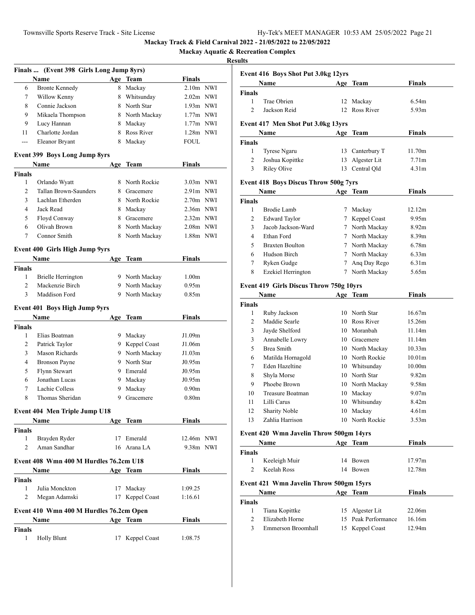**Mackay Aquatic & Recreation Complex**

| Finals  (Event 398 Girls Long Jump 8yrs) |                                              |    |                |                   |  |  |
|------------------------------------------|----------------------------------------------|----|----------------|-------------------|--|--|
|                                          | Name                                         |    | Age Team       | <b>Finals</b>     |  |  |
| 6                                        | <b>Bronte Kennedy</b>                        | 8  | Mackay         | 2.10m NWI         |  |  |
| 7                                        | Willow Kenny                                 |    | 8 Whitsunday   | $2.02m$ NWI       |  |  |
| 8                                        | Connie Jackson                               |    | 8 North Star   | $1.93m$ NWI       |  |  |
| 9                                        | Mikaela Thompson                             |    | 8 North Mackay | $1.77m$ NWI       |  |  |
| 9                                        | Lucy Hannan                                  |    | 8 Mackay       | 1.77m NWI         |  |  |
| 11                                       | Charlotte Jordan                             | 8  | Ross River     | 1.28m NWI         |  |  |
| ---                                      | Eleanor Bryant                               | 8  | Mackay         | <b>FOUL</b>       |  |  |
|                                          | <b>Event 399 Boys Long Jump 8yrs</b>         |    |                |                   |  |  |
|                                          | <b>Name</b>                                  |    | Age Team       | Finals            |  |  |
| <b>Finals</b>                            |                                              |    |                |                   |  |  |
| 1                                        | Orlando Wyatt                                |    | 8 North Rockie | $3.03m$ NWI       |  |  |
| $\overline{c}$                           | Tallan Brown-Saunders                        |    | 8 Gracemere    | $2.91m$ NWI       |  |  |
| 3                                        | Lachlan Etherden                             |    | 8 North Rockie | $2.70m$ NWI       |  |  |
| $\overline{4}$                           | Jack Read                                    |    | 8 Mackay       | 2.36m NWI         |  |  |
| 5                                        | Floyd Conway                                 |    | 8 Gracemere    | 2.32m NWI         |  |  |
| 6                                        | Olivah Brown                                 |    | 8 North Mackay | 2.08m NWI         |  |  |
| 7                                        | Connor Smith                                 |    | 8 North Mackay | 1.88m NWI         |  |  |
|                                          |                                              |    |                |                   |  |  |
|                                          | Event 400 Girls High Jump 9yrs               |    |                |                   |  |  |
|                                          | Name                                         |    | Age Team       | <b>Finals</b>     |  |  |
| <b>Finals</b>                            |                                              |    |                |                   |  |  |
| 1<br>$\overline{c}$                      | <b>Brielle Herrington</b><br>Mackenzie Birch |    | 9 North Mackay | 1.00 <sub>m</sub> |  |  |
| 3                                        | Maddison Ford                                |    | 9 North Mackay | 0.95m             |  |  |
|                                          |                                              |    | 9 North Mackay | 0.85m             |  |  |
|                                          | <b>Event 401 Boys High Jump 9yrs</b>         |    |                |                   |  |  |
|                                          | Name                                         |    | Age Team       | <b>Finals</b>     |  |  |
| <b>Finals</b>                            |                                              |    |                |                   |  |  |
| 1                                        | Elias Boatman                                |    | 9 Mackay       | J1.09m            |  |  |
| 2                                        | Patrick Taylor                               |    | 9 Keppel Coast | J1.06m            |  |  |
| 3                                        | Mason Richards                               |    | 9 North Mackay | J1.03m            |  |  |
| $\overline{4}$                           | <b>Bronson Payne</b>                         |    | 9 North Star   | J0.95m            |  |  |
| 5                                        | Flynn Stewart                                |    | 9 Emerald      | J0.95m            |  |  |
| 6                                        | Jonathan Lucas                               | 9  | Mackay         | J0.95m            |  |  |
| 7                                        | Lachie Colless                               | 9  | Mackay         | 0.90 <sub>m</sub> |  |  |
| 8                                        | Thomas Sheridan                              | 9. | Gracemere      | 0.80 <sub>m</sub> |  |  |
|                                          | <b>Event 404 Men Triple Jump U18</b>         |    |                |                   |  |  |
|                                          | Name                                         |    | Age Team       | Finals            |  |  |
| Finals                                   |                                              |    |                |                   |  |  |
| 1                                        | Brayden Ryder                                |    | 17 Emerald     | 12.46m NWI        |  |  |
| $\overline{c}$                           | Aman Sandhar                                 |    | 16 Arana LA    | 9.38m NWI         |  |  |
|                                          | Event 408 Wmn 400 M Hurdles 76.2cm U18       |    |                |                   |  |  |
|                                          | Name                                         |    | Age Team       | <b>Finals</b>     |  |  |
| Finals                                   |                                              |    |                |                   |  |  |
| 1                                        | Julia Monckton                               |    | 17 Mackay      | 1:09.25           |  |  |
| 2                                        | Megan Adamski                                | 17 | Keppel Coast   | 1:16.61           |  |  |
|                                          |                                              |    |                |                   |  |  |
|                                          | Event 410 Wmn 400 M Hurdles 76.2cm Open      |    |                |                   |  |  |
|                                          | Name                                         |    | Age Team       | <b>Finals</b>     |  |  |
| <b>Finals</b>                            |                                              |    |                |                   |  |  |
|                                          |                                              |    |                |                   |  |  |
| $\mathbf{1}$                             | <b>Holly Blunt</b>                           | 17 | Keppel Coast   | 1:08.75           |  |  |

|                | Event 416 Boys Shot Put 3.0kg 12yrs<br>Name          |        | Age Team         | <b>Finals</b>      |
|----------------|------------------------------------------------------|--------|------------------|--------------------|
| <b>Finals</b>  |                                                      |        |                  |                    |
| 1              | Trae Obrien                                          | 12     | Mackay           | 6.54m              |
| 2              | Jackson Reid                                         | 12     | Ross River       | 5.93m              |
|                | Event 417 Men Shot Put 3.0kg 13yrs                   |        |                  |                    |
|                | Name                                                 |        | Age Team         | <b>Finals</b>      |
| Finals         |                                                      |        |                  |                    |
| 1              | Tyrese Ngaru                                         |        | 13 Canterbury T  | 11.70m             |
| 2              | Joshua Kopittke                                      | 13     | Algester Lit     | 7.71 <sub>m</sub>  |
| 3              | Riley Olive                                          | 13     | Central Old      | 4.31 <sub>m</sub>  |
|                |                                                      |        |                  |                    |
|                | <b>Event 418 Boys Discus Throw 500g 7yrs</b><br>Name |        | Age Team         | Finals             |
| <b>Finals</b>  |                                                      |        |                  |                    |
| 1              | <b>Brodie Lamb</b>                                   | $\tau$ | Mackay           | 12.12m             |
| 2              | <b>Edward Taylor</b>                                 | 7      | Keppel Coast     | 9.95m              |
| 3              | Jacob Jackson-Ward                                   |        | 7 North Mackay   | 8.92m              |
| 4              | Ethan Ford                                           |        | 7 North Mackay   | 8.39m              |
| 5              | <b>Braxten Boulton</b>                               |        | 7 North Mackay   | 6.78m              |
| 6              | Hudson Birch                                         |        | 7 North Mackay   | 6.33 <sub>m</sub>  |
| 7              | Ryken Gudge                                          | 7      | Ang Day Rego     | 6.31 <sub>m</sub>  |
| 8              | Ezekiel Herrington                                   |        | 7 North Mackay   | 5.65m              |
|                |                                                      |        |                  |                    |
|                | <b>Event 419 Girls Discus Throw 750g 10yrs</b>       |        |                  |                    |
|                | Name                                                 |        | Age Team         | <b>Finals</b>      |
| Finals<br>1    | Ruby Jackson                                         |        | 10 North Star    | 16.67m             |
| 2              | Maddie Searle                                        |        | 10 Ross River    | 15.26m             |
| 3              | Jayde Shelford                                       |        | 10 Moranbah      | 11.14m             |
| 3              | Annabelle Lowry                                      |        | 10 Gracemere     | 11.14m             |
| 5              | <b>Brea Smith</b>                                    |        | 10 North Mackay  | 10.33 <sub>m</sub> |
| 6              | Matilda Hornagold                                    |        | 10 North Rockie  | 10.01 <sub>m</sub> |
| 7              | Eden Hazeltine                                       |        | 10 Whitsunday    | 10.00 <sub>m</sub> |
| 8              | Shyla Morse                                          |        | 10 North Star    | 9.82 <sub>m</sub>  |
| 9              | Phoebe Brown                                         |        | 10 North Mackay  | 9.58m              |
| 10             | Treasure Boatman                                     | 10     | Mackay           | 9.07 <sub>m</sub>  |
| 11             | Lilli Carus                                          |        | 10 Whitsunday    | 8.42m              |
| 12             | Sharity Noble                                        |        | 10 Mackay        | 4.61m              |
| 13             | Zahlia Harrison                                      |        | 10 North Rockie  | 3.53m              |
|                |                                                      |        |                  |                    |
|                | Event 420 Wmn Javelin Throw 500gm 14yrs              |        |                  |                    |
|                | Name                                                 |        | Age Team         | <b>Finals</b>      |
| <b>Finals</b>  |                                                      |        |                  |                    |
| $\mathbf{1}$   | Keeleigh Muir                                        |        | 14 Bowen         | 17.97m             |
| $\overline{c}$ | Keelah Ross                                          |        | 14 Bowen         | 12.78m             |
|                | Event 421 Wmn Javelin Throw 500gm 15yrs              |        |                  |                    |
|                | <b>Name</b>                                          |        | Age Team         | <b>Finals</b>      |
| Finals         |                                                      |        |                  |                    |
| 1              | Tiana Kopittke                                       |        | 15 Algester Lit  | 22.06m             |
|                | Elizabeth Horne                                      | 15     | Peak Performance | 16.16m             |
| 2<br>3         | Emmerson Broomhall                                   |        | 15 Keppel Coast  | 12.94m             |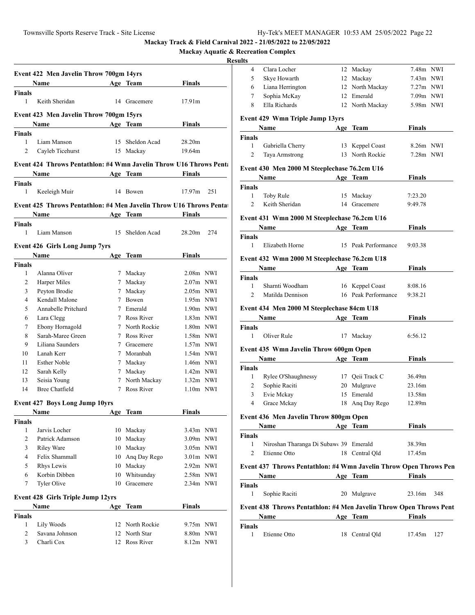|  |  |  | <b>Mackay Aquatic &amp; Recreation Complex</b> |  |
|--|--|--|------------------------------------------------|--|
|--|--|--|------------------------------------------------|--|

## **Resul**

|                     | Event 422 Men Javelin Throw 700gm 14yrs                            |           |                 |               |     |
|---------------------|--------------------------------------------------------------------|-----------|-----------------|---------------|-----|
|                     | Name                                                               |           | Age Team        | Finals        |     |
| <b>Finals</b>       |                                                                    |           |                 |               |     |
| $\mathbf{1}$        | Keith Sheridan                                                     |           | 14 Gracemere    | 17.91m        |     |
|                     | Event 423 Men Javelin Throw 700gm 15yrs                            |           |                 |               |     |
|                     | Name Age Team                                                      |           |                 | Finals        |     |
| <b>Finals</b>       |                                                                    |           |                 |               |     |
| $\mathbf{1}$        | Liam Manson                                                        |           | 15 Sheldon Acad | 28.20m        |     |
| 2                   | Cayleb Ticehurst                                                   | 15 Mackay |                 | 19.64m        |     |
|                     | Event 424 Throws Pentathlon: #4 Wmn Javelin Throw U16 Throws Pent: |           |                 |               |     |
|                     |                                                                    |           |                 | Finals        |     |
|                     | Name Age Team                                                      |           |                 |               |     |
| <b>Finals</b><br>1  | Keeleigh Muir                                                      |           | 14 Bowen        | 17.97m        | 251 |
|                     |                                                                    |           |                 |               |     |
|                     | Event 425 Throws Pentathlon: #4 Men Javelin Throw U16 Throws Penta |           |                 |               |     |
|                     | Name                                                               |           | Age Team        | Finals        |     |
| <b>Finals</b>       |                                                                    |           |                 |               |     |
| $\mathbf{1}$        | Liam Manson                                                        |           | 15 Sheldon Acad | 28.20m        | 274 |
|                     | <b>Event 426 Girls Long Jump 7yrs</b>                              |           |                 |               |     |
|                     |                                                                    |           | Age Team        | Finals        |     |
| <b>Finals</b>       |                                                                    |           |                 |               |     |
| 1                   | Alanna Oliver                                                      |           | 7 Mackay        | 2.08m NWI     |     |
| $\overline{c}$      | Harper Miles                                                       |           | 7 Mackay        | $2.07m$ NWI   |     |
| 3                   | Peyton Brodie                                                      |           | 7 Mackay        | $2.05m$ NWI   |     |
| $\overline{4}$      | Kendall Malone                                                     |           | 7 Bowen         | 1.95m NWI     |     |
| 5                   | Annabelle Pritchard                                                |           | 7 Emerald       | $1.90m$ NWI   |     |
| 6                   | Lara Clegg                                                         |           | 7 Ross River    | $1.83m$ NWI   |     |
| $\tau$              | Ebony Hornagold                                                    |           | 7 North Rockie  | 1.80m NWI     |     |
| 8                   | Sarah-Maree Green                                                  |           | 7 Ross River    | 1.58m NWI     |     |
| 9                   | Liliana Saunders                                                   |           | 7 Gracemere     | $1.57m$ NWI   |     |
| 10                  | Lanah Kerr                                                         |           | 7 Moranbah      | $1.54m$ NWI   |     |
| 11                  | <b>Esther Noble</b>                                                |           | 7 Mackay        | 1.46m NWI     |     |
| 12                  | Sarah Kelly                                                        |           | 7 Mackay        | $1.42m$ NWI   |     |
| 13                  | Seisia Young                                                       |           | 7 North Mackay  | $1.32m$ NWI   |     |
| 14                  | Bree Chatfield                                                     |           | 7 Ross River    | $1.10m$ NWI   |     |
|                     |                                                                    |           |                 |               |     |
|                     | Event 427 Boys Long Jump 10yrs<br>Name Age Team                    |           |                 |               |     |
|                     |                                                                    |           |                 | Finals        |     |
| <b>Finals</b><br>1  | Jarvis Locher                                                      | 10        | Mackay          | 3.43m NWI     |     |
| $\overline{c}$      | Patrick Adamson                                                    | 10        | Mackay          | 3.09m NWI     |     |
| 3                   | <b>Riley Ware</b>                                                  | 10        | Mackay          | 3.05m NWI     |     |
| $\overline{4}$      | Felix Shammall                                                     | 10        | Ang Day Rego    | $3.01m$ NWI   |     |
| 5                   | Rhys Lewis                                                         | 10        | Mackay          | 2.92m NWI     |     |
| 6                   | Korbin Dibben                                                      | 10        | Whitsunday      | 2.58m NWI     |     |
| 7                   | Tyler Olive                                                        | 10        | Gracemere       | 2.34m NWI     |     |
|                     |                                                                    |           |                 |               |     |
|                     | <b>Event 428 Girls Triple Jump 12yrs</b>                           |           |                 |               |     |
|                     | Name                                                               |           | Age Team        | <b>Finals</b> |     |
| <b>Finals</b>       |                                                                    |           |                 |               |     |
| 1                   | Lily Woods                                                         |           | 12 North Rockie | 9.75m NWI     |     |
|                     | Savana Johnson                                                     |           | 12 North Star   | 8.80m NWI     |     |
| $\overline{c}$<br>3 | Charli Cox                                                         |           | 12 Ross River   | 8.12m NWI     |     |

| 7.48m NWI<br>7.43m NWI<br>7.27m NWI<br>7.09m NWI<br>5.98m NWI      |
|--------------------------------------------------------------------|
|                                                                    |
|                                                                    |
|                                                                    |
|                                                                    |
|                                                                    |
|                                                                    |
|                                                                    |
| 8.26m NWI                                                          |
| 7.28m NWI                                                          |
|                                                                    |
|                                                                    |
|                                                                    |
|                                                                    |
|                                                                    |
|                                                                    |
|                                                                    |
|                                                                    |
|                                                                    |
|                                                                    |
|                                                                    |
|                                                                    |
|                                                                    |
|                                                                    |
|                                                                    |
|                                                                    |
|                                                                    |
|                                                                    |
|                                                                    |
|                                                                    |
|                                                                    |
|                                                                    |
|                                                                    |
|                                                                    |
|                                                                    |
|                                                                    |
|                                                                    |
|                                                                    |
|                                                                    |
|                                                                    |
|                                                                    |
|                                                                    |
|                                                                    |
| Event 437 Throws Pentathlon: #4 Wmn Javelin Throw Open Throws Pen  |
| 348                                                                |
|                                                                    |
| Event 438 Throws Pentathlon: #4 Men Javelin Throw Open Throws Pent |
| 127                                                                |
|                                                                    |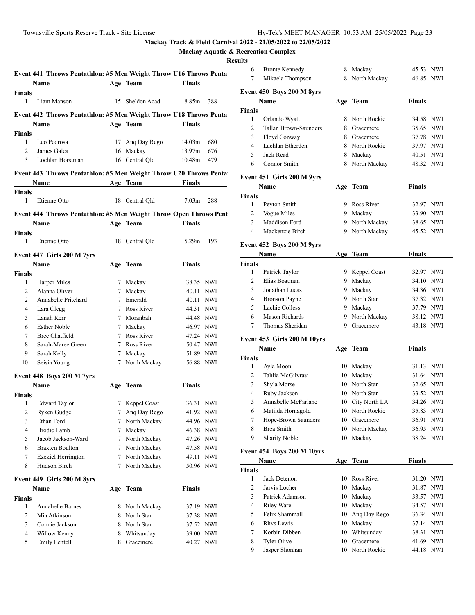# **Mackay Aquatic & Recreation Complex**

|                                |                                                                                                                                                                                                                                                                                                                                                                               |                                                                                                                                                                                                                                                                   | Finals                                                                                                                                                                                                                                                                                                                                                                                                                                                 |                                                                                                                                                                                                                                                                                                                                                                                                                                                                                                                                                                                                                                            |
|--------------------------------|-------------------------------------------------------------------------------------------------------------------------------------------------------------------------------------------------------------------------------------------------------------------------------------------------------------------------------------------------------------------------------|-------------------------------------------------------------------------------------------------------------------------------------------------------------------------------------------------------------------------------------------------------------------|--------------------------------------------------------------------------------------------------------------------------------------------------------------------------------------------------------------------------------------------------------------------------------------------------------------------------------------------------------------------------------------------------------------------------------------------------------|--------------------------------------------------------------------------------------------------------------------------------------------------------------------------------------------------------------------------------------------------------------------------------------------------------------------------------------------------------------------------------------------------------------------------------------------------------------------------------------------------------------------------------------------------------------------------------------------------------------------------------------------|
|                                |                                                                                                                                                                                                                                                                                                                                                                               |                                                                                                                                                                                                                                                                   |                                                                                                                                                                                                                                                                                                                                                                                                                                                        |                                                                                                                                                                                                                                                                                                                                                                                                                                                                                                                                                                                                                                            |
| Liam Manson                    |                                                                                                                                                                                                                                                                                                                                                                               |                                                                                                                                                                                                                                                                   | 8.85m                                                                                                                                                                                                                                                                                                                                                                                                                                                  | 388                                                                                                                                                                                                                                                                                                                                                                                                                                                                                                                                                                                                                                        |
|                                |                                                                                                                                                                                                                                                                                                                                                                               |                                                                                                                                                                                                                                                                   |                                                                                                                                                                                                                                                                                                                                                                                                                                                        |                                                                                                                                                                                                                                                                                                                                                                                                                                                                                                                                                                                                                                            |
| Name                           |                                                                                                                                                                                                                                                                                                                                                                               |                                                                                                                                                                                                                                                                   | <b>Finals</b>                                                                                                                                                                                                                                                                                                                                                                                                                                          |                                                                                                                                                                                                                                                                                                                                                                                                                                                                                                                                                                                                                                            |
| <b>Finals</b>                  |                                                                                                                                                                                                                                                                                                                                                                               |                                                                                                                                                                                                                                                                   |                                                                                                                                                                                                                                                                                                                                                                                                                                                        |                                                                                                                                                                                                                                                                                                                                                                                                                                                                                                                                                                                                                                            |
| Leo Pedrosa                    |                                                                                                                                                                                                                                                                                                                                                                               |                                                                                                                                                                                                                                                                   |                                                                                                                                                                                                                                                                                                                                                                                                                                                        | 680                                                                                                                                                                                                                                                                                                                                                                                                                                                                                                                                                                                                                                        |
| James Galea                    |                                                                                                                                                                                                                                                                                                                                                                               |                                                                                                                                                                                                                                                                   |                                                                                                                                                                                                                                                                                                                                                                                                                                                        | 676                                                                                                                                                                                                                                                                                                                                                                                                                                                                                                                                                                                                                                        |
| Lochlan Horstman               |                                                                                                                                                                                                                                                                                                                                                                               |                                                                                                                                                                                                                                                                   |                                                                                                                                                                                                                                                                                                                                                                                                                                                        | 479                                                                                                                                                                                                                                                                                                                                                                                                                                                                                                                                                                                                                                        |
|                                |                                                                                                                                                                                                                                                                                                                                                                               |                                                                                                                                                                                                                                                                   |                                                                                                                                                                                                                                                                                                                                                                                                                                                        |                                                                                                                                                                                                                                                                                                                                                                                                                                                                                                                                                                                                                                            |
| <b>Name</b>                    |                                                                                                                                                                                                                                                                                                                                                                               |                                                                                                                                                                                                                                                                   | Finals                                                                                                                                                                                                                                                                                                                                                                                                                                                 |                                                                                                                                                                                                                                                                                                                                                                                                                                                                                                                                                                                                                                            |
|                                |                                                                                                                                                                                                                                                                                                                                                                               |                                                                                                                                                                                                                                                                   |                                                                                                                                                                                                                                                                                                                                                                                                                                                        |                                                                                                                                                                                                                                                                                                                                                                                                                                                                                                                                                                                                                                            |
| Etienne Otto                   |                                                                                                                                                                                                                                                                                                                                                                               |                                                                                                                                                                                                                                                                   | 7.03 <sub>m</sub>                                                                                                                                                                                                                                                                                                                                                                                                                                      | 288                                                                                                                                                                                                                                                                                                                                                                                                                                                                                                                                                                                                                                        |
|                                |                                                                                                                                                                                                                                                                                                                                                                               |                                                                                                                                                                                                                                                                   |                                                                                                                                                                                                                                                                                                                                                                                                                                                        |                                                                                                                                                                                                                                                                                                                                                                                                                                                                                                                                                                                                                                            |
|                                |                                                                                                                                                                                                                                                                                                                                                                               |                                                                                                                                                                                                                                                                   |                                                                                                                                                                                                                                                                                                                                                                                                                                                        |                                                                                                                                                                                                                                                                                                                                                                                                                                                                                                                                                                                                                                            |
|                                |                                                                                                                                                                                                                                                                                                                                                                               |                                                                                                                                                                                                                                                                   |                                                                                                                                                                                                                                                                                                                                                                                                                                                        |                                                                                                                                                                                                                                                                                                                                                                                                                                                                                                                                                                                                                                            |
|                                |                                                                                                                                                                                                                                                                                                                                                                               |                                                                                                                                                                                                                                                                   |                                                                                                                                                                                                                                                                                                                                                                                                                                                        | 193                                                                                                                                                                                                                                                                                                                                                                                                                                                                                                                                                                                                                                        |
|                                |                                                                                                                                                                                                                                                                                                                                                                               |                                                                                                                                                                                                                                                                   |                                                                                                                                                                                                                                                                                                                                                                                                                                                        |                                                                                                                                                                                                                                                                                                                                                                                                                                                                                                                                                                                                                                            |
| Event 447 Girls 200 M 7yrs     |                                                                                                                                                                                                                                                                                                                                                                               |                                                                                                                                                                                                                                                                   |                                                                                                                                                                                                                                                                                                                                                                                                                                                        |                                                                                                                                                                                                                                                                                                                                                                                                                                                                                                                                                                                                                                            |
| Name                           |                                                                                                                                                                                                                                                                                                                                                                               |                                                                                                                                                                                                                                                                   |                                                                                                                                                                                                                                                                                                                                                                                                                                                        |                                                                                                                                                                                                                                                                                                                                                                                                                                                                                                                                                                                                                                            |
|                                |                                                                                                                                                                                                                                                                                                                                                                               |                                                                                                                                                                                                                                                                   |                                                                                                                                                                                                                                                                                                                                                                                                                                                        |                                                                                                                                                                                                                                                                                                                                                                                                                                                                                                                                                                                                                                            |
|                                |                                                                                                                                                                                                                                                                                                                                                                               |                                                                                                                                                                                                                                                                   |                                                                                                                                                                                                                                                                                                                                                                                                                                                        |                                                                                                                                                                                                                                                                                                                                                                                                                                                                                                                                                                                                                                            |
|                                |                                                                                                                                                                                                                                                                                                                                                                               |                                                                                                                                                                                                                                                                   |                                                                                                                                                                                                                                                                                                                                                                                                                                                        |                                                                                                                                                                                                                                                                                                                                                                                                                                                                                                                                                                                                                                            |
|                                |                                                                                                                                                                                                                                                                                                                                                                               |                                                                                                                                                                                                                                                                   |                                                                                                                                                                                                                                                                                                                                                                                                                                                        |                                                                                                                                                                                                                                                                                                                                                                                                                                                                                                                                                                                                                                            |
|                                |                                                                                                                                                                                                                                                                                                                                                                               |                                                                                                                                                                                                                                                                   |                                                                                                                                                                                                                                                                                                                                                                                                                                                        |                                                                                                                                                                                                                                                                                                                                                                                                                                                                                                                                                                                                                                            |
|                                |                                                                                                                                                                                                                                                                                                                                                                               |                                                                                                                                                                                                                                                                   |                                                                                                                                                                                                                                                                                                                                                                                                                                                        |                                                                                                                                                                                                                                                                                                                                                                                                                                                                                                                                                                                                                                            |
|                                |                                                                                                                                                                                                                                                                                                                                                                               |                                                                                                                                                                                                                                                                   |                                                                                                                                                                                                                                                                                                                                                                                                                                                        |                                                                                                                                                                                                                                                                                                                                                                                                                                                                                                                                                                                                                                            |
|                                |                                                                                                                                                                                                                                                                                                                                                                               |                                                                                                                                                                                                                                                                   |                                                                                                                                                                                                                                                                                                                                                                                                                                                        |                                                                                                                                                                                                                                                                                                                                                                                                                                                                                                                                                                                                                                            |
|                                |                                                                                                                                                                                                                                                                                                                                                                               |                                                                                                                                                                                                                                                                   |                                                                                                                                                                                                                                                                                                                                                                                                                                                        |                                                                                                                                                                                                                                                                                                                                                                                                                                                                                                                                                                                                                                            |
|                                |                                                                                                                                                                                                                                                                                                                                                                               |                                                                                                                                                                                                                                                                   |                                                                                                                                                                                                                                                                                                                                                                                                                                                        |                                                                                                                                                                                                                                                                                                                                                                                                                                                                                                                                                                                                                                            |
|                                |                                                                                                                                                                                                                                                                                                                                                                               |                                                                                                                                                                                                                                                                   |                                                                                                                                                                                                                                                                                                                                                                                                                                                        |                                                                                                                                                                                                                                                                                                                                                                                                                                                                                                                                                                                                                                            |
| Event 448 Boys 200 M 7yrs      |                                                                                                                                                                                                                                                                                                                                                                               |                                                                                                                                                                                                                                                                   |                                                                                                                                                                                                                                                                                                                                                                                                                                                        |                                                                                                                                                                                                                                                                                                                                                                                                                                                                                                                                                                                                                                            |
| Name                           |                                                                                                                                                                                                                                                                                                                                                                               |                                                                                                                                                                                                                                                                   |                                                                                                                                                                                                                                                                                                                                                                                                                                                        |                                                                                                                                                                                                                                                                                                                                                                                                                                                                                                                                                                                                                                            |
| <b>Finals</b>                  |                                                                                                                                                                                                                                                                                                                                                                               |                                                                                                                                                                                                                                                                   |                                                                                                                                                                                                                                                                                                                                                                                                                                                        |                                                                                                                                                                                                                                                                                                                                                                                                                                                                                                                                                                                                                                            |
|                                |                                                                                                                                                                                                                                                                                                                                                                               |                                                                                                                                                                                                                                                                   |                                                                                                                                                                                                                                                                                                                                                                                                                                                        |                                                                                                                                                                                                                                                                                                                                                                                                                                                                                                                                                                                                                                            |
|                                |                                                                                                                                                                                                                                                                                                                                                                               |                                                                                                                                                                                                                                                                   |                                                                                                                                                                                                                                                                                                                                                                                                                                                        |                                                                                                                                                                                                                                                                                                                                                                                                                                                                                                                                                                                                                                            |
|                                |                                                                                                                                                                                                                                                                                                                                                                               |                                                                                                                                                                                                                                                                   |                                                                                                                                                                                                                                                                                                                                                                                                                                                        |                                                                                                                                                                                                                                                                                                                                                                                                                                                                                                                                                                                                                                            |
|                                |                                                                                                                                                                                                                                                                                                                                                                               |                                                                                                                                                                                                                                                                   |                                                                                                                                                                                                                                                                                                                                                                                                                                                        |                                                                                                                                                                                                                                                                                                                                                                                                                                                                                                                                                                                                                                            |
|                                |                                                                                                                                                                                                                                                                                                                                                                               |                                                                                                                                                                                                                                                                   |                                                                                                                                                                                                                                                                                                                                                                                                                                                        |                                                                                                                                                                                                                                                                                                                                                                                                                                                                                                                                                                                                                                            |
|                                |                                                                                                                                                                                                                                                                                                                                                                               |                                                                                                                                                                                                                                                                   |                                                                                                                                                                                                                                                                                                                                                                                                                                                        |                                                                                                                                                                                                                                                                                                                                                                                                                                                                                                                                                                                                                                            |
|                                |                                                                                                                                                                                                                                                                                                                                                                               |                                                                                                                                                                                                                                                                   |                                                                                                                                                                                                                                                                                                                                                                                                                                                        |                                                                                                                                                                                                                                                                                                                                                                                                                                                                                                                                                                                                                                            |
|                                |                                                                                                                                                                                                                                                                                                                                                                               |                                                                                                                                                                                                                                                                   |                                                                                                                                                                                                                                                                                                                                                                                                                                                        |                                                                                                                                                                                                                                                                                                                                                                                                                                                                                                                                                                                                                                            |
| Event 449 Girls 200 M 8yrs     |                                                                                                                                                                                                                                                                                                                                                                               |                                                                                                                                                                                                                                                                   |                                                                                                                                                                                                                                                                                                                                                                                                                                                        |                                                                                                                                                                                                                                                                                                                                                                                                                                                                                                                                                                                                                                            |
| Name                           |                                                                                                                                                                                                                                                                                                                                                                               |                                                                                                                                                                                                                                                                   | <b>Finals</b>                                                                                                                                                                                                                                                                                                                                                                                                                                          |                                                                                                                                                                                                                                                                                                                                                                                                                                                                                                                                                                                                                                            |
|                                |                                                                                                                                                                                                                                                                                                                                                                               |                                                                                                                                                                                                                                                                   |                                                                                                                                                                                                                                                                                                                                                                                                                                                        |                                                                                                                                                                                                                                                                                                                                                                                                                                                                                                                                                                                                                                            |
| Annabelle Barnes               |                                                                                                                                                                                                                                                                                                                                                                               | 8 North Mackay                                                                                                                                                                                                                                                    | 37.19 NWI                                                                                                                                                                                                                                                                                                                                                                                                                                              |                                                                                                                                                                                                                                                                                                                                                                                                                                                                                                                                                                                                                                            |
|                                |                                                                                                                                                                                                                                                                                                                                                                               |                                                                                                                                                                                                                                                                   |                                                                                                                                                                                                                                                                                                                                                                                                                                                        | 37.38 NWI                                                                                                                                                                                                                                                                                                                                                                                                                                                                                                                                                                                                                                  |
| Mia Atkinson                   | 8                                                                                                                                                                                                                                                                                                                                                                             | North Star                                                                                                                                                                                                                                                        |                                                                                                                                                                                                                                                                                                                                                                                                                                                        |                                                                                                                                                                                                                                                                                                                                                                                                                                                                                                                                                                                                                                            |
| Connie Jackson<br>Willow Kenny | 8<br>8                                                                                                                                                                                                                                                                                                                                                                        | North Star<br>Whitsunday                                                                                                                                                                                                                                          | 37.52 NWI<br>39.00 NWI                                                                                                                                                                                                                                                                                                                                                                                                                                 |                                                                                                                                                                                                                                                                                                                                                                                                                                                                                                                                                                                                                                            |
| <b>Finals</b>                  | Name<br>Etienne Otto<br>Harper Miles<br>Alanna Oliver<br>Annabelle Pritchard<br>Lara Clegg<br>Lanah Kerr<br><b>Esther Noble</b><br><b>Bree Chatfield</b><br>Sarah-Maree Green<br>Sarah Kelly<br>Seisia Young<br><b>Edward Taylor</b><br>Ryken Gudge<br>Ethan Ford<br><b>Brodie Lamb</b><br>Jacob Jackson-Ward<br><b>Braxten Boulton</b><br>Ezekiel Herrington<br>Hudson Birch | Name and the same state of the state of the state of the state of the state of the state of the state of the state of the state of the state of the state of the state of the state of the state of the state of the state of<br><u> 1990 - Jan Barat II</u><br>7 | Age Team<br>15 Sheldon Acad<br>17 Ang Day Rego<br>16 Mackay<br>16 Central Qld<br>Age Team<br>18 Central Qld<br>Age Team<br>18 Central Qld<br>Age Team<br>7 Mackay<br>7 Mackay<br>7 Emerald<br>7 Ross River<br>7 Moranbah<br>7 Mackay<br>7 Ross River<br>7 Ross River<br>7 Mackay<br>7 North Mackay<br>Age Team<br>7 Keppel Coast<br>7 North Mackay<br>Mackay<br>North Mackay<br>7<br>North Mackay<br>7<br>7 North Mackay<br>7 North Mackay<br>Age Team | Event 441 Throws Pentathlon: #5 Men Weight Throw U16 Throws Pentat<br>Event 442 Throws Pentathlon: #5 Men Weight Throw U18 Throws Penta<br>Age Team<br>14.03m<br>13.97m<br>10.48m<br>Event 443 Throws Pentathlon: #5 Men Weight Throw U20 Throws Pentat<br>Event 444 Throws Pentathlon: #5 Men Weight Throw Open Throws Pent<br>Finals<br>5.29m<br><b>Finals</b><br>38.35 NWI<br>40.11 NWI<br>40.11 NWI<br>44.31 NWI<br>44.48 NWI<br>46.97 NWI<br>47.24 NWI<br>50.47 NWI<br>51.89 NWI<br>56.88 NWI<br><b>Finals</b><br>36.31 NWI<br>7 Ang Day Rego 41.92 NWI<br>44.96 NWI<br>46.38 NWI<br>47.26 NWI<br>47.58 NWI<br>49.11 NWI<br>50.96 NWI |

| 6                         | <b>Bronte Kennedy</b>             | 8   | Mackay                       | 45.53                  | NWI |  |  |  |
|---------------------------|-----------------------------------|-----|------------------------------|------------------------|-----|--|--|--|
| 7                         | Mikaela Thompson                  | 8   | North Mackay                 | 46.85 NWI              |     |  |  |  |
| Event 450 Boys 200 M 8yrs |                                   |     |                              |                        |     |  |  |  |
|                           | Name                              |     | Age Team                     | Finals                 |     |  |  |  |
| <b>Finals</b>             |                                   |     |                              |                        |     |  |  |  |
| 1                         | Orlando Wyatt                     | 8   | North Rockie                 | 34.58 NWI              |     |  |  |  |
| 2                         | Tallan Brown-Saunders             | 8.  | Gracemere                    | 35.65                  | NWI |  |  |  |
| 3                         | Floyd Conway                      | 8.  | Gracemere                    | 37.78                  | NWI |  |  |  |
| $\overline{4}$            | Lachlan Etherden                  |     | 8 North Rockie               | 37.97 NWI              |     |  |  |  |
| 5                         | Jack Read                         |     | 8 Mackay                     | 40.51                  | NWI |  |  |  |
| 6                         | Connor Smith                      |     | 8 North Mackay               | 48.32 NWI              |     |  |  |  |
|                           | Event 451 Girls 200 M 9yrs        |     |                              |                        |     |  |  |  |
|                           | Name                              | Age | Team                         | <b>Finals</b>          |     |  |  |  |
| <b>Finals</b>             |                                   |     |                              |                        |     |  |  |  |
| 1                         | Peyton Smith                      |     | 9 Ross River                 | 32.97 NWI              |     |  |  |  |
| $\overline{2}$            | Vogue Miles                       | 9   | Mackay                       | 33.90 NWI              |     |  |  |  |
| 3                         | Maddison Ford                     |     | 9 North Mackay               | 38.65 NWI              |     |  |  |  |
| 4                         | Mackenzie Birch                   |     | 9 North Mackay               | 45.52 NWI              |     |  |  |  |
|                           | Event 452 Boys 200 M 9yrs         |     |                              |                        |     |  |  |  |
|                           | Name                              | Age | Team                         | <b>Finals</b>          |     |  |  |  |
| <b>Finals</b>             |                                   |     |                              |                        |     |  |  |  |
| 1                         | Patrick Taylor                    |     | 9 Keppel Coast               | 32.97 NWI              |     |  |  |  |
| 2                         | Elias Boatman                     |     | 9 Mackay                     | 34.10                  | NWI |  |  |  |
| 3                         | Jonathan Lucas                    |     | 9 Mackay                     | 34.36 NWI              |     |  |  |  |
| $\overline{4}$            | <b>Bronson Payne</b>              |     | 9 North Star                 | 37.32 NWI              |     |  |  |  |
| 5                         | Lachie Colless                    |     | 9 Mackay                     | 37.79 NWI              |     |  |  |  |
| 6                         | Mason Richards                    |     | 9 North Mackay               | 38.12 NWI              |     |  |  |  |
| 7                         | Thomas Sheridan                   | 9   | Gracemere                    | 43.18 NWI              |     |  |  |  |
|                           | Event 453 Girls 200 M 10yrs       |     |                              |                        |     |  |  |  |
|                           | Name                              | Age | <b>Team</b>                  | Finals                 |     |  |  |  |
| <b>Finals</b>             |                                   |     |                              |                        |     |  |  |  |
| 1                         | Ayla Moon                         | 10  | Mackay                       | 31.13                  | NWI |  |  |  |
| 2                         | Tahlia McGilvray                  |     | Mackay                       |                        |     |  |  |  |
| 3                         |                                   | 10  |                              | 31.64 NWI              |     |  |  |  |
|                           | Shyla Morse                       |     | 10 North Star                | 32.65 NWI              |     |  |  |  |
| 4                         | Ruby Jackson                      |     | 10 North Star                | 33.52 NWI              |     |  |  |  |
| 5                         | Annabelle McFarlane               |     | 10 City North LA             | 34.26                  | NWI |  |  |  |
| 6                         | Matilda Hornagold                 |     | 10 North Rockie              | 35.83                  | NWI |  |  |  |
| 7                         | Hope-Brown Saunders               |     | 10 Gracemere                 | 36.91 NWI              |     |  |  |  |
| 8                         | <b>Brea Smith</b>                 | 10  | North Mackay                 | 36.95                  | NWI |  |  |  |
| 9                         | <b>Sharity Noble</b>              | 10  | Mackay                       | 38.24 NWI              |     |  |  |  |
|                           | <b>Event 454 Boys 200 M 10yrs</b> |     |                              |                        |     |  |  |  |
|                           | Name                              |     | Age Team                     | <b>Finals</b>          |     |  |  |  |
| <b>Finals</b>             |                                   |     |                              |                        |     |  |  |  |
| $\mathbf{1}$              | Jack Detenon                      | 10  | Ross River                   | 31.20 NWI              |     |  |  |  |
| 2                         | Jarvis Locher                     | 10  | Mackay                       | 31.87                  | NWI |  |  |  |
| 3                         | Patrick Adamson                   | 10  | Mackay                       | 33.57 NWI              |     |  |  |  |
| 4                         | <b>Riley Ware</b>                 | 10  | Mackay                       | 34.57 NWI              |     |  |  |  |
| 5                         | Felix Shammall                    | 10  | Ang Day Rego                 | 36.34 NWI              |     |  |  |  |
| 6                         | Rhys Lewis                        | 10  | Mackay                       | 37.14 NWI              |     |  |  |  |
| 7                         | Korbin Dibben                     |     | 10 Whitsunday                | 38.31 NWI              |     |  |  |  |
| 8<br>9                    | Tyler Olive<br>Jasper Shonhan     | 10  | Gracemere<br>10 North Rockie | 41.69 NWI<br>44.18 NWI |     |  |  |  |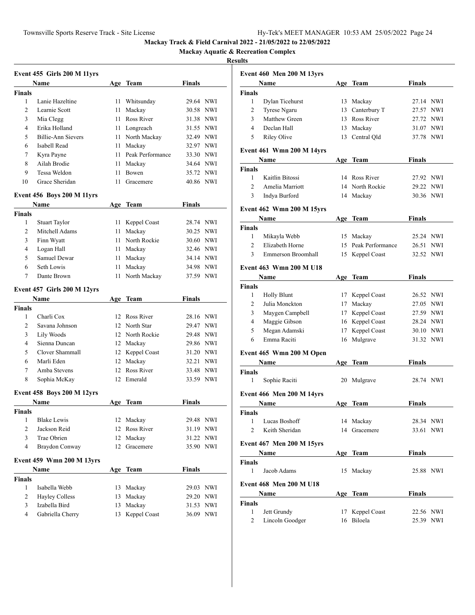**Mackay Aquatic & Recreation Complex**

|                | Event 455 Girls 200 M 11yrs       |     |                     |               |            |
|----------------|-----------------------------------|-----|---------------------|---------------|------------|
|                | Name                              |     | Age Team            | <b>Finals</b> |            |
| <b>Finals</b>  |                                   |     |                     |               |            |
| 1              | Lanie Hazeltine                   |     | 11 Whitsunday       | 29.64 NWI     |            |
| $\overline{c}$ | Learnie Scott                     | 11  | Mackay              | 30.58 NWI     |            |
| 3              | Mia Clegg                         | 11  | Ross River          | 31.38 NWI     |            |
| 4              | Erika Holland                     |     | 11 Longreach        | 31.55 NWI     |            |
| 5              | Billie-Ann Sievers                |     | 11 North Mackay     | 32.49 NWI     |            |
| 6              | Isabell Read                      |     | 11 Mackay           | 32.97 NWI     |            |
| 7              | Kyra Payne                        |     | 11 Peak Performance | 33.30 NWI     |            |
| 8              | Ailah Brodie                      |     | 11 Mackay           | 34.64 NWI     |            |
| 9              | Tessa Weldon                      | 11. | Bowen               | 35.72 NWI     |            |
| 10             | Grace Sheridan                    | 11  | Gracemere           | 40.86 NWI     |            |
|                | <b>Event 456 Boys 200 M 11yrs</b> |     |                     |               |            |
|                | <b>Name</b>                       |     | Age Team            | Finals        |            |
| <b>Finals</b>  |                                   |     |                     |               |            |
| 1              | <b>Stuart Taylor</b>              |     | 11 Keppel Coast     | 28.74 NWI     |            |
| $\overline{2}$ | Mitchell Adams                    |     | 11 Mackay           | 30.25 NWI     |            |
| 3              | Finn Wyatt                        |     | 11 North Rockie     | 30.60 NWI     |            |
| 4              | Logan Hall                        |     | 11 Mackay           | 32.46 NWI     |            |
| 5              | Samuel Dewar                      |     | 11 Mackay           | 34.14 NWI     |            |
| 6              | Seth Lowis                        |     | 11 Mackay           | 34.98 NWI     |            |
| 7              | Dante Brown                       | 11  | North Mackay        | 37.59 NWI     |            |
|                | Event 457 Girls 200 M 12yrs       |     |                     |               |            |
|                | Name                              |     | Age Team            | Finals        |            |
| <b>Finals</b>  |                                   |     |                     |               |            |
| 1              | Charli Cox                        |     | 12 Ross River       | 28.16 NWI     |            |
| 2              | Savana Johnson                    |     | 12 North Star       | 29.47 NWI     |            |
| 3              | Lily Woods                        |     | 12 North Rockie     | 29.48 NWI     |            |
| 4              | Sienna Duncan                     |     | 12 Mackay           | 29.86 NWI     |            |
| 5              | Clover Shammall                   |     | 12 Keppel Coast     | 31.20 NWI     |            |
| 6              | Marli Eden                        |     | 12 Mackay           | 32.21 NWI     |            |
| 7              | Amba Stevens                      |     | 12 Ross River       | 33.48 NWI     |            |
| 8              | Sophia McKay                      |     | 12 Emerald          | 33.59 NWI     |            |
|                | <b>Event 458 Boys 200 M 12yrs</b> |     |                     |               |            |
|                | Name                              |     | Age Team            | <b>Finals</b> |            |
| <b>Finals</b>  |                                   |     |                     |               |            |
| 1              | <b>Blake Lewis</b>                | 12  | Mackay              | 29.48         | <b>NWI</b> |
| 2              | Jackson Reid                      | 12  | Ross River          | 31.19 NWI     |            |
| 3              | Trae Obrien                       | 12  | Mackay              | 31.22 NWI     |            |
| 4              | Braydon Conway                    | 12  | Gracemere           | 35.90 NWI     |            |
|                | Event 459 Wmn 200 M 13yrs         |     |                     |               |            |
|                | Name                              |     | Age Team            | <b>Finals</b> |            |
| <b>Finals</b>  |                                   |     |                     |               |            |
| 1              | Isabella Webb                     |     | 13 Mackay           | 29.03 NWI     |            |
| $\overline{c}$ | <b>Hayley Colless</b>             |     | 13 Mackay           | 29.20 NWI     |            |
| 3              | Izabella Bird                     | 13  | Mackay              | 31.53 NWI     |            |
| 4              | Gabriella Cherry                  | 13  | Keppel Coast        | 36.09 NWI     |            |

|                | <b>Event 460 Men 200 M 13yrs</b> |    |                     |               |     |
|----------------|----------------------------------|----|---------------------|---------------|-----|
|                | Name                             |    | Age Team            | <b>Finals</b> |     |
| Finals         |                                  |    |                     |               |     |
| 1              | Dylan Ticehurst                  |    | 13 Mackay           | 27.14 NWI     |     |
| 2              | Tyrese Ngaru                     |    | 13 Canterbury T     | 27.57 NWI     |     |
| 3              | Matthew Green                    | 13 | Ross River          | 27.72 NWI     |     |
| 4              | Declan Hall                      | 13 | Mackay              | 31.07 NWI     |     |
| 5              | Riley Olive                      | 13 | Central Qld         | 37.78 NWI     |     |
|                | <b>Event 461 Wmn 200 M 14yrs</b> |    |                     |               |     |
|                | Name                             |    | Age Team            | Finals        |     |
| Finals         |                                  |    |                     |               |     |
| 1              | Kaitlin Bitossi                  |    | 14 Ross River       | 27.92 NWI     |     |
| 2              | Amelia Marriott                  |    | 14 North Rockie     | 29.22 NWI     |     |
| 3              | Indya Burford                    |    | 14 Mackay           | 30.36 NWI     |     |
|                | <b>Event 462 Wmn 200 M 15yrs</b> |    |                     |               |     |
|                | Name                             |    | Age Team            | <b>Finals</b> |     |
| Finals         |                                  |    |                     |               |     |
| 1              | Mikayla Webb                     |    | 15 Mackay           | 25.24 NWI     |     |
| $\overline{2}$ | Elizabeth Horne                  |    | 15 Peak Performance | 26.51         | NWI |
| $\mathbf{3}$   | Emmerson Broomhall               | 15 | Keppel Coast        | 32.52         | NWI |
|                |                                  |    |                     |               |     |
|                | <b>Event 463 Wmn 200 M U18</b>   |    |                     |               |     |
|                | Name                             |    | Age Team            | Finals        |     |
| Finals         |                                  |    |                     |               |     |
| 1              | <b>Holly Blunt</b>               |    | 17 Keppel Coast     | 26.52 NWI     |     |
| 2              | Julia Monckton                   |    | 17 Mackay           | 27.05 NWI     |     |
| 3              | Maygen Campbell                  |    | 17 Keppel Coast     | 27.59 NWI     |     |
| $\overline{4}$ | Maggie Gibson                    |    | 16 Keppel Coast     | 28.24 NWI     |     |
| 5              | Megan Adamski                    |    | 17 Keppel Coast     | 30.10 NWI     |     |
| 6              | Emma Raciti                      |    | 16 Mulgrave         | 31.32 NWI     |     |
|                | Event 465 Wmn 200 M Open         |    |                     |               |     |
|                | <b>Name</b>                      |    | Age Team            | Finals        |     |
| Finals         |                                  |    |                     |               |     |
| 1              | Sophie Raciti                    | 20 | Mulgrave            | 28.74 NWI     |     |
|                | Event 466 Men 200 M 14yrs        |    |                     |               |     |
|                | Name                             |    | Age Team            | <b>Finals</b> |     |
| Finals         |                                  |    |                     |               |     |
| 1              | Lucas Boshoff                    |    | 14 Mackay           | 28.34 NWI     |     |
| $\overline{c}$ | Keith Sheridan                   |    | 14 Gracemere        | 33.61 NWI     |     |
|                | <b>Event 467 Men 200 M 15yrs</b> |    |                     |               |     |
|                | Name                             |    | Age Team            | Finals        |     |
| Finals         |                                  |    |                     |               |     |
| 1              | Jacob Adams                      | 15 | Mackay              | 25.88 NWI     |     |
|                |                                  |    |                     |               |     |
|                | <b>Event 468 Men 200 M U18</b>   |    |                     |               |     |
|                | Name                             |    | Age Team            | <b>Finals</b> |     |
| Finals<br>1    |                                  |    |                     | 22.56 NWI     |     |
|                | Jett Grundy                      | 17 | Keppel Coast        |               |     |
| $\mathbf{2}$   | Lincoln Goodger                  | 16 | Biloela             | 25.39 NWI     |     |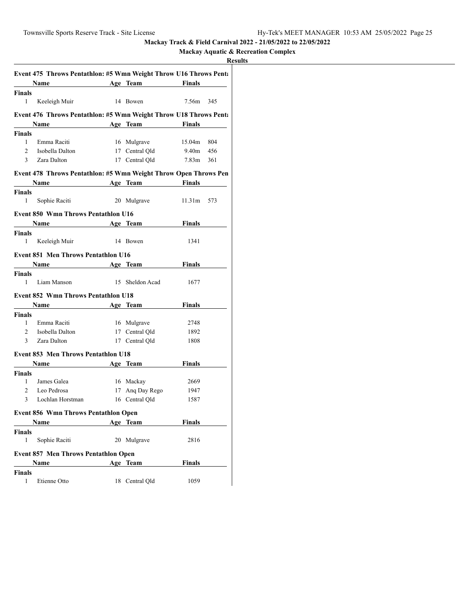# **Mackay Aquatic & Recreation Complex**

|                | Event 475 Throws Pentathlon: #5 Wmn Weight Throw U16 Throws Pent:                                                                                                                                                             |                 |               |     |
|----------------|-------------------------------------------------------------------------------------------------------------------------------------------------------------------------------------------------------------------------------|-----------------|---------------|-----|
|                | Name Age Team                                                                                                                                                                                                                 |                 | Finals        |     |
| Finals         |                                                                                                                                                                                                                               |                 |               |     |
| 1              | Keeleigh Muir                                                                                                                                                                                                                 | 14 Bowen        | 7.56m         | 345 |
|                | Event 476 Throws Pentathlon: #5 Wmn Weight Throw U18 Throws Pent:                                                                                                                                                             |                 |               |     |
|                | Name                                                                                                                                                                                                                          | Age Team        | <b>Finals</b> |     |
| Finals         |                                                                                                                                                                                                                               |                 |               |     |
| $\mathbf{1}$   | Emma Raciti                                                                                                                                                                                                                   | 16 Mulgrave     | 15.04m        | 804 |
| $\overline{2}$ | Isobella Dalton                                                                                                                                                                                                               | 17 Central Qld  | 9.40m         | 456 |
| $\mathbf{3}$   | Zara Dalton                                                                                                                                                                                                                   | 17 Central Old  | 7.83m         | 361 |
|                | Event 478 Throws Pentathlon: #5 Wmn Weight Throw Open Throws Pen                                                                                                                                                              |                 |               |     |
|                | Name Age Team Finals                                                                                                                                                                                                          |                 |               |     |
| Finals         |                                                                                                                                                                                                                               |                 |               |     |
| 1              | Sophie Raciti                                                                                                                                                                                                                 | 20 Mulgrave     | 11.31m        | 573 |
|                | <b>Event 850 Wmn Throws Pentathlon U16</b>                                                                                                                                                                                    |                 |               |     |
|                | Name and the same state of the same state of the same state of the same state of the same state of the same state of the same state of the same state of the same state of the same state of the same state of the same state | Age Team        | Finals        |     |
| Finals         |                                                                                                                                                                                                                               |                 |               |     |
| 1              | Keeleigh Muir                                                                                                                                                                                                                 | 14 Bowen        | 1341          |     |
|                | <b>Event 851 Men Throws Pentathlon U16</b>                                                                                                                                                                                    |                 |               |     |
|                | <b>Name <i>n</i></b>                                                                                                                                                                                                          | Age Team        | Finals        |     |
| Finals         |                                                                                                                                                                                                                               |                 |               |     |
| 1              | Liam Manson                                                                                                                                                                                                                   | 15 Sheldon Acad | 1677          |     |
|                | <b>Event 852 Wmn Throws Pentathlon U18</b>                                                                                                                                                                                    |                 |               |     |
|                | Name Age Team                                                                                                                                                                                                                 |                 | Finals        |     |
| Finals         |                                                                                                                                                                                                                               |                 |               |     |
| $\mathbf{1}$   | Emma Raciti                                                                                                                                                                                                                   | 16 Mulgrave     | 2748          |     |
| $\overline{2}$ | Isobella Dalton                                                                                                                                                                                                               | 17 Central Qld  | 1892          |     |
| 3              | Zara Dalton                                                                                                                                                                                                                   | 17 Central Qld  | 1808          |     |
|                | <b>Event 853 Men Throws Pentathlon U18</b>                                                                                                                                                                                    |                 |               |     |
|                | <b>Name</b>                                                                                                                                                                                                                   | Age Team        | Finals        |     |
| Finals         |                                                                                                                                                                                                                               |                 |               |     |
| 1              | James Galea                                                                                                                                                                                                                   | 16 Mackay       | 2669          |     |
| $\overline{2}$ | Leo Pedrosa                                                                                                                                                                                                                   | 17 Ang Day Rego | 1947          |     |
| 3              | Lochlan Horstman                                                                                                                                                                                                              | 16 Central Qld  | 1587          |     |
|                | <b>Event 856 Wmn Throws Pentathlon Open</b>                                                                                                                                                                                   |                 |               |     |
|                | Name                                                                                                                                                                                                                          | Age Team        | <b>Finals</b> |     |
| Finals         |                                                                                                                                                                                                                               |                 |               |     |
| 1              | Sophie Raciti                                                                                                                                                                                                                 | 20 Mulgrave     | 2816          |     |
|                | <b>Event 857 Men Throws Pentathlon Open</b>                                                                                                                                                                                   |                 |               |     |
|                | Name                                                                                                                                                                                                                          | Age Team        | <b>Finals</b> |     |
| Finals         |                                                                                                                                                                                                                               |                 |               |     |
| 1              | Etienne Otto                                                                                                                                                                                                                  | 18 Central Qld  | 1059          |     |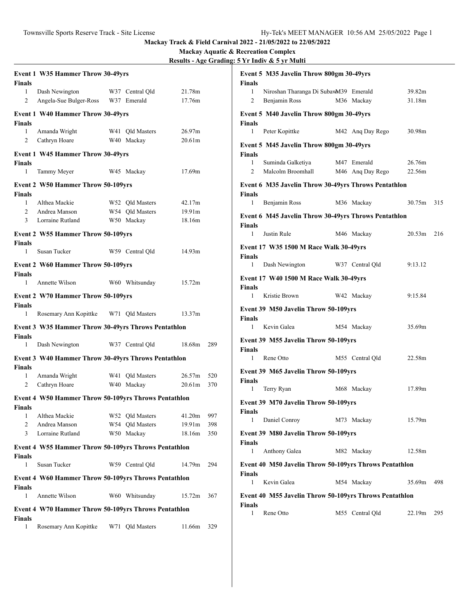| Finals                       | <b>Event 1 W35 Hammer Throw 30-49yrs</b>                   |                               |                              |            |
|------------------------------|------------------------------------------------------------|-------------------------------|------------------------------|------------|
| 1<br>2                       | Dash Newington<br>Angela-Sue Bulger-Ross W37 Emerald       | W37 Central Qld               | 21.78m<br>17.76m             |            |
| Finals                       | <b>Event 1 W40 Hammer Throw 30-49yrs</b>                   |                               |                              |            |
| $\mathbf{1}$<br>$\mathbf{2}$ | Amanda Wright<br>Cathryn Hoare                             | W41 Qld Masters<br>W40 Mackay | 26.97m<br>20.61m             |            |
| <b>Finals</b>                | <b>Event 1 W45 Hammer Throw 30-49yrs</b>                   |                               |                              |            |
| 1                            | Tammy Meyer                                                | W45 Mackav                    | 17.69m                       |            |
| Finals                       | <b>Event 2 W50 Hammer Throw 50-109yrs</b>                  |                               |                              |            |
| $\mathbf{1}$                 | Althea Mackie                                              | W52 Qld Masters               | 42.17m                       |            |
| $\overline{2}$<br>3          | Andrea Manson<br>Lorraine Rutland                          | W54 Old Masters<br>W50 Mackay | 19.91 <sub>m</sub><br>18.16m |            |
|                              |                                                            |                               |                              |            |
|                              | <b>Event 2 W55 Hammer Throw 50-109yrs</b>                  |                               |                              |            |
| Finals<br>1                  | Susan Tucker                                               | W59 Central Old               | 14.93m                       |            |
|                              | <b>Event 2 W60 Hammer Throw 50-109yrs</b>                  |                               |                              |            |
| Finals<br>1                  | Annette Wilson                                             | W60 Whitsunday                | 15.72m                       |            |
| <b>Finals</b>                | Event 2 W70 Hammer Throw 50-109yrs                         |                               |                              |            |
| 1                            | Rosemary Ann Kopittke W71 Qld Masters                      |                               | 13.37m                       |            |
| Finals                       | <b>Event 3 W35 Hammer Throw 30-49yrs Throws Pentathlon</b> |                               |                              |            |
| 1                            | Dash Newington                                             | W37 Central Qld               | 18.68m                       | 289        |
| Finals                       | Event 3 W40 Hammer Throw 30-49yrs Throws Pentathlon        |                               |                              |            |
| 1                            | Amanda Wright                                              | W41 Old Masters               | 26.57m                       | 520        |
| 2                            | Cathryn Hoare                                              | W40 Mackay                    | 20.61m                       | 370        |
| Finals                       | Event 4 W50 Hammer Throw 50-109yrs Throws Pentathlon       |                               |                              |            |
|                              | 1 Althea Mackie                                            | W52 Qld Masters 41.20m 997    |                              |            |
| 2<br>3                       | Andrea Manson<br>Lorraine Rutland                          | W54 Qld Masters<br>W50 Mackay | 19.91m                       | 398<br>350 |
|                              |                                                            |                               | 18.16m                       |            |
|                              | Event 4 W55 Hammer Throw 50-109yrs Throws Pentathlon       |                               |                              |            |
| Finals<br>1                  | Susan Tucker                                               | W59 Central Qld               | 14.79m                       | 294        |
|                              | Event 4 W60 Hammer Throw 50-109yrs Throws Pentathlon       |                               |                              |            |
| Finals<br>1                  | Annette Wilson                                             | W60 Whitsunday                | 15.72m                       | 367        |
|                              | Event 4 W70 Hammer Throw 50-109yrs Throws Pentathlon       |                               |                              |            |
| Finals<br>1                  | Rosemary Ann Kopittke                                      | W71 Qld Masters               | 11.66m                       | 329        |

| Finals                     | Event 5 M35 Javelin Throw 800gm 30-49yrs               |                                 |                  |     |
|----------------------------|--------------------------------------------------------|---------------------------------|------------------|-----|
| 1<br>2                     | Niroshan Tharanga Di SubawM39 Emerald<br>Benjamin Ross | M36 Mackay                      | 39.82m<br>31.18m |     |
| <b>Finals</b>              | Event 5 M40 Javelin Throw 800gm 30-49yrs               |                                 |                  |     |
| 1                          | Peter Kopittke                                         | M42 Ang Day Rego                | 30.98m           |     |
|                            | Event 5 M45 Javelin Throw 800gm 30-49yrs               |                                 |                  |     |
| <b>Finals</b><br>1<br>2    | Suminda Galketiya<br>Malcolm Broomhall                 | M47 Emerald<br>M46 Ang Day Rego | 26.76m<br>22.56m |     |
|                            | Event 6 M35 Javelin Throw 30-49yrs Throws Pentathlon   |                                 |                  |     |
| Finals<br>1                | Benjamin Ross                                          | M36 Mackay                      | 30.75m           | 315 |
|                            | Event 6 M45 Javelin Throw 30-49yrs Throws Pentathlon   |                                 |                  |     |
| <b>Finals</b><br>1         | Justin Rule                                            | M46 Mackay                      | 20.53m           | 216 |
|                            | Event 17 W35 1500 M Race Walk 30-49yrs                 |                                 |                  |     |
| <b>Finals</b>              |                                                        |                                 |                  |     |
| $1 \quad$                  | Dash Newington                                         | W37 Central Qld                 | 9:13.12          |     |
| Finals                     | Event 17 W40 1500 M Race Walk 30-49yrs                 |                                 |                  |     |
| 1                          | Kristie Brown                                          | W42 Mackay                      | 9:15.84          |     |
| <b>Finals</b>              | Event 39 M50 Javelin Throw 50-109yrs                   |                                 |                  |     |
| 1                          | Kevin Galea                                            | M54 Mackay                      | 35.69m           |     |
|                            | Event 39 M55 Javelin Throw 50-109yrs                   |                                 |                  |     |
| <b>Finals</b><br>$1 \quad$ | Rene Otto                                              | M55 Central Qld                 | 22.58m           |     |
|                            | Event 39 M65 Javelin Throw 50-109yrs                   |                                 |                  |     |
| Finals<br>1                | Terry Ryan                                             | M68 Mackay                      | 17.89m           |     |
| Finals                     | Event 39 M70 Javelin Throw 50-109yrs                   |                                 |                  |     |
| 1                          | Daniel Conroy                                          | M73 Mackay                      | 15.79m           |     |
|                            | <b>Event 39 M80 Javelin Throw 50-109yrs</b>            |                                 |                  |     |
| Finals<br>1                | Anthony Galea                                          | M82 Mackay                      | 12.58m           |     |
|                            | Event 40 M50 Javelin Throw 50-109yrs Throws Pentathlon |                                 |                  |     |
| Finals<br>1                | Kevin Galea                                            | M54 Mackay                      | 35.69m           | 498 |
|                            | Event 40 M55 Javelin Throw 50-109yrs Throws Pentathlon |                                 |                  |     |
| Finals<br>1                | Rene Otto                                              | M55 Central Qld                 | 22.19m           | 295 |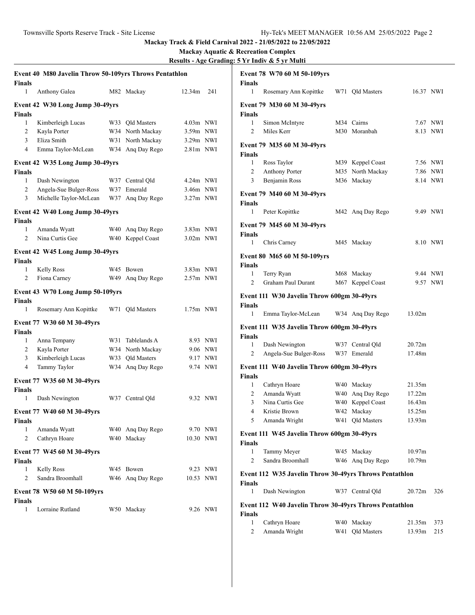|                | Event 40 M80 Javelin Throw 50-109yrs Throws Pentathlon |     |                    |             |          |
|----------------|--------------------------------------------------------|-----|--------------------|-------------|----------|
| Finals         |                                                        |     |                    |             |          |
| 1              | Anthony Galea                                          |     | M82 Mackay         | 12.34m      | 241      |
|                | Event 42 W30 Long Jump 30-49yrs                        |     |                    |             |          |
| Finals         |                                                        |     |                    |             |          |
| 1              | Kimberleigh Lucas                                      |     | W33 Qld Masters    | $4.03m$ NWI |          |
| 2              | Kayla Porter                                           |     | W34 North Mackay   | $3.59m$ NWI |          |
| 3              | Eliza Smith                                            |     | W31 North Mackay   | $3.29m$ NWI |          |
| $\overline{4}$ | Emma Taylor-McLean                                     |     | W34 Ang Day Rego   | 2.81m NWI   |          |
|                | Event 42 W35 Long Jump 30-49yrs                        |     |                    |             |          |
| Finals         |                                                        |     |                    |             |          |
| 1              | Dash Newington                                         |     | W37 Central Old    | $4.24m$ NWI |          |
| $\overline{2}$ | Angela-Sue Bulger-Ross                                 |     | W37 Emerald        | 3.46m NWI   |          |
| 3              | Michelle Taylor-McLean                                 | W37 | Ang Day Rego       | $3.27m$ NWI |          |
|                | Event 42 W40 Long Jump 30-49yrs                        |     |                    |             |          |
| Finals         |                                                        |     |                    |             |          |
| 1              | Amanda Wyatt                                           |     | W40 Ang Day Rego   | 3.83m NWI   |          |
| 2              | Nina Curtis Gee                                        |     | W40 Keppel Coast   | $3.02m$ NWI |          |
|                | Event 42 W45 Long Jump 30-49yrs                        |     |                    |             |          |
| <b>Finals</b>  |                                                        |     |                    |             |          |
| 1              | <b>Kelly Ross</b>                                      |     | W45 Bowen          | 3.83m NWI   |          |
| 2              | Fiona Carney                                           |     | W49 Ang Day Rego   | $2.57m$ NWI |          |
|                | Event 43 W70 Long Jump 50-109yrs                       |     |                    |             |          |
| Finals         |                                                        |     |                    |             |          |
| 1              | Rosemary Ann Kopittke                                  |     | W71 Qld Masters    | $1.75m$ NWI |          |
|                | Event 77 W30 60 M 30-49yrs                             |     |                    |             |          |
| Finals         |                                                        |     |                    |             |          |
| 1              | Anna Tempany                                           | W31 | Tablelands A       |             | 8.93 NWI |
| 2              | Kayla Porter                                           |     | W34 North Mackay   |             | 9.06 NWI |
| 3              | Kimberleigh Lucas                                      | W33 | <b>Qld Masters</b> |             | 9.17 NWI |
| $\overline{4}$ | Tammy Taylor                                           | W34 | Ang Day Rego       |             | 9.74 NWI |
|                | Event 77 W35 60 M 30-49yrs                             |     |                    |             |          |
| Finals         |                                                        |     |                    |             |          |
| 1              | Dash Newington                                         |     | W37 Central Qld    |             | 9.32 NWI |
|                | Event 77 W40 60 M 30-49yrs                             |     |                    |             |          |
| Finals         |                                                        |     |                    |             |          |
| 1              | Amanda Wyatt                                           |     | W40 Ang Day Rego   |             | 9.70 NWI |
| 2              | Cathryn Hoare                                          |     | W40 Mackay         | 10.30 NWI   |          |
|                | Event 77 W45 60 M 30-49yrs                             |     |                    |             |          |
| Finals         |                                                        |     |                    |             |          |
| 1              | <b>Kelly Ross</b>                                      |     | W45 Bowen          |             | 9.23 NWI |
| 2              | Sandra Broomhall                                       |     | W46 Ang Day Rego   | 10.53 NWI   |          |
|                | Event 78 W50 60 M 50-109yrs                            |     |                    |             |          |
| Finals         |                                                        |     |                    |             |          |
| 1              | Lorraine Rutland                                       |     | W50 Mackay         |             | 9.26 NWI |
|                |                                                        |     |                    |             |          |

| <b>Finals</b>  | Event 78 W70 60 M 50-109yrs                            |     |                  |                    |          |
|----------------|--------------------------------------------------------|-----|------------------|--------------------|----------|
| 1              | Rosemary Ann Kopittke                                  |     | W71 Qld Masters  | 16.37 NWI          |          |
| <b>Finals</b>  | Event 79 M30 60 M 30-49yrs                             |     |                  |                    |          |
| 1              | Simon McIntyre                                         |     | M34 Cairns       |                    | 7.67 NWI |
| $\overline{2}$ | Miles Kerr                                             |     | M30 Moranbah     |                    | 8.13 NWI |
| <b>Finals</b>  | Event 79 M35 60 M 30-49yrs                             |     |                  |                    |          |
| $\mathbf{1}$   | Ross Taylor                                            |     | M39 Keppel Coast |                    | 7.56 NWI |
| 2              | <b>Anthony Porter</b>                                  |     | M35 North Mackay |                    | 7.86 NWI |
| 3              | Benjamin Ross                                          |     | M36 Mackay       |                    | 8.14 NWI |
| <b>Finals</b>  | Event 79 M40 60 M 30-49yrs                             |     |                  |                    |          |
| 1              | Peter Kopittke                                         |     | M42 Ang Day Rego |                    | 9.49 NWI |
| <b>Finals</b>  | Event 79 M45 60 M 30-49yrs                             |     |                  |                    |          |
| $\mathbf{1}$   | Chris Carney                                           |     | M45 Mackay       |                    | 8.10 NWI |
|                | Event 80 M65 60 M 50-109yrs                            |     |                  |                    |          |
| <b>Finals</b>  |                                                        |     |                  |                    |          |
| 1              | Terry Ryan                                             |     | M68 Mackay       |                    | 9.44 NWI |
| 2              | Graham Paul Durant                                     | M67 | Keppel Coast     |                    | 9.57 NWI |
| <b>Finals</b>  | Event 111 W30 Javelin Throw 600gm 30-49yrs             |     |                  |                    |          |
| 1              | Emma Taylor-McLean W34 Ang Day Rego                    |     |                  | 13.02m             |          |
| <b>Finals</b>  | Event 111 W35 Javelin Throw 600gm 30-49yrs             |     |                  |                    |          |
| $\mathbf{1}$   | Dash Newington                                         |     | W37 Central Qld  | 20.72m             |          |
| 2              | Angela-Sue Bulger-Ross                                 |     | W37 Emerald      | 17.48m             |          |
| <b>Finals</b>  | Event 111 W40 Javelin Throw 600gm 30-49yrs             |     |                  |                    |          |
| 1              | Cathryn Hoare                                          |     | W40 Mackay       | 21.35m             |          |
| $\mathbf{2}$   | Amanda Wyatt                                           |     | W40 Ang Day Rego | 17.22m             |          |
| 3              | Nina Curtis Gee                                        |     | W40 Keppel Coast | 16.43m             |          |
| $\overline{4}$ | Kristie Brown                                          | W42 | Mackay           | 15.25m             |          |
| 5              | Amanda Wright                                          |     | W41 Qld Masters  | 13.93m             |          |
| Finals         | Event 111 W45 Javelin Throw 600gm 30-49yrs             |     |                  |                    |          |
| 1              | Tammy Meyer                                            | W45 | Mackay           | 10.97 <sub>m</sub> |          |
| 2              | Sandra Broomhall                                       | W46 | Ang Day Rego     | 10.79m             |          |
| Finals         | Event 112 W35 Javelin Throw 30-49yrs Throws Pentathlon |     |                  |                    |          |
| 1              | Dash Newington                                         |     | W37 Central Qld  | 20.72m             | 326      |
|                | Event 112 W40 Javelin Throw 30-49yrs Throws Pentathlon |     |                  |                    |          |
| Finals         |                                                        |     |                  |                    |          |
| 1              | Cathryn Hoare                                          | W40 | Mackay           | 21.35m             | 373      |
| 2              | Amanda Wright                                          | W41 | Qld Masters      | 13.93m             | 215      |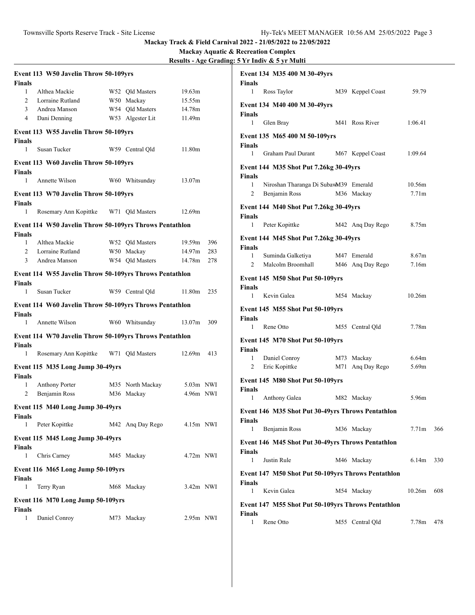| Finals         | Event 113 W50 Javelin Throw 50-109yrs                   |                            |             |     |
|----------------|---------------------------------------------------------|----------------------------|-------------|-----|
| 1              | Althea Mackie                                           | W52 Qld Masters            | 19.63m      |     |
| $\overline{2}$ | Lorraine Rutland                                        | W50 Mackay                 | 15.55m      |     |
| 3              | Andrea Manson                                           | W54 Qld Masters            | 14.78m      |     |
| $\overline{4}$ | Dani Denning                                            | W53 Algester Lit           | 11.49m      |     |
| <b>Finals</b>  | Event 113 W55 Javelin Throw 50-109yrs                   |                            |             |     |
| 1              | Susan Tucker                                            | W59 Central Old            | 11.80m      |     |
|                | Event 113 W60 Javelin Throw 50-109yrs                   |                            |             |     |
| Finals<br>1    | Annette Wilson                                          | W60 Whitsunday             | 13.07m      |     |
| Finals         | Event 113 W70 Javelin Throw 50-109yrs                   |                            |             |     |
| $\mathbf{1}$   | Rosemary Ann Kopittke W71 Qld Masters                   |                            | 12.69m      |     |
| Finals         | Event 114 W50 Javelin Throw 50-109yrs Throws Pentathlon |                            |             |     |
| 1              | Althea Mackie                                           | W52 Old Masters            | 19.59m      | 396 |
| 2              | Lorraine Rutland                                        | W50 Mackay                 | 14.97m      | 283 |
| 3              | Andrea Manson                                           | W54 Qld Masters            | 14.78m      | 278 |
| <b>Finals</b>  | Event 114 W55 Javelin Throw 50-109yrs Throws Pentathlon |                            |             |     |
| 1              | Susan Tucker                                            | W59 Central Qld            | 11.80m      | 235 |
| Finals         | Event 114 W60 Javelin Throw 50-109yrs Throws Pentathlon |                            |             |     |
| 1              | Annette Wilson                                          | W60 Whitsunday             | 13.07m      | 309 |
|                | Event 114 W70 Javelin Throw 50-109yrs Throws Pentathlon |                            |             |     |
| Finals<br>1    | Rosemary Ann Kopittke W71 Qld Masters                   |                            | 12.69m      | 413 |
| Finals         | Event 115 M35 Long Jump 30-49yrs                        |                            |             |     |
| 1              | <b>Anthony Porter</b>                                   | M35 North Mackay           | 5.03m NWI   |     |
| 2              | Benjamin Ross                                           | M36 Mackay                 | 4.96m NWI   |     |
| Finals         | Event 115 M40 Long Jump 30-49yrs                        |                            |             |     |
| 1              | Peter Kopittke                                          | M42 Ang Day Rego 4.15m NWI |             |     |
| Finals         | Event 115 M45 Long Jump 30-49yrs                        |                            |             |     |
| 1              | Chris Carney                                            | M45 Mackay                 | 4.72m NWI   |     |
| Finals         | Event 116 M65 Long Jump 50-109yrs                       |                            |             |     |
| 1              | Terry Ryan                                              | M68 Mackay                 | $3.42m$ NWI |     |
|                | Event 116 M70 Long Jump 50-109yrs                       |                            |             |     |
| Finals<br>1    | Daniel Conroy                                           | M73 Mackay                 | $2.95m$ NWI |     |

|                                | Event 134 M35 400 M 30-49yrs                           |                                |                             |     |
|--------------------------------|--------------------------------------------------------|--------------------------------|-----------------------------|-----|
| Finals<br>1                    | Ross Taylor                                            | M39 Keppel Coast               | 59.79                       |     |
|                                | Event 134 M40 400 M 30-49yrs                           |                                |                             |     |
| Finals<br>$\mathbf{1}$         | Glen Bray                                              | M41 Ross River                 | 1:06.41                     |     |
|                                | Event 135 M65 400 M 50-109yrs                          |                                |                             |     |
| Finals<br>1                    | Graham Paul Durant                                     | M67 Keppel Coast               | 1:09.64                     |     |
|                                | Event 144 M35 Shot Put 7.26kg 30-49yrs                 |                                |                             |     |
| Finals                         |                                                        |                                |                             |     |
| $\mathbf{1}$<br>$\overline{2}$ | Niroshan Tharanga Di SubawM39 Emerald<br>Benjamin Ross | M36 Mackay                     | 10.56m<br>7.71 <sub>m</sub> |     |
|                                |                                                        |                                |                             |     |
| Finals                         | Event 144 M40 Shot Put 7.26kg 30-49yrs                 |                                |                             |     |
| 1                              | Peter Kopittke                                         | M42 Ang Day Rego               | 8.75m                       |     |
|                                | Event 144 M45 Shot Put 7.26kg 30-49yrs                 |                                |                             |     |
| <b>Finals</b>                  |                                                        |                                |                             |     |
| 1                              | Suminda Galketiya                                      | M47 Emerald                    | 8.67 <sub>m</sub>           |     |
| $\overline{2}$                 | Malcolm Broomhall                                      | M46 Ang Day Rego               | 7.16m                       |     |
| <b>Finals</b>                  | Event 145 M50 Shot Put 50-109yrs                       |                                |                             |     |
| 1                              | Kevin Galea                                            | M54 Mackay                     | 10.26m                      |     |
|                                | <b>Event 145 M55 Shot Put 50-109yrs</b>                |                                |                             |     |
| Finals                         |                                                        |                                |                             |     |
| 1                              | Rene Otto                                              | M55 Central Qld                | 7.78m                       |     |
|                                | Event 145 M70 Shot Put 50-109yrs                       |                                |                             |     |
| <b>Finals</b><br>1             |                                                        |                                | 6.64m                       |     |
| 2                              | Daniel Conroy<br>Eric Kopittke                         | M73 Mackay<br>M71 Ang Day Rego | 5.69m                       |     |
|                                | Event 145 M80 Shot Put 50-109yrs                       |                                |                             |     |
| Finals                         |                                                        |                                |                             |     |
| 1                              | Anthony Galea                                          | M82 Mackay                     | 5.96m                       |     |
| Finals                         | Event 146 M35 Shot Put 30-49yrs Throws Pentathlon      |                                |                             |     |
| 1                              | Benjamin Ross                                          | M36 Mackay                     | 7.71m                       | 366 |
|                                | Event 146 M45 Shot Put 30-49yrs Throws Pentathlon      |                                |                             |     |
| Finals<br>1                    | Justin Rule                                            | M46 Mackay                     | 6.14m                       | 330 |
|                                | Event 147 M50 Shot Put 50-109yrs Throws Pentathlon     |                                |                             |     |
| Finals                         |                                                        |                                |                             |     |
| 1                              | Kevin Galea                                            | M54 Mackay                     | 10.26m                      | 608 |
|                                | Event 147 M55 Shot Put 50-109yrs Throws Pentathlon     |                                |                             |     |
| <b>Finals</b><br>1             | Rene Otto                                              | M55 Central Qld                | 7.78m                       | 478 |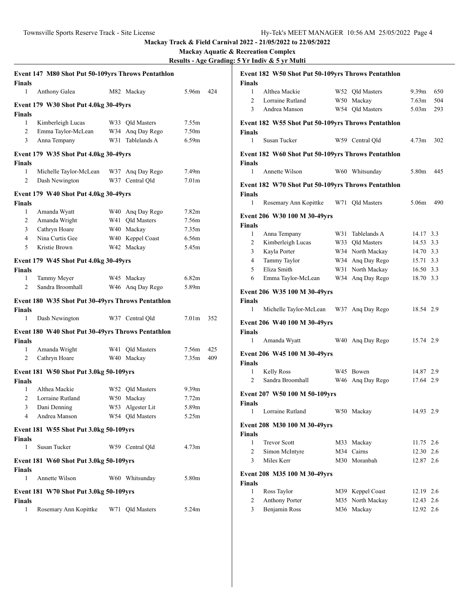|                    | Event 147 M80 Shot Put 50-109yrs Throws Pentathlon |     |                                      |                   |     |
|--------------------|----------------------------------------------------|-----|--------------------------------------|-------------------|-----|
| <b>Finals</b><br>1 | Anthony Galea                                      |     | M82 Mackay                           | 5.96m             | 424 |
|                    |                                                    |     |                                      |                   |     |
|                    | Event 179 W30 Shot Put 4.0kg 30-49yrs              |     |                                      |                   |     |
| <b>Finals</b><br>1 |                                                    |     |                                      |                   |     |
| 2                  | Kimberleigh Lucas                                  |     | W33 Old Masters                      | 7.55m<br>7.50m    |     |
|                    | Emma Taylor-McLean                                 |     | W34 Ang Day Rego<br>W31 Tablelands A | 6.59 <sub>m</sub> |     |
| 3                  | Anna Tempany                                       |     |                                      |                   |     |
|                    | Event 179 W35 Shot Put 4.0kg 30-49yrs              |     |                                      |                   |     |
| <b>Finals</b>      |                                                    |     |                                      |                   |     |
| 1                  | Michelle Taylor-McLean                             |     | W37 Ang Day Rego                     | 7.49m             |     |
| 2                  | Dash Newington                                     |     | W37 Central Qld                      | 7.01 <sub>m</sub> |     |
|                    | Event 179 W40 Shot Put 4.0kg 30-49yrs              |     |                                      |                   |     |
| <b>Finals</b>      |                                                    |     |                                      |                   |     |
| 1                  | Amanda Wyatt                                       |     | W40 Ang Day Rego                     | 7.82m             |     |
| 2                  | Amanda Wright                                      |     | W41 Old Masters                      | 7.56m             |     |
| 3                  | Cathryn Hoare                                      |     | W40 Mackay                           | 7.35m             |     |
| $\overline{4}$     | Nina Curtis Gee                                    |     | W40 Keppel Coast                     | 6.56m             |     |
| 5                  | Kristie Brown                                      |     | W42 Mackay                           | 5.45m             |     |
|                    |                                                    |     |                                      |                   |     |
| <b>Finals</b>      | Event 179 W45 Shot Put 4.0kg 30-49yrs              |     |                                      |                   |     |
| 1                  | Tammy Meyer                                        |     | W45 Mackay                           | 6.82m             |     |
| 2                  | Sandra Broomhall                                   |     | W46 Ang Day Rego                     | 5.89m             |     |
|                    |                                                    |     |                                      |                   |     |
|                    | Event 180 W35 Shot Put 30-49yrs Throws Pentathlon  |     |                                      |                   |     |
| <b>Finals</b><br>1 | Dash Newington                                     |     | W37 Central Qld                      | 7.01 <sub>m</sub> | 352 |
|                    |                                                    |     |                                      |                   |     |
|                    | Event 180 W40 Shot Put 30-49yrs Throws Pentathlon  |     |                                      |                   |     |
| <b>Finals</b>      |                                                    |     |                                      |                   |     |
| 1                  | Amanda Wright                                      | W41 | <b>Qld Masters</b>                   | 7.56m             | 425 |
| 2                  | Cathryn Hoare                                      |     | W40 Mackay                           | 7.35m             | 409 |
|                    | Event 181 W50 Shot Put 3.0kg 50-109yrs             |     |                                      |                   |     |
| <b>Finals</b>      |                                                    |     |                                      |                   |     |
| 1                  | Althea Mackie                                      |     | W52 Qld Masters                      | 9.39 <sub>m</sub> |     |
| $\overline{c}$     | Lorraine Rutland                                   |     | W50 Mackay                           | 7.72m             |     |
| 3                  | Dani Denning                                       |     | W53 Algester Lit                     | 5.89m             |     |
| $\overline{4}$     | Andrea Manson                                      |     | W54 Qld Masters                      | 5.25m             |     |
|                    | Event 181 W55 Shot Put 3.0kg 50-109yrs             |     |                                      |                   |     |
| <b>Finals</b>      |                                                    |     |                                      |                   |     |
| $\mathbf{1}$       | Susan Tucker                                       |     | W59 Central Qld                      | 4.73 <sub>m</sub> |     |
|                    |                                                    |     |                                      |                   |     |
|                    | Event 181 W60 Shot Put 3.0kg 50-109yrs             |     |                                      |                   |     |
| <b>Finals</b>      |                                                    |     |                                      |                   |     |
| $\mathbf{1}$       | Annette Wilson                                     |     | W60 Whitsunday                       | 5.80m             |     |
|                    | Event 181 W70 Shot Put 3.0kg 50-109yrs             |     |                                      |                   |     |
| <b>Finals</b>      |                                                    |     |                                      |                   |     |
| 1                  | Rosemary Ann Kopittke W71 Qld Masters              |     |                                      | 5.24m             |     |

| <b>Finals</b>                                      | Event 182 W50 Shot Put 50-109yrs Throws Pentathlon |     |                    |                   |     |  |  |  |  |  |
|----------------------------------------------------|----------------------------------------------------|-----|--------------------|-------------------|-----|--|--|--|--|--|
| 1                                                  | Althea Mackie                                      | W52 | <b>Qld Masters</b> | 9.39 <sub>m</sub> | 650 |  |  |  |  |  |
| $\overline{c}$                                     | Lorraine Rutland                                   |     | W50 Mackay         | 7.63 <sub>m</sub> | 504 |  |  |  |  |  |
| 3                                                  | Andrea Manson                                      |     | W54 Old Masters    | 5.03 <sub>m</sub> | 293 |  |  |  |  |  |
|                                                    |                                                    |     |                    |                   |     |  |  |  |  |  |
| Event 182 W55 Shot Put 50-109yrs Throws Pentathlon |                                                    |     |                    |                   |     |  |  |  |  |  |
| <b>Finals</b><br>1                                 | Susan Tucker                                       |     | W59 Central Qld    | 4.73 <sub>m</sub> | 302 |  |  |  |  |  |
|                                                    | Event 182 W60 Shot Put 50-109yrs Throws Pentathlon |     |                    |                   |     |  |  |  |  |  |
| <b>Finals</b>                                      |                                                    |     |                    |                   |     |  |  |  |  |  |
| 1                                                  | Annette Wilson                                     |     | W60 Whitsunday     | 5.80m             | 445 |  |  |  |  |  |
|                                                    | Event 182 W70 Shot Put 50-109yrs Throws Pentathlon |     |                    |                   |     |  |  |  |  |  |
| <b>Finals</b>                                      |                                                    |     |                    |                   |     |  |  |  |  |  |
| 1                                                  | Rosemary Ann Kopittke                              | W71 | <b>Qld Masters</b> | 5.06m             | 490 |  |  |  |  |  |
|                                                    | Event 206 W30 100 M 30-49yrs                       |     |                    |                   |     |  |  |  |  |  |
| <b>Finals</b>                                      |                                                    |     |                    |                   |     |  |  |  |  |  |
| 1                                                  | Anna Tempany                                       |     | W31 Tablelands A   | 14.17 3.3         |     |  |  |  |  |  |
| $\overline{2}$                                     | Kimberleigh Lucas                                  |     | W33 Qld Masters    | 14.53 3.3         |     |  |  |  |  |  |
| 3                                                  | Kayla Porter                                       |     | W34 North Mackay   | 14.70 3.3         |     |  |  |  |  |  |
| 4                                                  | Tammy Taylor                                       |     | W34 Ang Day Rego   | 15.71 3.3         |     |  |  |  |  |  |
| 5                                                  | Eliza Smith                                        |     | W31 North Mackay   | 16.50 3.3         |     |  |  |  |  |  |
| 6                                                  | Emma Taylor-McLean                                 | W34 | Ang Day Rego       | 18.70 3.3         |     |  |  |  |  |  |
| Event 206 W35 100 M 30-49yrs                       |                                                    |     |                    |                   |     |  |  |  |  |  |
| <b>Finals</b><br>1                                 | Michelle Taylor-McLean                             |     | W37 Ang Day Rego   | 18.54 2.9         |     |  |  |  |  |  |
|                                                    | Event 206 W40 100 M 30-49yrs                       |     |                    |                   |     |  |  |  |  |  |
| <b>Finals</b>                                      |                                                    |     |                    |                   |     |  |  |  |  |  |
| 1                                                  | Amanda Wyatt                                       |     | W40 Ang Day Rego   | 15.74 2.9         |     |  |  |  |  |  |
|                                                    | Event 206 W45 100 M 30-49yrs                       |     |                    |                   |     |  |  |  |  |  |
| <b>Finals</b>                                      |                                                    |     |                    |                   |     |  |  |  |  |  |
| 1                                                  | <b>Kelly Ross</b>                                  |     | W45 Bowen          | 14.87 2.9         |     |  |  |  |  |  |
| 2                                                  | Sandra Broomhall                                   |     | W46 Ang Day Rego   | 17.64 2.9         |     |  |  |  |  |  |
| <b>Finals</b>                                      | Event 207 W50 100 M 50-109yrs                      |     |                    |                   |     |  |  |  |  |  |
| 1                                                  | Lorraine Rutland                                   |     | W50 Mackay         | 14.93 2.9         |     |  |  |  |  |  |
|                                                    | Event 208 M30 100 M 30-49yrs                       |     |                    |                   |     |  |  |  |  |  |
| <b>Finals</b>                                      |                                                    |     |                    |                   |     |  |  |  |  |  |
| 1                                                  | <b>Trevor Scott</b>                                | M33 | Mackay             | 11.75 2.6         |     |  |  |  |  |  |
| 2                                                  | Simon McIntyre                                     | M34 | Cairns             | 12.30 2.6         |     |  |  |  |  |  |
| 3                                                  | Miles Kerr                                         |     | M30 Moranbah       | 12.87 2.6         |     |  |  |  |  |  |
|                                                    | Event 208 M35 100 M 30-49yrs                       |     |                    |                   |     |  |  |  |  |  |
| <b>Finals</b>                                      |                                                    |     |                    |                   |     |  |  |  |  |  |
| 1                                                  | Ross Taylor                                        |     | M39 Keppel Coast   | 12.19 2.6         |     |  |  |  |  |  |
| 2                                                  | <b>Anthony Porter</b>                              | M35 | North Mackay       | 12.43 2.6         |     |  |  |  |  |  |
| $\overline{3}$                                     | Benjamin Ross                                      | M36 | Mackay             | 12.92 2.6         |     |  |  |  |  |  |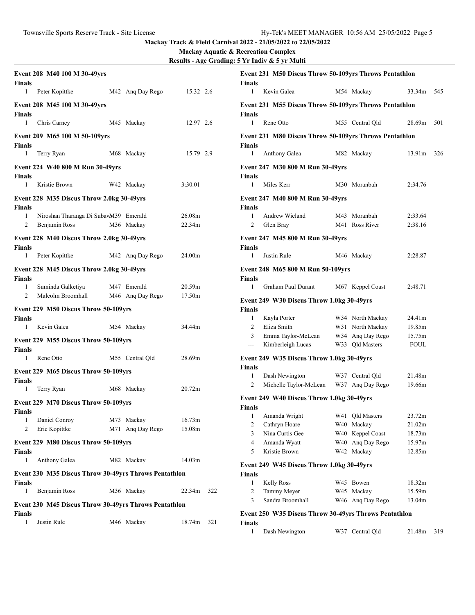**Mackay Aquatic & Recreation Complex**

| Results - Age Grading: 5 Yr Indiv & 5 yr Multi |  |  |
|------------------------------------------------|--|--|
|                                                |  |  |

| <b>Finals</b> | Event 208 M40 100 M 30-49yrs                          |                  |           |     | <b>Finals</b>      | Event 231 M50 Discus Throw 50-109yrs Throws Pentathlon |                                     |                       |       |
|---------------|-------------------------------------------------------|------------------|-----------|-----|--------------------|--------------------------------------------------------|-------------------------------------|-----------------------|-------|
| $\mathbf{1}$  | Peter Kopittke                                        | M42 Ang Day Rego | 15.32 2.6 |     | $\mathbf{1}$       | Kevin Galea                                            | M54 Mackay                          | 33.34m                | 545   |
| Finals        | Event 208 M45 100 M 30-49yrs                          |                  |           |     | <b>Finals</b>      | Event 231 M55 Discus Throw 50-109yrs Throws Pentathlon |                                     |                       |       |
| $\mathbf{1}$  | Chris Carney                                          | M45 Mackay       | 12.97 2.6 |     | $\mathbf{1}$       | Rene Otto                                              | M55 Central Qld                     | 28.69m                | - 501 |
| Finals        | Event 209 M65 100 M 50-109yrs                         |                  |           |     | <b>Finals</b>      | Event 231 M80 Discus Throw 50-109yrs Throws Pentathlon |                                     |                       |       |
| $\mathbf{1}$  | Terry Ryan                                            | M68 Mackay       | 15.79 2.9 |     | $\mathbf{1}$       | Anthony Galea                                          | M82 Mackay                          | 13.91m 326            |       |
| Finals        | Event 224 W40 800 M Run 30-49yrs                      |                  |           |     | <b>Finals</b>      | Event 247 M30 800 M Run 30-49yrs                       |                                     |                       |       |
| $\mathbf{1}$  | Kristie Brown                                         | W42 Mackay       | 3:30.01   |     | $\mathbf{1}$       | Miles Kerr                                             | M30 Moranbah                        | 2:34.76               |       |
| Finals        | Event 228 M35 Discus Throw 2.0kg 30-49yrs             |                  |           |     | Finals             | Event 247 M40 800 M Run 30-49yrs                       |                                     |                       |       |
| $\mathbf{1}$  | Niroshan Tharanga Di SubawM39 Emerald                 |                  | 26.08m    |     | $\mathbf{1}$       | Andrew Wieland                                         | M43 Moranbah                        | 2:33.64               |       |
| 2             | Benjamin Ross                                         | M36 Mackay       | 22.34m    |     | $\overline{2}$     | Glen Bray                                              | M41 Ross River                      | 2:38.16               |       |
| Finals        | Event 228 M40 Discus Throw 2.0kg 30-49yrs             |                  |           |     | <b>Finals</b>      | Event 247 M45 800 M Run 30-49yrs                       |                                     |                       |       |
| $\mathbf{1}$  | Peter Kopittke                                        | M42 Ang Day Rego | 24.00m    |     | 1                  | Justin Rule                                            | M46 Mackay                          | 2:28.87               |       |
| <b>Finals</b> | Event 228 M45 Discus Throw 2.0kg 30-49yrs             |                  |           |     | <b>Finals</b>      | Event 248 M65 800 M Run 50-109yrs                      |                                     |                       |       |
| $\mathbf{1}$  | Suminda Galketiya                                     | M47 Emerald      | 20.59m    |     | $\mathbf{1}$       | Graham Paul Durant                                     | M67 Keppel Coast                    | 2:48.71               |       |
| 2             | Malcolm Broomhall                                     | M46 Ang Day Rego | 17.50m    |     |                    | Event 249 W30 Discus Throw 1.0kg 30-49yrs              |                                     |                       |       |
|               | Event 229 M50 Discus Throw 50-109yrs                  |                  |           |     | Finals             |                                                        |                                     |                       |       |
| Finals        |                                                       |                  |           |     | $\mathbf{1}$       | Kayla Porter                                           | W34 North Mackay                    | 24.41m                |       |
| $\mathbf{1}$  | Kevin Galea                                           | M54 Mackay       | 34.44m    |     | 2                  | Eliza Smith                                            | W31 North Mackay                    | 19.85m                |       |
| Finals        | Event 229 M55 Discus Throw 50-109yrs                  |                  |           |     | 3<br>$---$         | Emma Taylor-McLean<br>Kimberleigh Lucas                | W34 Ang Day Rego<br>W33 Qld Masters | 15.75m<br><b>FOUL</b> |       |
| 1             | Rene Otto                                             | M55 Central Qld  | 28.69m    |     |                    | Event 249 W35 Discus Throw 1.0kg 30-49yrs              |                                     |                       |       |
|               | Event 229 M65 Discus Throw 50-109yrs                  |                  |           |     | <b>Finals</b>      |                                                        |                                     |                       |       |
| <b>Finals</b> |                                                       |                  |           |     | 1<br>2             | Dash Newington<br>Michelle Taylor-McLean               | W37 Central Qld<br>W37 Ang Day Rego | 21.48m<br>19.66m      |       |
| $\mathbf{1}$  | Terry Ryan                                            | M68 Mackay       | 20.72m    |     |                    |                                                        |                                     |                       |       |
| <b>Finals</b> | Event 229 M70 Discus Throw 50-109yrs                  |                  |           |     | <b>Finals</b>      | Event 249 W40 Discus Throw 1.0kg 30-49yrs              |                                     |                       |       |
| 1             | Daniel Conroy                                         | M73 Mackay       | 16.73m    |     | 2                  | 1 Amanda Wright<br>Cathryn Hoare                       | W41 Qld Masters<br>W40 Mackay       | 23.72m<br>21.02m      |       |
| 2             | Eric Kopittke                                         | M71 Ang Day Rego | 15.08m    |     | 3                  | Nina Curtis Gee                                        | W40 Keppel Coast                    | 18.73m                |       |
| <b>Finals</b> | Event 229 M80 Discus Throw 50-109yrs                  |                  |           |     | 4<br>5             | Amanda Wyatt<br>Kristie Brown                          | W40 Anq Day Rego<br>W42 Mackay      | 15.97m<br>12.85m      |       |
| 1             | Anthony Galea                                         | M82 Mackay       | 14.03m    |     |                    | Event 249 W45 Discus Throw 1.0kg 30-49yrs              |                                     |                       |       |
|               | Event 230 M35 Discus Throw 30-49yrs Throws Pentathlon |                  |           |     | Finals<br>1        | <b>Kelly Ross</b>                                      | W45 Bowen                           | 18.32m                |       |
| Finals<br>1   | Benjamin Ross                                         | M36 Mackay       | 22.34m    | 322 | 2                  | Tammy Meyer                                            | W45 Mackay                          | 15.59m                |       |
|               |                                                       |                  |           |     | 3                  | Sandra Broomhall                                       | W46 Ang Day Rego                    | 13.04m                |       |
| <b>Finals</b> | Event 230 M45 Discus Throw 30-49yrs Throws Pentathlon |                  |           |     |                    | Event 250 W35 Discus Throw 30-49yrs Throws Pentathlon  |                                     |                       |       |
| 1             | Justin Rule                                           | M46 Mackay       | 18.74m    | 321 | <b>Finals</b><br>1 | Dash Newington                                         | W37 Central Qld                     | 21.48m                | 319   |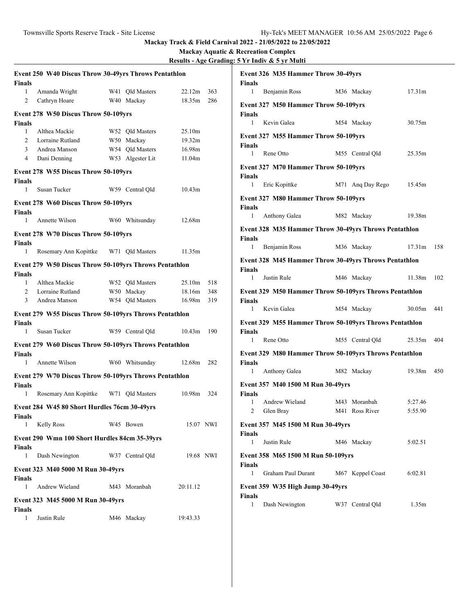| <b>Finals</b>      | Event 250 W40 Discus Throw 30-49yrs Throws Pentathlon  |                  |            |      | <b>Finals</b> | Event 326 M35 Hammer Throw 30-49yrs                    |                  |            |       |
|--------------------|--------------------------------------------------------|------------------|------------|------|---------------|--------------------------------------------------------|------------------|------------|-------|
| $\mathbf{1}$       | Amanda Wright                                          | W41 Old Masters  | 22.12m     | 363  | 1             | Benjamin Ross                                          | M36 Mackay       | 17.31m     |       |
| 2                  | Cathryn Hoare                                          | W40 Mackay       | 18.35m     | 286  |               |                                                        |                  |            |       |
|                    |                                                        |                  |            |      |               | Event 327 M50 Hammer Throw 50-109yrs                   |                  |            |       |
|                    | Event 278 W50 Discus Throw 50-109yrs                   |                  |            |      | Finals        |                                                        |                  |            |       |
| <b>Finals</b>      |                                                        |                  |            |      | $\mathbf{1}$  | Kevin Galea                                            | M54 Mackay       | 30.75m     |       |
| 1                  | Althea Mackie                                          | W52 Qld Masters  | 25.10m     |      |               | Event 327 M55 Hammer Throw 50-109yrs                   |                  |            |       |
| 2                  | Lorraine Rutland                                       | W50 Mackay       | 19.32m     |      | <b>Finals</b> |                                                        |                  |            |       |
| 3                  | Andrea Manson                                          | W54 Qld Masters  | 16.98m     |      | 1             | Rene Otto                                              | M55 Central Qld  | 25.35m     |       |
| 4                  | Dani Denning                                           | W53 Algester Lit | 11.04m     |      |               |                                                        |                  |            |       |
|                    | Event 278 W55 Discus Throw 50-109yrs                   |                  |            |      |               | Event 327 M70 Hammer Throw 50-109yrs                   |                  |            |       |
| Finals             |                                                        |                  |            |      | <b>Finals</b> |                                                        |                  |            |       |
| 1                  | Susan Tucker                                           | W59 Central Qld  | 10.43m     |      | $\mathbf{1}$  | Eric Kopittke                                          | M71 Ang Day Rego | 15.45m     |       |
|                    | Event 278 W60 Discus Throw 50-109yrs                   |                  |            |      |               | Event 327 M80 Hammer Throw 50-109yrs                   |                  |            |       |
| <b>Finals</b>      |                                                        |                  |            |      | Finals        |                                                        |                  |            |       |
| 1                  | Annette Wilson                                         | W60 Whitsunday   | 12.68m     |      | $\mathbf{1}$  | Anthony Galea                                          | M82 Mackay       | 19.38m     |       |
|                    |                                                        |                  |            |      |               | Event 328 M35 Hammer Throw 30-49yrs Throws Pentathlon  |                  |            |       |
|                    | Event 278 W70 Discus Throw 50-109yrs                   |                  |            |      | <b>Finals</b> |                                                        |                  |            |       |
| Finals             |                                                        |                  |            |      | 1             | Benjamin Ross                                          | M36 Mackay       | 17.31m 158 |       |
| $\mathbf{1}$       | Rosemary Ann Kopittke                                  | W71 Qld Masters  | 11.35m     |      |               |                                                        |                  |            |       |
|                    | Event 279 W50 Discus Throw 50-109yrs Throws Pentathlon |                  |            |      |               | Event 328 M45 Hammer Throw 30-49yrs Throws Pentathlon  |                  |            |       |
| <b>Finals</b>      |                                                        |                  |            |      | Finals<br>1   | Justin Rule                                            |                  | 11.38m     |       |
| 1                  | Althea Mackie                                          | W52 Qld Masters  | 25.10m     | 518  |               |                                                        | M46 Mackay       |            | - 102 |
| 2                  | Lorraine Rutland                                       | W50 Mackay       | 18.16m     | 348  |               | Event 329 M50 Hammer Throw 50-109yrs Throws Pentathlon |                  |            |       |
| 3                  | Andrea Manson                                          | W54 Qld Masters  | 16.98m     | 319  | Finals        |                                                        |                  |            |       |
|                    |                                                        |                  |            |      | $\mathbf{1}$  | Kevin Galea                                            | M54 Mackay       | 30.05m     | 441   |
|                    | Event 279 W55 Discus Throw 50-109yrs Throws Pentathlon |                  |            |      |               | Event 329 M55 Hammer Throw 50-109yrs Throws Pentathlon |                  |            |       |
| <b>Finals</b><br>1 | Susan Tucker                                           | W59 Central Qld  | 10.43m     | 190  | <b>Finals</b> |                                                        |                  |            |       |
|                    |                                                        |                  |            |      | 1             | Rene Otto                                              | M55 Central Qld  | 25.35m     | 404   |
|                    | Event 279 W60 Discus Throw 50-109yrs Throws Pentathlon |                  |            |      |               |                                                        |                  |            |       |
| Finals             |                                                        |                  |            |      |               | Event 329 M80 Hammer Throw 50-109yrs Throws Pentathlon |                  |            |       |
| 1                  | Annette Wilson                                         | W60 Whitsunday   | 12.68m     | -282 | Finals        |                                                        |                  |            |       |
|                    | Event 279 W70 Discus Throw 50-109yrs Throws Pentathlon |                  |            |      | 1             | Anthony Galea                                          | M82 Mackay       | 19.38m 450 |       |
| <b>Finals</b>      |                                                        |                  |            |      |               | Event 357 M40 1500 M Run 30-49yrs                      |                  |            |       |
| 1                  | Rosemary Ann Kopittke                                  | W71 Old Masters  | 10.98m 324 |      | <b>Finals</b> |                                                        |                  |            |       |
|                    |                                                        |                  |            |      | 1             | Andrew Wieland                                         | M43 Moranbah     | 5:27.46    |       |
|                    | Event 284 W45 80 Short Hurdles 76cm 30-49yrs           |                  |            |      | 2             | Glen Bray                                              | M41 Ross River   | 5:55.90    |       |
| <b>Finals</b>      |                                                        |                  |            |      |               |                                                        |                  |            |       |
| $\mathbf{1}$       | <b>Kelly Ross</b>                                      | W45 Bowen        | 15.07 NWI  |      |               | Event 357 M45 1500 M Run 30-49yrs                      |                  |            |       |
|                    | Event 290 Wmn 100 Short Hurdles 84cm 35-39yrs          |                  |            |      | Finals        |                                                        |                  |            |       |
| Finals             |                                                        |                  |            |      | 1             | Justin Rule                                            | M46 Mackay       | 5:02.51    |       |
| 1                  | Dash Newington                                         | W37 Central Qld  | 19.68 NWI  |      |               | Event 358 M65 1500 M Run 50-109yrs                     |                  |            |       |
|                    |                                                        |                  |            |      | <b>Finals</b> |                                                        |                  |            |       |
|                    | Event 323 M40 5000 M Run 30-49yrs                      |                  |            |      | 1             | Graham Paul Durant                                     | M67 Keppel Coast | 6:02.81    |       |
| <b>Finals</b>      |                                                        |                  |            |      |               |                                                        |                  |            |       |
| 1                  | Andrew Wieland                                         | M43 Moranbah     | 20:11.12   |      |               | Event 359 W35 High Jump 30-49yrs                       |                  |            |       |
|                    | Event 323 M45 5000 M Run 30-49yrs                      |                  |            |      | Finals        |                                                        |                  |            |       |
| <b>Finals</b>      |                                                        |                  |            |      | 1             | Dash Newington                                         | W37 Central Qld  | 1.35m      |       |
| $\mathbf{1}$       | Justin Rule                                            | M46 Mackay       | 19:43.33   |      |               |                                                        |                  |            |       |
|                    |                                                        |                  |            |      |               |                                                        |                  |            |       |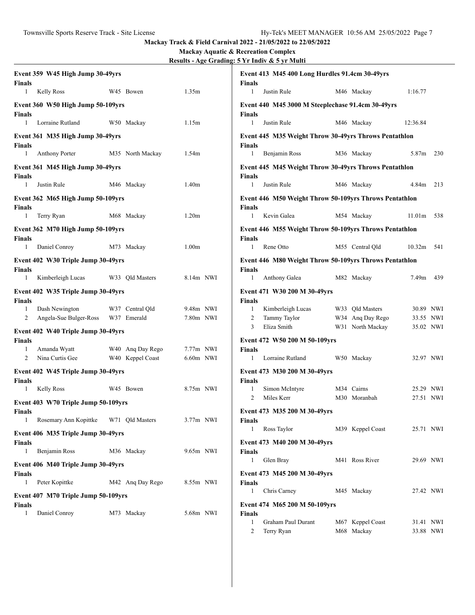| Event 359 W45 High Jump 30-49yrs<br>Finals          |                  |                   | Event 413 M45 400 Long Hurdles 91.4cm 30-49yrs<br>Finals                |                               |
|-----------------------------------------------------|------------------|-------------------|-------------------------------------------------------------------------|-------------------------------|
| <b>Kelly Ross</b><br>1                              | W45 Bowen        | 1.35m             | Justin Rule<br>$\mathbf{1}$                                             | M46 Mackay<br>1:16.77         |
| Event 360 W50 High Jump 50-109yrs<br>Finals         |                  |                   | Event 440 M45 3000 M Steeplechase 91.4cm 30-49yrs<br>Finals             |                               |
| Lorraine Rutland<br>$\mathbf{1}$                    | W50 Mackay       | 1.15m             | $\mathbf{1}$<br>Justin Rule                                             | M46 Mackay<br>12:36.84        |
| Event 361 M35 High Jump 30-49yrs<br>Finals          |                  |                   | Event 445 M35 Weight Throw 30-49yrs Throws Pentathlon<br>Finals         |                               |
| 1<br><b>Anthony Porter</b>                          | M35 North Mackay | 1.54m             | Benjamin Ross<br>$\mathbf{1}$                                           | M36 Mackay<br>5.87m 230       |
| Event 361 M45 High Jump 30-49yrs<br>Finals          |                  |                   | Event 445 M45 Weight Throw 30-49yrs Throws Pentathlon<br>Finals         |                               |
| Justin Rule<br>$\mathbf{1}$                         | M46 Mackay       | 1.40 <sub>m</sub> | Justin Rule<br>$\mathbf{1}$                                             | M46 Mackay<br>4.84m 213       |
| Event 362 M65 High Jump 50-109yrs                   |                  |                   | Event 446 M50 Weight Throw 50-109yrs Throws Pentathlon                  |                               |
| Finals                                              |                  |                   | Finals                                                                  |                               |
| Terry Ryan<br>$\mathbf{1}$                          | M68 Mackay       | 1.20 <sub>m</sub> | $\mathbf{1}$<br>Kevin Galea                                             | M54 Mackay<br>$11.01m$ 538    |
| Event 362 M70 High Jump 50-109yrs<br><b>Finals</b>  |                  |                   | Event 446 M55 Weight Throw 50-109yrs Throws Pentathlon<br><b>Finals</b> |                               |
| $\mathbf{1}$<br>Daniel Conroy                       | M73 Mackay       | 1.00 <sub>m</sub> | Rene Otto<br>$\mathbf{1}$                                               | M55 Central Old<br>10.32m 541 |
| Event 402 W30 Triple Jump 30-49yrs<br><b>Finals</b> |                  |                   | Event 446 M80 Weight Throw 50-109yrs Throws Pentathlon<br>Finals        |                               |
| Kimberleigh Lucas<br>1                              | W33 Qld Masters  | 8.14m NWI         | Anthony Galea<br>$\mathbf{1}$                                           | M82 Mackay<br>7.49m 439       |
| Event 402 W35 Triple Jump 30-49yrs<br><b>Finals</b> |                  |                   | Event 471 W30 200 M 30-49yrs<br>Finals                                  |                               |
| Dash Newington<br>1                                 | W37 Central Qld  | 9.48m NWI         | Kimberleigh Lucas<br>$\mathbf{1}$                                       | W33 Qld Masters<br>30.89 NWI  |
| Angela-Sue Bulger-Ross<br>2                         | W37 Emerald      | 7.80m NWI         | Tammy Taylor<br>2                                                       | W34 Ang Day Rego<br>33.55 NWI |
| Event 402 W40 Triple Jump 30-49yrs                  |                  |                   | 3<br>Eliza Smith                                                        | W31 North Mackay<br>35.02 NWI |
| <b>Finals</b>                                       |                  |                   | Event 472 W50 200 M 50-109yrs                                           |                               |
| Amanda Wyatt<br>1                                   | W40 Ang Day Rego | $7.77m$ NWI       | Finals                                                                  |                               |
| Nina Curtis Gee<br>2                                | W40 Keppel Coast | $6.60m$ NWI       | Lorraine Rutland<br>$\mathbf{1}$                                        | W50 Mackay<br>32.97 NWI       |
| Event 402 W45 Triple Jump 30-49yrs<br>Finals        |                  |                   | Event 473 M30 200 M 30-49yrs<br><b>Finals</b>                           |                               |
| Kelly Ross<br>1                                     | W45 Bowen        | 8.75m NWI         | Simon McIntyre<br>$\mathbf{1}$                                          | M34 Cairns<br>25.29 NWI       |
| Event 403 W70 Triple Jump 50-109yrs                 |                  |                   | Miles Kerr<br>2                                                         | M30 Moranbah<br>27.51 NWI     |
| <b>Finals</b>                                       |                  |                   | Event 473 M35 200 M 30-49yrs                                            |                               |
| Rosemary Ann Kopittke<br>1                          | W71 Old Masters  | $3.77m$ NWI       | <b>Finals</b>                                                           |                               |
| Event 406 M35 Triple Jump 30-49yrs                  |                  |                   | Ross Taylor<br>$\mathbf{1}$                                             | M39 Keppel Coast<br>25.71 NWI |
| Finals                                              |                  |                   | Event 473 M40 200 M 30-49yrs                                            |                               |
| Benjamin Ross<br>1                                  | M36 Mackay       | 9.65m NWI         | <b>Finals</b>                                                           |                               |
| Event 406 M40 Triple Jump 30-49yrs<br>Finals        |                  |                   | Glen Bray<br>1<br>Event 473 M45 200 M 30-49yrs                          | M41 Ross River<br>29.69 NWI   |
| Peter Kopittke<br>1                                 | M42 Ang Day Rego | 8.55m NWI         | Finals                                                                  |                               |
| Event 407 M70 Triple Jump 50-109yrs                 |                  |                   | Chris Carney<br>$\mathbf{1}$                                            | M45 Mackay<br>27.42 NWI       |
| <b>Finals</b>                                       |                  |                   | Event 474 M65 200 M 50-109yrs                                           |                               |
| Daniel Conroy<br>1                                  | M73 Mackay       | 5.68m NWI         | <b>Finals</b>                                                           |                               |
|                                                     |                  |                   | Graham Paul Durant<br>$\mathbf{1}$                                      | M67 Keppel Coast<br>31.41 NWI |
|                                                     |                  |                   | 2<br>Terry Ryan                                                         | M68 Mackay<br>33.88 NWI       |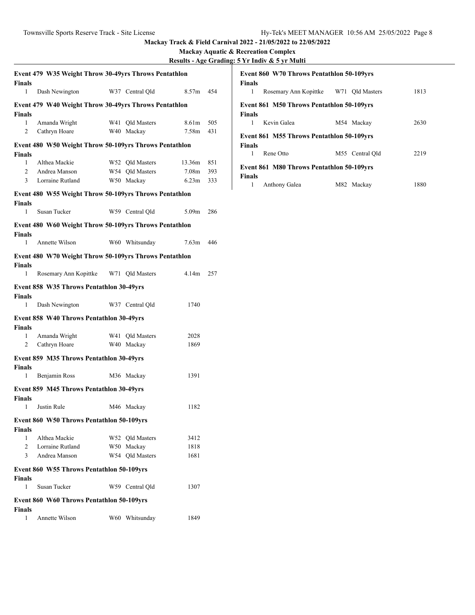| <b>Finals</b>      | Event 479 W35 Weight Throw 30-49yrs Throws Pentathlon  |                               |                            |            |
|--------------------|--------------------------------------------------------|-------------------------------|----------------------------|------------|
| 1                  | Dash Newington                                         | W37 Central Old               | 8.57 <sub>m</sub>          | 454        |
|                    | Event 479 W40 Weight Throw 30-49yrs Throws Pentathlon  |                               |                            |            |
| <b>Finals</b>      |                                                        |                               |                            |            |
| 1<br>2             | Amanda Wright<br>Cathryn Hoare                         | W41 Old Masters<br>W40 Mackay | 8.61 <sub>m</sub><br>7.58m | 505<br>431 |
|                    |                                                        |                               |                            |            |
| <b>Finals</b>      | Event 480 W50 Weight Throw 50-109yrs Throws Pentathlon |                               |                            |            |
| 1                  | Althea Mackie                                          | W52 Qld Masters               | 13.36m                     | 851        |
| $\overline{c}$     | Andrea Manson                                          | W54 Qld Masters               | 7.08 <sub>m</sub>          | 393        |
| 3                  | Lorraine Rutland                                       | W50 Mackay                    | 6.23m                      | 333        |
|                    | Event 480 W55 Weight Throw 50-109yrs Throws Pentathlon |                               |                            |            |
| <b>Finals</b>      |                                                        |                               |                            |            |
| $\mathbf{1}$       | Susan Tucker                                           | W59 Central Qld               | 5.09 <sub>m</sub>          | 286        |
|                    | Event 480 W60 Weight Throw 50-109yrs Throws Pentathlon |                               |                            |            |
| <b>Finals</b>      |                                                        |                               |                            |            |
| 1                  | Annette Wilson                                         | W60 Whitsunday                | 7.63m                      | 446        |
|                    | Event 480 W70 Weight Throw 50-109yrs Throws Pentathlon |                               |                            |            |
| <b>Finals</b>      |                                                        |                               |                            |            |
| 1                  | Rosemary Ann Kopittke W71 Qld Masters                  |                               | 4.14 <sub>m</sub>          | 257        |
|                    | Event 858 W35 Throws Pentathlon 30-49yrs               |                               |                            |            |
| <b>Finals</b>      |                                                        |                               |                            |            |
| 1                  | Dash Newington                                         | W37 Central Qld               | 1740                       |            |
|                    | Event 858 W40 Throws Pentathlon 30-49yrs               |                               |                            |            |
| <b>Finals</b>      |                                                        |                               |                            |            |
| 1                  | Amanda Wright                                          | W41 Old Masters               | 2028                       |            |
| 2                  | Cathryn Hoare                                          | W40 Mackay                    | 1869                       |            |
|                    | Event 859 M35 Throws Pentathlon 30-49yrs               |                               |                            |            |
| <b>Finals</b><br>1 | Benjamin Ross                                          | M36 Mackay                    | 1391                       |            |
|                    | Event 859 M45 Throws Pentathlon 30-49yrs               |                               |                            |            |
| <b>Finals</b>      |                                                        |                               |                            |            |
| 1                  | Justin Rule                                            | M46 Mackay                    | 1182                       |            |
|                    | Event 860 W50 Throws Pentathlon 50-109yrs              |                               |                            |            |
| <b>Finals</b>      |                                                        |                               |                            |            |
| 1                  | Althea Mackie                                          | W52 Qld Masters               | 3412                       |            |
| 2                  | Lorraine Rutland                                       | W50 Mackay                    | 1818                       |            |
| 3                  | Andrea Manson                                          | W54 Qld Masters               | 1681                       |            |
|                    | Event 860 W55 Throws Pentathlon 50-109yrs              |                               |                            |            |
| <b>Finals</b>      |                                                        |                               |                            |            |
| $\mathbf{1}$       | Susan Tucker                                           | W59 Central Old               | 1307                       |            |
|                    | Event 860 W60 Throws Pentathlon 50-109yrs              |                               |                            |            |
| <b>Finals</b>      |                                                        |                               |                            |            |
| 1                  | Annette Wilson                                         | W60 Whitsunday                | 1849                       |            |

| <b>Event 860 W70 Throws Pentathlon 50-109yrs</b><br><b>Finals</b> |                 |      |  |  |  |  |  |
|-------------------------------------------------------------------|-----------------|------|--|--|--|--|--|
| Rosemary Ann Kopittke W71 Old Masters<br>1                        |                 | 1813 |  |  |  |  |  |
| <b>Event 861 M50 Throws Pentathlon 50-109yrs</b>                  |                 |      |  |  |  |  |  |
| <b>Finals</b><br>Kevin Galea<br>1                                 | M54 Mackay      | 2630 |  |  |  |  |  |
| <b>Event 861 M55 Throws Pentathlon 50-109 vrs</b>                 |                 |      |  |  |  |  |  |
| <b>Finals</b><br>Rene Otto<br>1                                   | M55 Central Old | 2219 |  |  |  |  |  |
| <b>Event 861 M80 Throws Pentathlon 50-109yrs</b>                  |                 |      |  |  |  |  |  |
| <b>Finals</b>                                                     |                 |      |  |  |  |  |  |
| Anthony Galea                                                     | M82 Mackay      | 1880 |  |  |  |  |  |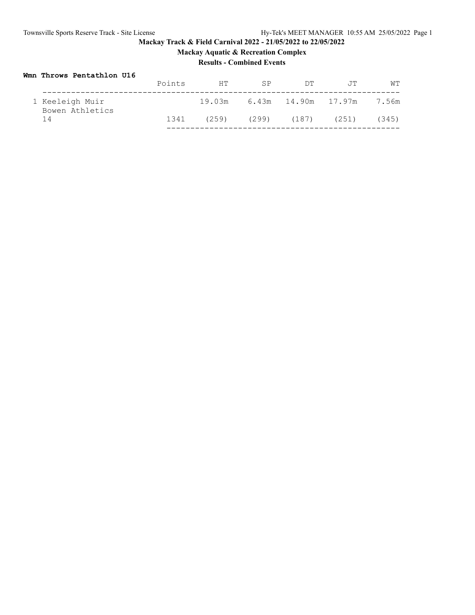# **Mackay Track & Field Carnival 2022 - 21/05/2022 to 22/05/2022 Mackay Aquatic & Recreation Complex**

# **Results - Combined Events**

# **Wmn Throws Pentathlon U16**

|                                    | Points | HТ    | <b>SP</b> | <b>DT</b>               | .TT                              | WТ    |
|------------------------------------|--------|-------|-----------|-------------------------|----------------------------------|-------|
| 1 Keeleigh Muir<br>Bowen Athletics |        |       |           |                         | 19.03m 6.43m 14.90m 17.97m 7.56m |       |
| 14                                 | 1341   | (259) |           | $(299)$ $(187)$ $(251)$ |                                  | (345) |
|                                    |        |       |           |                         |                                  |       |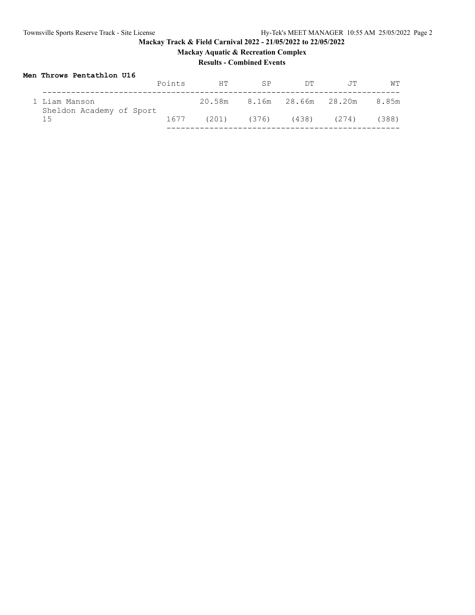**Mackay Aquatic & Recreation Complex**

# **Results - Combined Events**

# **Men Throws Pentathlon U16**

|                                           | Points | HТ | <b>SP</b> | DТ                              | .TT                              | WТ    |
|-------------------------------------------|--------|----|-----------|---------------------------------|----------------------------------|-------|
| 1 Liam Manson<br>Sheldon Academy of Sport |        |    |           |                                 | 20.58m 8.16m 28.66m 28.20m 8.85m |       |
| 1.5                                       | 1677   |    |           | $(201)$ $(376)$ $(438)$ $(274)$ |                                  | (388) |
|                                           |        |    |           |                                 |                                  |       |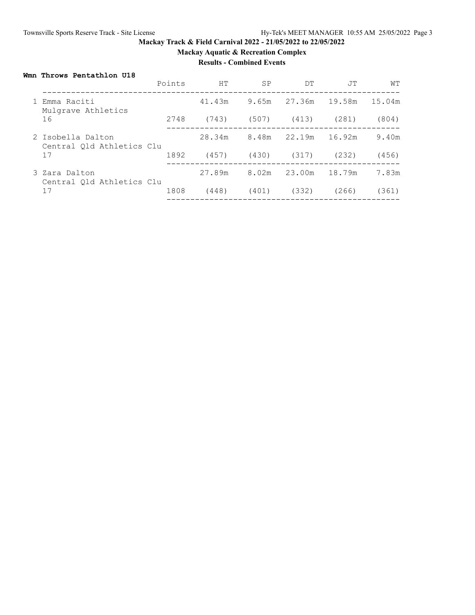**Mackay Aquatic & Recreation Complex**

## **Results - Combined Events**

## **Wmn Throws Pentathlon U18**

| 19.58m<br>1 Emma Raciti<br>41.43m<br>27.36m<br>9.65m<br>Mulgrave Athletics<br>16<br>2748<br>(743)<br>(507)<br>(413)<br>(281)<br>28.34m<br>8.48m<br>22.19m<br>16.92m<br>2 Isobella Dalton<br>Central Old Athletics Clu<br>17<br>1892<br>(457)<br>(430)<br>(317)<br>(232)<br>27.89m<br>18.79m<br>8.02m<br>23.00m<br>3 Zara Dalton<br>Central Old Athletics Clu<br>17<br>1808<br>(448)<br>(332)<br>(401)<br>(266) |  | Points | HT | <b>SP</b> | DT | JT | WТ     |
|----------------------------------------------------------------------------------------------------------------------------------------------------------------------------------------------------------------------------------------------------------------------------------------------------------------------------------------------------------------------------------------------------------------|--|--------|----|-----------|----|----|--------|
|                                                                                                                                                                                                                                                                                                                                                                                                                |  |        |    |           |    |    | 15.04m |
|                                                                                                                                                                                                                                                                                                                                                                                                                |  |        |    |           |    |    | (804)  |
|                                                                                                                                                                                                                                                                                                                                                                                                                |  |        |    |           |    |    | 9.40m  |
|                                                                                                                                                                                                                                                                                                                                                                                                                |  |        |    |           |    |    | (456)  |
|                                                                                                                                                                                                                                                                                                                                                                                                                |  |        |    |           |    |    | 7.83m  |
|                                                                                                                                                                                                                                                                                                                                                                                                                |  |        |    |           |    |    | (361)  |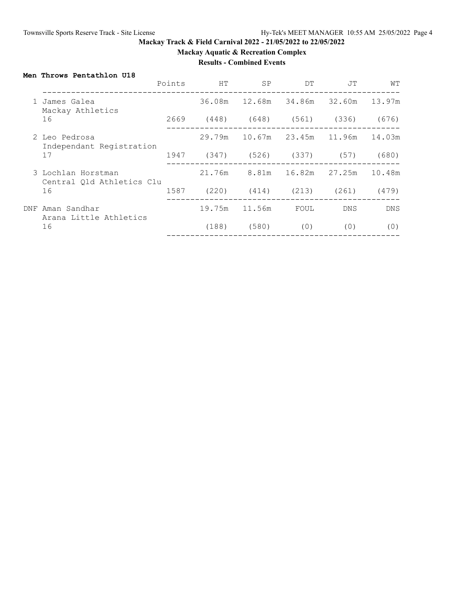**Mackay Aquatic & Recreation Complex**

# **Results - Combined Events**

## **Men Throws Pentathlon U18**

|                     |                                                 | Points | HT                           | <b>SP</b>                   | <b>DT</b> | JT            | WТ         |
|---------------------|-------------------------------------------------|--------|------------------------------|-----------------------------|-----------|---------------|------------|
|                     | James Galea<br>Mackay Athletics                 |        |                              |                             | 34.86m    | 32.60m        | 13.97m     |
|                     | 16                                              |        | 2669 (448) (648) (561) (336) |                             |           |               | (676)      |
| 2 Leo Pedrosa<br>17 | Independant Registration                        |        |                              | 29.79m 10.67m 23.45m 11.96m |           |               | 14.03m     |
|                     |                                                 |        | 1947 (347) (526) (337) (57)  |                             |           |               | (680)      |
|                     | 3 Lochlan Horstman<br>Central Old Athletics Clu |        |                              | 21.76m 8.81m                |           | 16.82m 27.25m | 10.48m     |
|                     | 16                                              | 1587   |                              | $(220)$ $(414)$ $(213)$     |           | (261)         | (479)      |
| DNF                 | Aman Sandhar<br>Arana Little Athletics          |        | 19.75m                       | 11.56m                      | FOUL      | DNS           | <b>DNS</b> |
|                     | 16                                              |        | (188)                        | (580)                       | (0)       | (0)           | (0)        |
|                     |                                                 |        |                              |                             |           |               |            |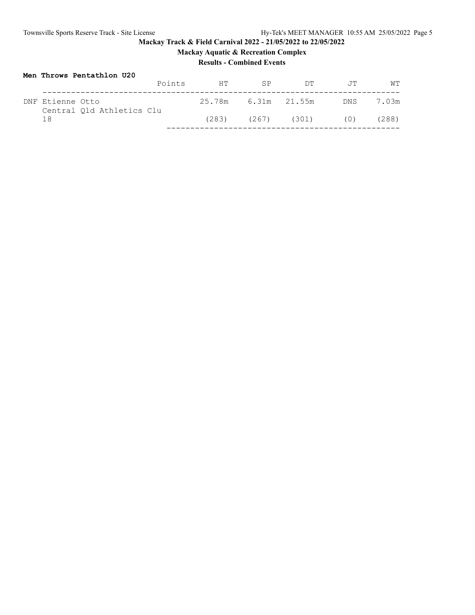# **Mackay Aquatic & Recreation Complex**

## **Results - Combined Events**

| Men Throws Pentathlon U20                     |        |    |                         |     |                |       |
|-----------------------------------------------|--------|----|-------------------------|-----|----------------|-------|
|                                               | Points | HT | <b>SP</b>               | DT. | 一、牙里           | WТ    |
| DNF Etienne Otto<br>Central Old Athletics Clu |        |    | 25.78m 6.31m 21.55m     |     | DNS <b>DNS</b> | 7.03m |
| 18                                            |        |    | $(283)$ $(267)$ $(301)$ |     | (0)            | (288) |
|                                               |        |    |                         |     |                |       |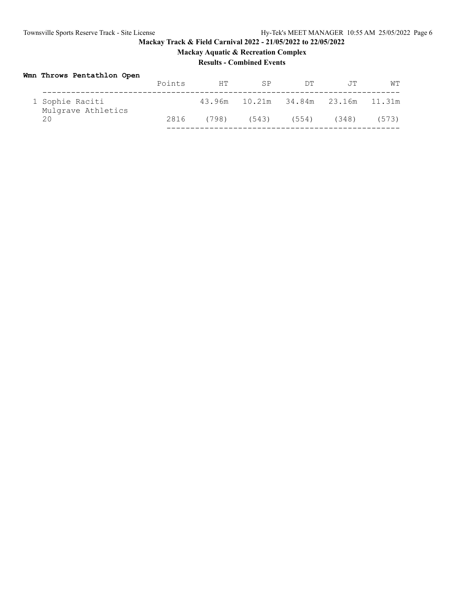# **Mackay Track & Field Carnival 2022 - 21/05/2022 to 22/05/2022 Mackay Aquatic & Recreation Complex**

## **Results - Combined Events**

## **Wmn Throws Pentathlon Open**

|                                       | Points | HТ    | SP                                 | DТ    | .TT   | WТ    |
|---------------------------------------|--------|-------|------------------------------------|-------|-------|-------|
| 1 Sophie Raciti<br>Mulgrave Athletics |        |       | 43.96m 10.21m 34.84m 23.16m 11.31m |       |       |       |
| 20                                    | 2816   | (798) | (543)                              | (554) | (348) | (573) |
|                                       |        |       |                                    |       |       |       |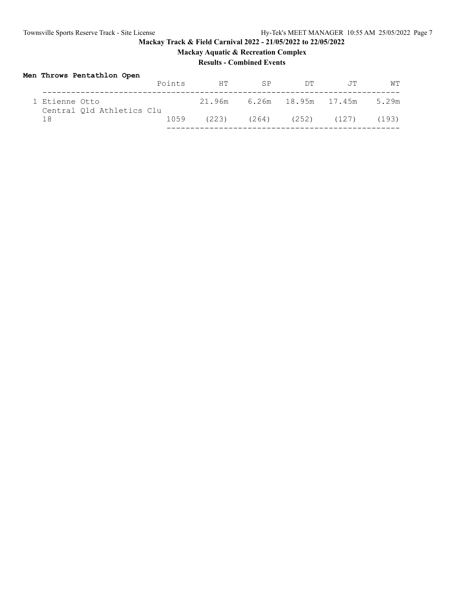**Mackay Aquatic & Recreation Complex**

# **Results - Combined Events**

# **Men Throws Pentathlon Open**

|                                             | Points | HT.   | SP    | ידת                        | .TT             | WТ    |
|---------------------------------------------|--------|-------|-------|----------------------------|-----------------|-------|
| 1 Etienne Otto<br>Central Old Athletics Clu |        |       |       | 21.96m 6.26m 18.95m 17.45m |                 | 5.29m |
| 1 R                                         | 1059   | (223) | (264) |                            | $(252)$ $(127)$ | (193) |
|                                             |        |       |       |                            |                 |       |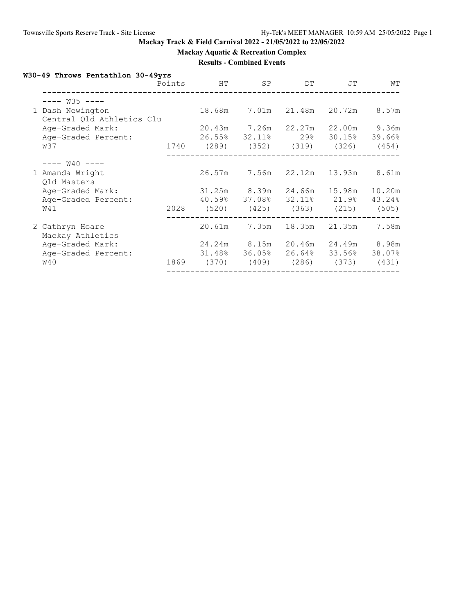**Mackay Aquatic & Recreation Complex**

## **Results - Combined Events**

# **W30-49 Throws Pentathlon 30-49yrs**

|                                               | Points | HТ                                 | SP                              | DT           | JT            | WТ     |
|-----------------------------------------------|--------|------------------------------------|---------------------------------|--------------|---------------|--------|
| $--- W35 ---$                                 |        |                                    |                                 |              |               |        |
| 1 Dash Newington<br>Central Qld Athletics Clu |        | 18.68m                             |                                 | 7.01m 21.48m | 20.72m        | 8.57m  |
| Age-Graded Mark:                              |        |                                    | 20.43m 7.26m 22.27m             |              | 22.00m 9.36m  |        |
| Age-Graded Percent:                           |        |                                    | $26.55\%$ 32.11% 29%            |              | 30.15% 39.66% |        |
| W37                                           |        | 1740 (289) (352) (319) (326) (454) |                                 |              |               |        |
| $--- W40 ---$                                 |        |                                    |                                 |              |               |        |
| 1 Amanda Wright<br>Qld Masters                |        | 26.57m                             | 7.56m                           | 22.12m       | 13.93m        | 8.61m  |
| Age-Graded Mark:                              |        |                                    | 31.25m 8.39m 24.66m             |              | 15.98m        | 10.20m |
| Age-Graded Percent:                           |        |                                    | 40.59% 37.08% 32.11% 21.9%      |              |               | 43.24% |
| W41                                           |        | 2028 (520) (425) (363) (215)       |                                 |              |               | (505)  |
| 2 Cathryn Hoare<br>Mackay Athletics           |        | 20.61m                             | 7.35m                           | 18.35m       | 21.35m        | 7.58m  |
| Age-Graded Mark:                              |        |                                    | 24.24m 8.15m                    | 20.46m       | 24.49m 8.98m  |        |
| Age-Graded Percent:                           |        |                                    | $31.48\%$ $36.05\%$ 26.64%      |              | 33.56% 38.07% |        |
| W40                                           | 1869   |                                    | $(370)$ $(409)$ $(286)$ $(373)$ |              |               | (431)  |
|                                               |        |                                    |                                 |              |               |        |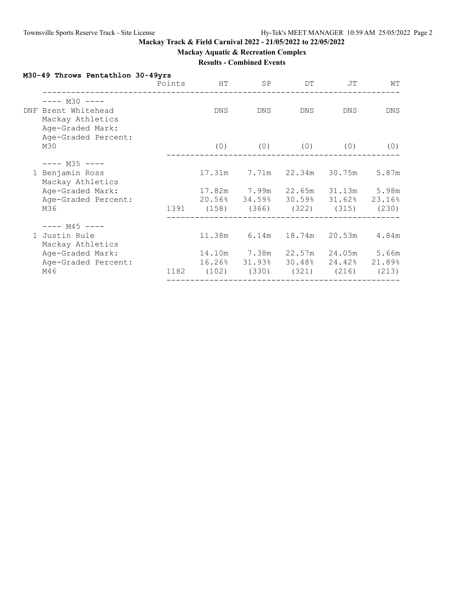**Mackay Aquatic & Recreation Complex**

## **Results - Combined Events**

## **M30-49 Throws Pentathlon 30-49yrs**

|                                                                              | Points | HT     | SP           | DT                                 | JT                  | WТ         |
|------------------------------------------------------------------------------|--------|--------|--------------|------------------------------------|---------------------|------------|
| $--- M30 ---$<br>DNF Brent Whitehead<br>Mackay Athletics<br>Age-Graded Mark: |        | DNS.   | DNS          | DNS                                | DNS                 | <b>DNS</b> |
| Age-Graded Percent:<br>M30                                                   |        | (0)    |              | $(0)$ $(0)$ $(0)$                  |                     | (0)        |
| $---$ M35 $---$                                                              |        |        |              |                                    |                     |            |
| 1 Benjamin Ross<br>Mackay Athletics                                          |        | 17.31m |              | 7.71m 22.34m                       | 30.75m              | 5.87m      |
| Age-Graded Mark:                                                             |        |        |              | 17.82m 7.99m 22.65m 31.13m 5.98m   |                     |            |
| Age-Graded Percent:                                                          |        |        |              | 20.56% 34.59% 30.59% 31.62% 23.16% |                     |            |
| M36                                                                          |        |        |              | 1391 (158) (366) (322) (315) (230) |                     |            |
| $--- M45 ---$                                                                |        |        |              |                                    |                     |            |
| 1 Justin Rule<br>Mackay Athletics                                            |        |        | 11.38m 6.14m | 18.74m                             | 20.53m              | 4.84m      |
| Age-Graded Mark:                                                             |        |        | 14.10m 7.38m |                                    | 22.57m 24.05m 5.66m |            |
| Age-Graded Percent:                                                          |        |        |              | 16.26% 31.93% 30.48% 24.42% 21.89% |                     |            |
| M46                                                                          | 1182   |        |              | (102) (330) (321) (216) (213)      |                     |            |
|                                                                              |        |        |              |                                    |                     |            |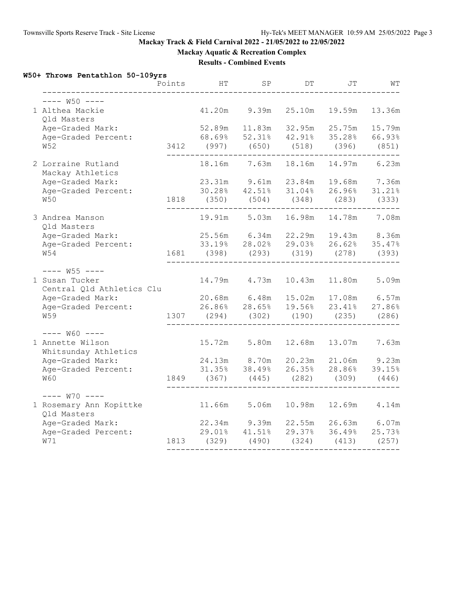**Mackay Aquatic & Recreation Complex**

## **Results - Combined Events**

# **W50+ Throws Pentathlon 50-109yrs**

|                                             | Points | HТ                                                                     | SP                  | DΤ     | JΤ                   | WТ      |
|---------------------------------------------|--------|------------------------------------------------------------------------|---------------------|--------|----------------------|---------|
| $--- W50 ---$                               |        |                                                                        |                     |        |                      |         |
| 1 Althea Mackie<br>Qld Masters              |        | 41.20m                                                                 | 9.39m               | 25.10m | 19.59m               | 13.36m  |
| Age-Graded Mark:                            |        | 52.89m  11.83m  32.95m                                                 |                     |        | 25.75m               | 15.79m  |
| Age-Graded Percent:                         |        | $68.69$ <sup>8</sup> $52.31$ <sup>8</sup> $42.91$ <sup>8</sup>         |                     |        | 35.28% 66.93%        |         |
| <b>W52</b>                                  |        | 3412 (997) (650) (518) (396) (851)                                     |                     |        |                      |         |
| 2 Lorraine Rutland<br>Mackay Athletics      |        |                                                                        | 18.16m 7.63m        | 18.16m | 14.97m 6.23m         |         |
| Age-Graded Mark:                            |        | 23.31m 9.61m                                                           |                     | 23.84m | 19.68m 7.36m         |         |
| Age-Graded Percent:                         |        | $30.28$ $42.51$ $8$                                                    |                     |        | 31.04% 26.96%        | 31.21%  |
| W50                                         |        | 1818 (350) (504) (348)                                                 |                     |        | (283)                | (333)   |
| 3 Andrea Manson<br>Qld Masters              |        |                                                                        | 19.91m 5.03m        | 16.98m | 14.78m               | 7.08m   |
| Age-Graded Mark:                            |        | 25.56m 6.34m 22.29m 19.43m 8.36m                                       |                     |        |                      |         |
| Age-Graded Percent:                         |        |                                                                        | 33.19% 28.02%       |        | 29.03% 26.62% 35.47% |         |
| W54                                         |        | 1681 (398) (293) (319)                                                 |                     |        | $(278)$ $(393)$      |         |
| $--- W55 ---$                               |        |                                                                        |                     |        |                      |         |
| 1 Susan Tucker<br>Central Qld Athletics Clu |        |                                                                        | 14.79m 4.73m        | 10.43m | 11.80m               | 5.09m   |
| Age-Graded Mark:                            |        | 20.68m 6.48m 15.02m 17.08m 6.57m<br>26.86% 28.65% 19.56% 23.41% 27.86% |                     |        |                      |         |
| Age-Graded Percent:                         |        |                                                                        |                     |        |                      |         |
| <b>W59</b>                                  | 1307   | $(294)$ $(302)$ $(190)$ $(235)$ $(286)$                                |                     |        |                      |         |
| $---$ W60 $---$                             |        |                                                                        |                     |        |                      |         |
| 1 Annette Wilson<br>Whitsunday Athletics    |        | 15.72m 5.80m                                                           |                     |        | 12.68m  13.07m       | 7.63m   |
| Age-Graded Mark:                            |        | 24.13m 8.70m                                                           |                     |        | 20.23m 21.06m 9.23m  |         |
| Age-Graded Percent:                         |        | 31.35% 38.49%                                                          |                     | 26.35% | 28.86% 39.15%        |         |
| <b>W60</b>                                  |        | 1849 (367) (445)                                                       |                     | (282)  | (309)                | (446)   |
| $--- W70 ---$                               |        |                                                                        |                     |        |                      |         |
| 1 Rosemary Ann Kopittke<br>Qld Masters      |        | 11.66m 5.06m                                                           |                     | 10.98m | 12.69m               | $4.14m$ |
| Age-Graded Mark:                            |        | 22.34m                                                                 | 9.39m               | 22.55m | 26.63m               | 6.07m   |
| Age-Graded Percent:                         |        |                                                                        | $29.01\%$ $41.51\%$ | 29.37% | 36.49%               | 25.73%  |
| W71                                         |        | 1813 (329) (490) (324)                                                 |                     |        | $(413)$ $(257)$      |         |